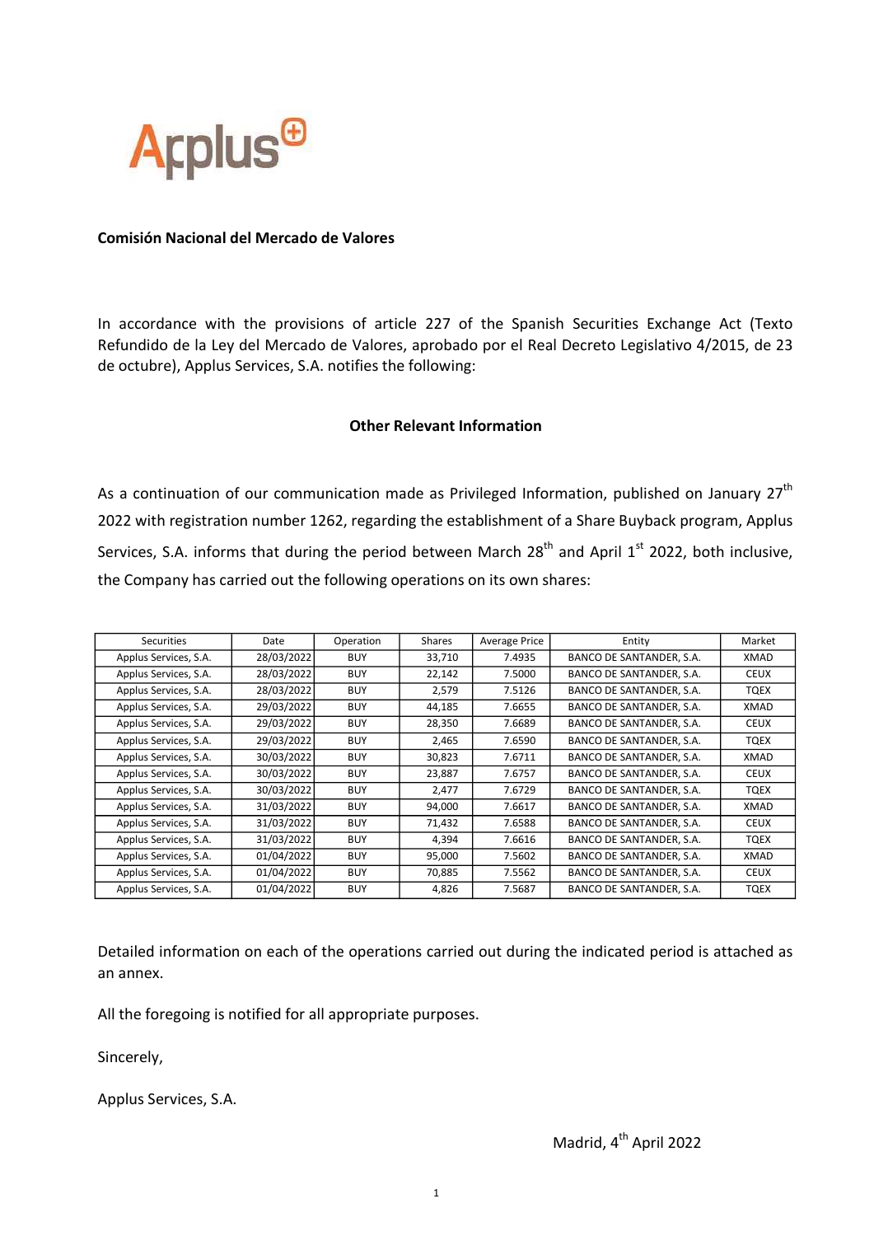

## Comisión Nacional del Mercado de Valores

In accordance with the provisions of article 227 of the Spanish Securities Exchange Act (Texto Refundido de la Ley del Mercado de Valores, aprobado por el Real Decreto Legislativo 4/2015, de 23 de octubre), Applus Services, S.A. notifies the following:

## Other Relevant Information

As a continuation of our communication made as Privileged Information, published on January  $27<sup>th</sup>$ 2022 with registration number 1262, regarding the establishment of a Share Buyback program, Applus Services, S.A. informs that during the period between March  $28<sup>th</sup>$  and April  $1<sup>st</sup>$  2022, both inclusive, the Company has carried out the following operations on its own shares:

| Securities            | Date       | Operation  | Shares | <b>Average Price</b> | Entity                   | Market      |
|-----------------------|------------|------------|--------|----------------------|--------------------------|-------------|
| Applus Services, S.A. | 28/03/2022 | <b>BUY</b> | 33,710 | 7.4935               | BANCO DE SANTANDER, S.A. | XMAD        |
| Applus Services, S.A. | 28/03/2022 | <b>BUY</b> | 22,142 | 7.5000               | BANCO DE SANTANDER, S.A. | <b>CEUX</b> |
| Applus Services, S.A. | 28/03/2022 | <b>BUY</b> | 2,579  | 7.5126               | BANCO DE SANTANDER, S.A. | TQEX        |
| Applus Services, S.A. | 29/03/2022 | <b>BUY</b> | 44,185 | 7.6655               | BANCO DE SANTANDER, S.A. | XMAD        |
| Applus Services, S.A. | 29/03/2022 | <b>BUY</b> | 28,350 | 7.6689               | BANCO DE SANTANDER, S.A. | <b>CEUX</b> |
| Applus Services, S.A. | 29/03/2022 | <b>BUY</b> | 2,465  | 7.6590               | BANCO DE SANTANDER, S.A. | TQEX        |
| Applus Services, S.A. | 30/03/2022 | <b>BUY</b> | 30,823 | 7.6711               | BANCO DE SANTANDER, S.A. | XMAD        |
| Applus Services, S.A. | 30/03/2022 | <b>BUY</b> | 23,887 | 7.6757               | BANCO DE SANTANDER, S.A. | <b>CEUX</b> |
| Applus Services, S.A. | 30/03/2022 | <b>BUY</b> | 2,477  | 7.6729               | BANCO DE SANTANDER, S.A. | TQEX        |
| Applus Services, S.A. | 31/03/2022 | <b>BUY</b> | 94,000 | 7.6617               | BANCO DE SANTANDER, S.A. | XMAD        |
| Applus Services, S.A. | 31/03/2022 | <b>BUY</b> | 71,432 | 7.6588               | BANCO DE SANTANDER, S.A. | <b>CEUX</b> |
| Applus Services, S.A. | 31/03/2022 | <b>BUY</b> | 4,394  | 7.6616               | BANCO DE SANTANDER, S.A. | TQEX        |
| Applus Services, S.A. | 01/04/2022 | <b>BUY</b> | 95,000 | 7.5602               | BANCO DE SANTANDER, S.A. | XMAD        |
| Applus Services, S.A. | 01/04/2022 | <b>BUY</b> | 70,885 | 7.5562               | BANCO DE SANTANDER, S.A. | <b>CEUX</b> |
| Applus Services, S.A. | 01/04/2022 | <b>BUY</b> | 4,826  | 7.5687               | BANCO DE SANTANDER, S.A. | <b>TQEX</b> |

Detailed information on each of the operations carried out during the indicated period is attached as an annex.

All the foregoing is notified for all appropriate purposes.

Sincerely,

Applus Services, S.A.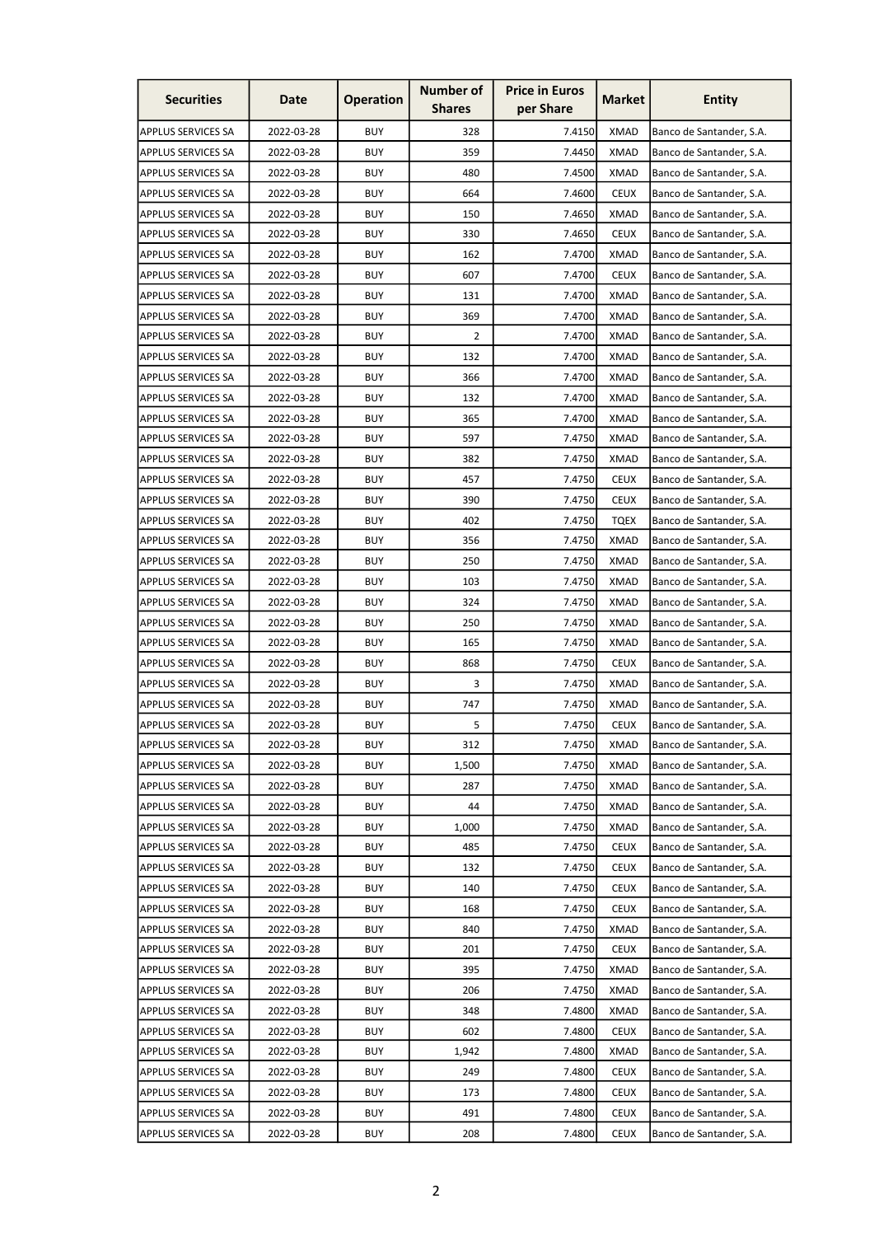| <b>Securities</b>         | Date       | <b>Operation</b> | <b>Number of</b><br><b>Shares</b> | <b>Price in Euros</b><br>per Share | <b>Market</b> | <b>Entity</b>            |
|---------------------------|------------|------------------|-----------------------------------|------------------------------------|---------------|--------------------------|
| <b>APPLUS SERVICES SA</b> | 2022-03-28 | <b>BUY</b>       | 328                               | 7.4150                             | <b>XMAD</b>   | Banco de Santander, S.A. |
| <b>APPLUS SERVICES SA</b> | 2022-03-28 | <b>BUY</b>       | 359                               | 7.4450                             | <b>XMAD</b>   | Banco de Santander, S.A. |
| <b>APPLUS SERVICES SA</b> | 2022-03-28 | <b>BUY</b>       | 480                               | 7.4500                             | <b>XMAD</b>   | Banco de Santander, S.A. |
| <b>APPLUS SERVICES SA</b> | 2022-03-28 | <b>BUY</b>       | 664                               | 7.4600                             | <b>CEUX</b>   | Banco de Santander, S.A. |
| <b>APPLUS SERVICES SA</b> | 2022-03-28 | <b>BUY</b>       | 150                               | 7.4650                             | <b>XMAD</b>   | Banco de Santander, S.A. |
| <b>APPLUS SERVICES SA</b> | 2022-03-28 | <b>BUY</b>       | 330                               | 7.4650                             | <b>CEUX</b>   | Banco de Santander, S.A. |
| <b>APPLUS SERVICES SA</b> | 2022-03-28 | BUY              | 162                               | 7.4700                             | XMAD          | Banco de Santander, S.A. |
| <b>APPLUS SERVICES SA</b> | 2022-03-28 | <b>BUY</b>       | 607                               | 7.4700                             | <b>CEUX</b>   | Banco de Santander, S.A. |
| <b>APPLUS SERVICES SA</b> | 2022-03-28 | <b>BUY</b>       | 131                               | 7.4700                             | <b>XMAD</b>   | Banco de Santander, S.A. |
| <b>APPLUS SERVICES SA</b> | 2022-03-28 | <b>BUY</b>       | 369                               | 7.4700                             | <b>XMAD</b>   | Banco de Santander, S.A. |
| <b>APPLUS SERVICES SA</b> | 2022-03-28 | <b>BUY</b>       | 2                                 | 7.4700                             | <b>XMAD</b>   | Banco de Santander, S.A. |
| <b>APPLUS SERVICES SA</b> | 2022-03-28 | <b>BUY</b>       | 132                               | 7.4700                             | <b>XMAD</b>   | Banco de Santander, S.A. |
| <b>APPLUS SERVICES SA</b> | 2022-03-28 | <b>BUY</b>       | 366                               | 7.4700                             | <b>XMAD</b>   | Banco de Santander, S.A. |
| <b>APPLUS SERVICES SA</b> | 2022-03-28 | <b>BUY</b>       | 132                               | 7.4700                             | <b>XMAD</b>   | Banco de Santander, S.A. |
| <b>APPLUS SERVICES SA</b> | 2022-03-28 | <b>BUY</b>       | 365                               | 7.4700                             | <b>XMAD</b>   | Banco de Santander, S.A. |
| <b>APPLUS SERVICES SA</b> | 2022-03-28 | <b>BUY</b>       | 597                               | 7.4750                             | <b>XMAD</b>   | Banco de Santander, S.A. |
| <b>APPLUS SERVICES SA</b> | 2022-03-28 | <b>BUY</b>       | 382                               | 7.4750                             | <b>XMAD</b>   | Banco de Santander, S.A. |
| <b>APPLUS SERVICES SA</b> | 2022-03-28 | <b>BUY</b>       | 457                               | 7.4750                             | <b>CEUX</b>   | Banco de Santander, S.A. |
| <b>APPLUS SERVICES SA</b> | 2022-03-28 | <b>BUY</b>       | 390                               | 7.4750                             | <b>CEUX</b>   | Banco de Santander, S.A. |
| <b>APPLUS SERVICES SA</b> | 2022-03-28 | <b>BUY</b>       | 402                               | 7.4750                             | TQEX          | Banco de Santander, S.A. |
| <b>APPLUS SERVICES SA</b> | 2022-03-28 | <b>BUY</b>       | 356                               | 7.4750                             | <b>XMAD</b>   | Banco de Santander, S.A. |
| <b>APPLUS SERVICES SA</b> | 2022-03-28 | <b>BUY</b>       | 250                               | 7.4750                             | <b>XMAD</b>   | Banco de Santander, S.A. |
| <b>APPLUS SERVICES SA</b> | 2022-03-28 | <b>BUY</b>       | 103                               | 7.4750                             | <b>XMAD</b>   | Banco de Santander, S.A. |
| <b>APPLUS SERVICES SA</b> | 2022-03-28 | <b>BUY</b>       | 324                               | 7.4750                             | <b>XMAD</b>   | Banco de Santander, S.A. |
| <b>APPLUS SERVICES SA</b> | 2022-03-28 | <b>BUY</b>       | 250                               | 7.4750                             | <b>XMAD</b>   | Banco de Santander, S.A. |
| <b>APPLUS SERVICES SA</b> | 2022-03-28 | <b>BUY</b>       | 165                               | 7.4750                             | XMAD          | Banco de Santander, S.A. |
| <b>APPLUS SERVICES SA</b> | 2022-03-28 | <b>BUY</b>       | 868                               | 7.4750                             | <b>CEUX</b>   | Banco de Santander, S.A. |
| <b>APPLUS SERVICES SA</b> | 2022-03-28 | <b>BUY</b>       | 3                                 | 7.4750                             | <b>XMAD</b>   | Banco de Santander, S.A. |
| <b>APPLUS SERVICES SA</b> | 2022-03-28 | <b>BUY</b>       | 747                               | 7.4750                             | <b>XMAD</b>   | Banco de Santander, S.A. |
| <b>APPLUS SERVICES SA</b> | 2022-03-28 | <b>BUY</b>       | 5                                 | 7.4750                             | <b>CEUX</b>   | Banco de Santander, S.A. |
| <b>APPLUS SERVICES SA</b> | 2022-03-28 | <b>BUY</b>       | 312                               | 7.4750                             | <b>XMAD</b>   | Banco de Santander, S.A. |
| <b>APPLUS SERVICES SA</b> | 2022-03-28 | <b>BUY</b>       | 1,500                             | 7.4750                             | <b>XMAD</b>   | Banco de Santander, S.A. |
| <b>APPLUS SERVICES SA</b> | 2022-03-28 | <b>BUY</b>       | 287                               | 7.4750                             | <b>XMAD</b>   | Banco de Santander, S.A. |
| <b>APPLUS SERVICES SA</b> | 2022-03-28 | <b>BUY</b>       | 44                                | 7.4750                             | <b>XMAD</b>   | Banco de Santander, S.A. |
| <b>APPLUS SERVICES SA</b> | 2022-03-28 | <b>BUY</b>       | 1,000                             | 7.4750                             | <b>XMAD</b>   | Banco de Santander, S.A. |
| <b>APPLUS SERVICES SA</b> | 2022-03-28 | <b>BUY</b>       | 485                               | 7.4750                             | <b>CEUX</b>   | Banco de Santander, S.A. |
| <b>APPLUS SERVICES SA</b> | 2022-03-28 | <b>BUY</b>       | 132                               | 7.4750                             | <b>CEUX</b>   | Banco de Santander, S.A. |
| <b>APPLUS SERVICES SA</b> | 2022-03-28 | <b>BUY</b>       | 140                               | 7.4750                             | <b>CEUX</b>   | Banco de Santander, S.A. |
| <b>APPLUS SERVICES SA</b> | 2022-03-28 | <b>BUY</b>       | 168                               | 7.4750                             | <b>CEUX</b>   | Banco de Santander, S.A. |
| <b>APPLUS SERVICES SA</b> | 2022-03-28 | <b>BUY</b>       | 840                               | 7.4750                             | <b>XMAD</b>   | Banco de Santander, S.A. |
| <b>APPLUS SERVICES SA</b> | 2022-03-28 | <b>BUY</b>       | 201                               | 7.4750                             | <b>CEUX</b>   | Banco de Santander, S.A. |
| <b>APPLUS SERVICES SA</b> | 2022-03-28 | <b>BUY</b>       | 395                               | 7.4750                             | <b>XMAD</b>   | Banco de Santander, S.A. |
| <b>APPLUS SERVICES SA</b> | 2022-03-28 | <b>BUY</b>       | 206                               | 7.4750                             | <b>XMAD</b>   | Banco de Santander, S.A. |
| <b>APPLUS SERVICES SA</b> | 2022-03-28 | <b>BUY</b>       | 348                               | 7.4800                             | <b>XMAD</b>   | Banco de Santander, S.A. |
| <b>APPLUS SERVICES SA</b> | 2022-03-28 | <b>BUY</b>       | 602                               | 7.4800                             | <b>CEUX</b>   | Banco de Santander, S.A. |
| <b>APPLUS SERVICES SA</b> | 2022-03-28 | <b>BUY</b>       | 1,942                             | 7.4800                             | <b>XMAD</b>   | Banco de Santander, S.A. |
| <b>APPLUS SERVICES SA</b> | 2022-03-28 | <b>BUY</b>       | 249                               | 7.4800                             | <b>CEUX</b>   | Banco de Santander, S.A. |
| <b>APPLUS SERVICES SA</b> | 2022-03-28 | <b>BUY</b>       | 173                               | 7.4800                             | <b>CEUX</b>   | Banco de Santander, S.A. |
| <b>APPLUS SERVICES SA</b> | 2022-03-28 | <b>BUY</b>       | 491                               | 7.4800                             | <b>CEUX</b>   | Banco de Santander, S.A. |
| <b>APPLUS SERVICES SA</b> | 2022-03-28 | <b>BUY</b>       | 208                               | 7.4800                             | <b>CEUX</b>   | Banco de Santander, S.A. |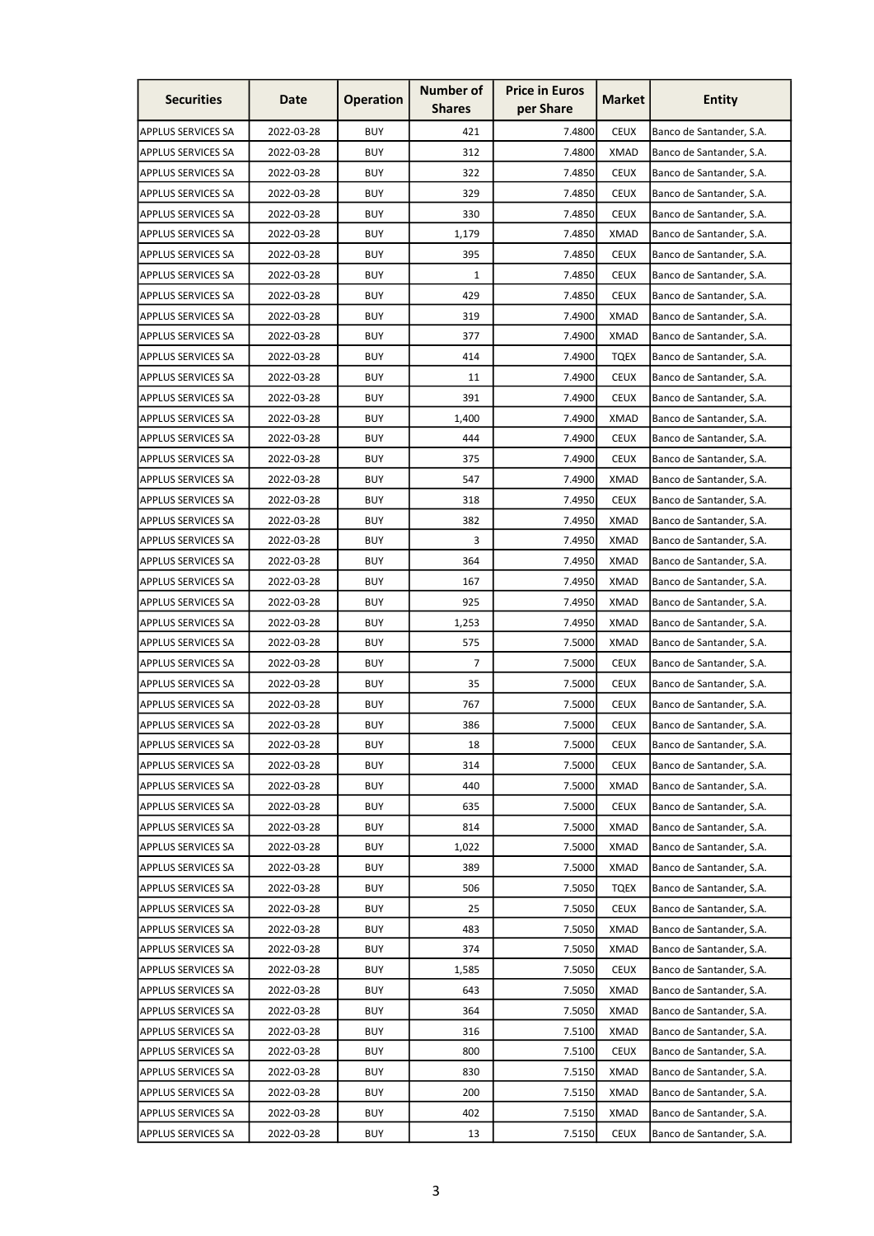| <b>Securities</b>         | Date       | <b>Operation</b> | <b>Number of</b><br><b>Shares</b> | <b>Price in Euros</b><br>per Share | <b>Market</b> | <b>Entity</b>            |
|---------------------------|------------|------------------|-----------------------------------|------------------------------------|---------------|--------------------------|
| <b>APPLUS SERVICES SA</b> | 2022-03-28 | <b>BUY</b>       | 421                               | 7.4800                             | <b>CEUX</b>   | Banco de Santander, S.A. |
| <b>APPLUS SERVICES SA</b> | 2022-03-28 | <b>BUY</b>       | 312                               | 7.4800                             | <b>XMAD</b>   | Banco de Santander, S.A. |
| <b>APPLUS SERVICES SA</b> | 2022-03-28 | <b>BUY</b>       | 322                               | 7.4850                             | <b>CEUX</b>   | Banco de Santander, S.A. |
| <b>APPLUS SERVICES SA</b> | 2022-03-28 | <b>BUY</b>       | 329                               | 7.4850                             | <b>CEUX</b>   | Banco de Santander, S.A. |
| <b>APPLUS SERVICES SA</b> | 2022-03-28 | <b>BUY</b>       | 330                               | 7.4850                             | <b>CEUX</b>   | Banco de Santander, S.A. |
| <b>APPLUS SERVICES SA</b> | 2022-03-28 | <b>BUY</b>       | 1,179                             | 7.4850                             | <b>XMAD</b>   | Banco de Santander, S.A. |
| APPLUS SERVICES SA        | 2022-03-28 | <b>BUY</b>       | 395                               | 7.4850                             | <b>CEUX</b>   | Banco de Santander, S.A. |
| <b>APPLUS SERVICES SA</b> | 2022-03-28 | <b>BUY</b>       | 1                                 | 7.4850                             | <b>CEUX</b>   | Banco de Santander, S.A. |
| <b>APPLUS SERVICES SA</b> | 2022-03-28 | <b>BUY</b>       | 429                               | 7.4850                             | <b>CEUX</b>   | Banco de Santander, S.A. |
| <b>APPLUS SERVICES SA</b> | 2022-03-28 | <b>BUY</b>       | 319                               | 7.4900                             | <b>XMAD</b>   | Banco de Santander, S.A. |
| <b>APPLUS SERVICES SA</b> | 2022-03-28 | <b>BUY</b>       | 377                               | 7.4900                             | <b>XMAD</b>   | Banco de Santander, S.A. |
| <b>APPLUS SERVICES SA</b> | 2022-03-28 | <b>BUY</b>       | 414                               | 7.4900                             | <b>TQEX</b>   | Banco de Santander, S.A. |
| <b>APPLUS SERVICES SA</b> | 2022-03-28 | <b>BUY</b>       | 11                                | 7.4900                             | <b>CEUX</b>   | Banco de Santander, S.A. |
| <b>APPLUS SERVICES SA</b> | 2022-03-28 | <b>BUY</b>       | 391                               | 7.4900                             | <b>CEUX</b>   | Banco de Santander, S.A. |
| <b>APPLUS SERVICES SA</b> | 2022-03-28 | <b>BUY</b>       | 1,400                             | 7.4900                             | <b>XMAD</b>   | Banco de Santander, S.A. |
| <b>APPLUS SERVICES SA</b> | 2022-03-28 | <b>BUY</b>       | 444                               | 7.4900                             | <b>CEUX</b>   | Banco de Santander, S.A. |
| <b>APPLUS SERVICES SA</b> | 2022-03-28 | <b>BUY</b>       | 375                               | 7.4900                             | <b>CEUX</b>   | Banco de Santander, S.A. |
| <b>APPLUS SERVICES SA</b> | 2022-03-28 | <b>BUY</b>       | 547                               | 7.4900                             | <b>XMAD</b>   | Banco de Santander, S.A. |
| <b>APPLUS SERVICES SA</b> | 2022-03-28 | <b>BUY</b>       | 318                               | 7.4950                             | <b>CEUX</b>   | Banco de Santander, S.A. |
| <b>APPLUS SERVICES SA</b> | 2022-03-28 | <b>BUY</b>       | 382                               | 7.4950                             | XMAD          | Banco de Santander, S.A. |
| <b>APPLUS SERVICES SA</b> | 2022-03-28 | <b>BUY</b>       | 3                                 | 7.4950                             | <b>XMAD</b>   | Banco de Santander, S.A. |
| <b>APPLUS SERVICES SA</b> | 2022-03-28 | <b>BUY</b>       | 364                               | 7.4950                             | <b>XMAD</b>   | Banco de Santander, S.A. |
| <b>APPLUS SERVICES SA</b> | 2022-03-28 | <b>BUY</b>       | 167                               | 7.4950                             | <b>XMAD</b>   | Banco de Santander, S.A. |
| <b>APPLUS SERVICES SA</b> | 2022-03-28 | <b>BUY</b>       | 925                               | 7.4950                             | <b>XMAD</b>   | Banco de Santander, S.A. |
| <b>APPLUS SERVICES SA</b> | 2022-03-28 | <b>BUY</b>       | 1,253                             | 7.4950                             | <b>XMAD</b>   | Banco de Santander, S.A. |
| <b>APPLUS SERVICES SA</b> | 2022-03-28 | <b>BUY</b>       | 575                               | 7.5000                             | XMAD          | Banco de Santander, S.A. |
| <b>APPLUS SERVICES SA</b> | 2022-03-28 | <b>BUY</b>       | 7                                 | 7.5000                             | <b>CEUX</b>   | Banco de Santander, S.A. |
| <b>APPLUS SERVICES SA</b> | 2022-03-28 | <b>BUY</b>       | 35                                | 7.5000                             | <b>CEUX</b>   | Banco de Santander, S.A. |
| APPLUS SERVICES SA        | 2022-03-28 | <b>BUY</b>       | 767                               | 7.5000                             | <b>CEUX</b>   | Banco de Santander, S.A. |
| <b>APPLUS SERVICES SA</b> | 2022-03-28 | <b>BUY</b>       | 386                               | 7.5000                             | <b>CEUX</b>   | Banco de Santander, S.A. |
| <b>APPLUS SERVICES SA</b> | 2022-03-28 | <b>BUY</b>       | 18                                | 7.5000                             | <b>CEUX</b>   | Banco de Santander, S.A. |
| <b>APPLUS SERVICES SA</b> | 2022-03-28 | <b>BUY</b>       | 314                               | 7.5000                             | <b>CEUX</b>   | Banco de Santander, S.A. |
| <b>APPLUS SERVICES SA</b> | 2022-03-28 | <b>BUY</b>       | 440                               | 7.5000                             | <b>XMAD</b>   | Banco de Santander, S.A. |
| <b>APPLUS SERVICES SA</b> | 2022-03-28 | <b>BUY</b>       | 635                               | 7.5000                             | <b>CEUX</b>   | Banco de Santander, S.A. |
| <b>APPLUS SERVICES SA</b> | 2022-03-28 | <b>BUY</b>       | 814                               | 7.5000                             | <b>XMAD</b>   | Banco de Santander, S.A. |
| <b>APPLUS SERVICES SA</b> | 2022-03-28 | <b>BUY</b>       | 1,022                             | 7.5000                             | <b>XMAD</b>   | Banco de Santander, S.A. |
| <b>APPLUS SERVICES SA</b> | 2022-03-28 | <b>BUY</b>       | 389                               | 7.5000                             | <b>XMAD</b>   | Banco de Santander, S.A. |
| <b>APPLUS SERVICES SA</b> | 2022-03-28 | <b>BUY</b>       | 506                               | 7.5050                             | <b>TQEX</b>   | Banco de Santander, S.A. |
| <b>APPLUS SERVICES SA</b> | 2022-03-28 | <b>BUY</b>       | 25                                | 7.5050                             | <b>CEUX</b>   | Banco de Santander, S.A. |
| <b>APPLUS SERVICES SA</b> | 2022-03-28 | <b>BUY</b>       | 483                               | 7.5050                             | <b>XMAD</b>   | Banco de Santander, S.A. |
| <b>APPLUS SERVICES SA</b> | 2022-03-28 | <b>BUY</b>       | 374                               | 7.5050                             | <b>XMAD</b>   | Banco de Santander, S.A. |
| <b>APPLUS SERVICES SA</b> | 2022-03-28 | <b>BUY</b>       | 1,585                             | 7.5050                             | <b>CEUX</b>   | Banco de Santander, S.A. |
| <b>APPLUS SERVICES SA</b> | 2022-03-28 | <b>BUY</b>       | 643                               | 7.5050                             | <b>XMAD</b>   | Banco de Santander, S.A. |
| <b>APPLUS SERVICES SA</b> | 2022-03-28 | <b>BUY</b>       | 364                               | 7.5050                             | <b>XMAD</b>   | Banco de Santander, S.A. |
| <b>APPLUS SERVICES SA</b> | 2022-03-28 | <b>BUY</b>       | 316                               | 7.5100                             | <b>XMAD</b>   | Banco de Santander, S.A. |
| <b>APPLUS SERVICES SA</b> | 2022-03-28 | <b>BUY</b>       | 800                               | 7.5100                             | <b>CEUX</b>   | Banco de Santander, S.A. |
| <b>APPLUS SERVICES SA</b> | 2022-03-28 | <b>BUY</b>       | 830                               | 7.5150                             | <b>XMAD</b>   | Banco de Santander, S.A. |
| APPLUS SERVICES SA        | 2022-03-28 | <b>BUY</b>       | 200                               | 7.5150                             | <b>XMAD</b>   | Banco de Santander, S.A. |
| <b>APPLUS SERVICES SA</b> | 2022-03-28 | <b>BUY</b>       | 402                               | 7.5150                             | <b>XMAD</b>   | Banco de Santander, S.A. |
| <b>APPLUS SERVICES SA</b> | 2022-03-28 | <b>BUY</b>       | 13                                | 7.5150                             | <b>CEUX</b>   | Banco de Santander, S.A. |
|                           |            |                  |                                   |                                    |               |                          |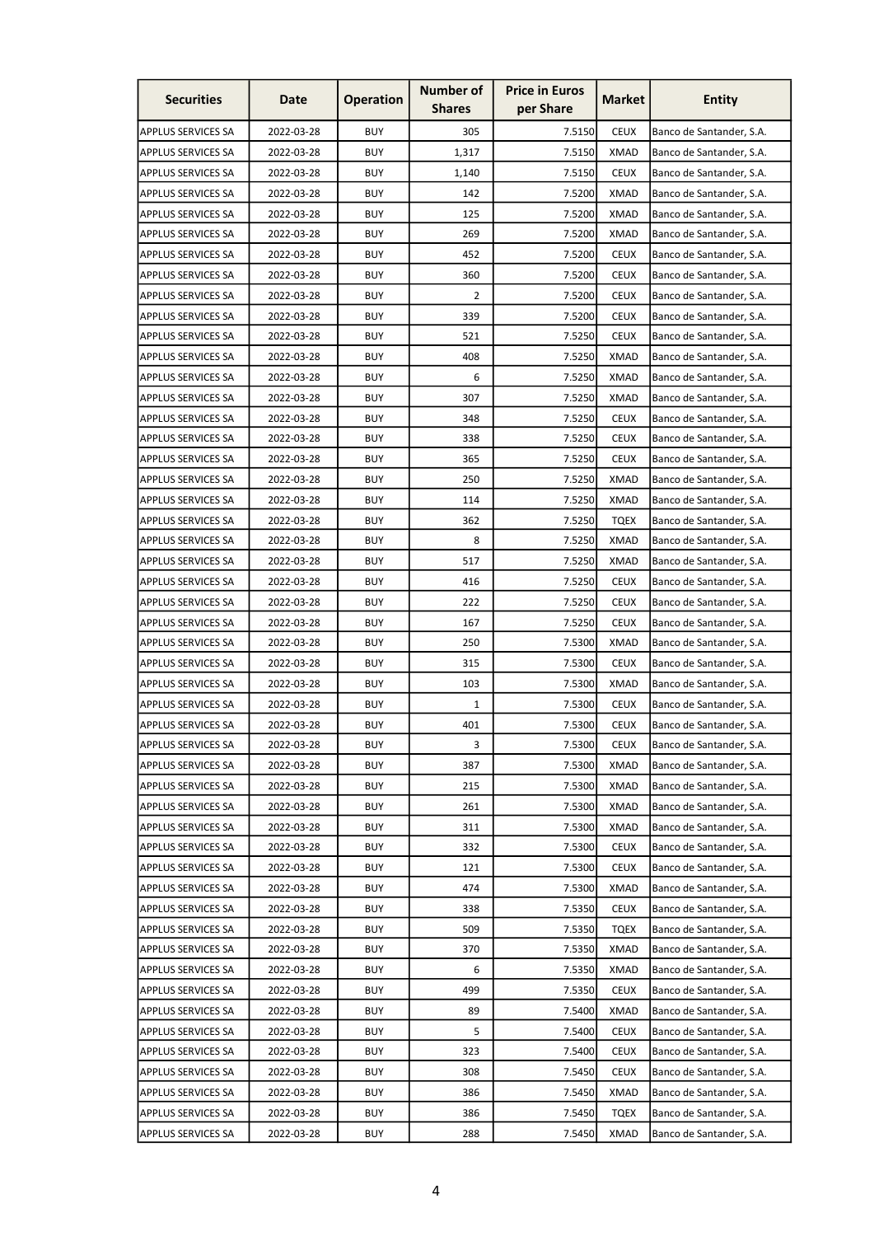| <b>Securities</b>                               | Date       | <b>Operation</b> | <b>Number of</b><br><b>Shares</b> | <b>Price in Euros</b><br>per Share | <b>Market</b> | <b>Entity</b>            |
|-------------------------------------------------|------------|------------------|-----------------------------------|------------------------------------|---------------|--------------------------|
| <b>APPLUS SERVICES SA</b>                       | 2022-03-28 | <b>BUY</b>       | 305                               | 7.5150                             | <b>CEUX</b>   | Banco de Santander, S.A. |
| <b>APPLUS SERVICES SA</b>                       | 2022-03-28 | <b>BUY</b>       | 1,317                             | 7.5150                             | <b>XMAD</b>   | Banco de Santander, S.A. |
| <b>APPLUS SERVICES SA</b>                       | 2022-03-28 | <b>BUY</b>       | 1,140                             | 7.5150                             | <b>CEUX</b>   | Banco de Santander, S.A. |
| <b>APPLUS SERVICES SA</b>                       | 2022-03-28 | <b>BUY</b>       | 142                               | 7.5200                             | <b>XMAD</b>   | Banco de Santander, S.A. |
| <b>APPLUS SERVICES SA</b>                       | 2022-03-28 | <b>BUY</b>       | 125                               | 7.5200                             | <b>XMAD</b>   | Banco de Santander, S.A. |
| <b>APPLUS SERVICES SA</b>                       | 2022-03-28 | <b>BUY</b>       | 269                               | 7.5200                             | <b>XMAD</b>   | Banco de Santander, S.A. |
| <b>APPLUS SERVICES SA</b>                       | 2022-03-28 | <b>BUY</b>       | 452                               | 7.5200                             | <b>CEUX</b>   | Banco de Santander, S.A. |
| <b>APPLUS SERVICES SA</b>                       | 2022-03-28 | <b>BUY</b>       | 360                               | 7.5200                             | <b>CEUX</b>   | Banco de Santander, S.A. |
| <b>APPLUS SERVICES SA</b>                       | 2022-03-28 | <b>BUY</b>       | 2                                 | 7.5200                             | <b>CEUX</b>   | Banco de Santander, S.A. |
| <b>APPLUS SERVICES SA</b>                       | 2022-03-28 | <b>BUY</b>       | 339                               | 7.5200                             | <b>CEUX</b>   | Banco de Santander, S.A. |
| <b>APPLUS SERVICES SA</b>                       | 2022-03-28 | <b>BUY</b>       | 521                               | 7.5250                             | <b>CEUX</b>   | Banco de Santander, S.A. |
| <b>APPLUS SERVICES SA</b>                       | 2022-03-28 | <b>BUY</b>       | 408                               | 7.5250                             | <b>XMAD</b>   | Banco de Santander, S.A. |
| <b>APPLUS SERVICES SA</b>                       | 2022-03-28 | <b>BUY</b>       | 6                                 | 7.5250                             | <b>XMAD</b>   | Banco de Santander, S.A. |
| <b>APPLUS SERVICES SA</b>                       | 2022-03-28 | <b>BUY</b>       | 307                               | 7.5250                             | XMAD          | Banco de Santander, S.A. |
| <b>APPLUS SERVICES SA</b>                       | 2022-03-28 | <b>BUY</b>       | 348                               | 7.5250                             | <b>CEUX</b>   | Banco de Santander, S.A. |
| <b>APPLUS SERVICES SA</b>                       | 2022-03-28 | <b>BUY</b>       | 338                               | 7.5250                             | <b>CEUX</b>   | Banco de Santander, S.A. |
| <b>APPLUS SERVICES SA</b>                       | 2022-03-28 | <b>BUY</b>       | 365                               | 7.5250                             | <b>CEUX</b>   | Banco de Santander, S.A. |
| <b>APPLUS SERVICES SA</b>                       | 2022-03-28 | <b>BUY</b>       | 250                               | 7.5250                             | <b>XMAD</b>   | Banco de Santander, S.A. |
| <b>APPLUS SERVICES SA</b>                       | 2022-03-28 | <b>BUY</b>       | 114                               | 7.5250                             | <b>XMAD</b>   | Banco de Santander, S.A. |
| <b>APPLUS SERVICES SA</b>                       | 2022-03-28 | <b>BUY</b>       | 362                               | 7.5250                             | <b>TQEX</b>   | Banco de Santander, S.A. |
| <b>APPLUS SERVICES SA</b>                       | 2022-03-28 | <b>BUY</b>       | 8                                 | 7.5250                             | <b>XMAD</b>   | Banco de Santander, S.A. |
| <b>APPLUS SERVICES SA</b>                       | 2022-03-28 | <b>BUY</b>       | 517                               | 7.5250                             | <b>XMAD</b>   | Banco de Santander, S.A. |
| <b>APPLUS SERVICES SA</b>                       | 2022-03-28 | <b>BUY</b>       | 416                               | 7.5250                             | <b>CEUX</b>   | Banco de Santander, S.A. |
| <b>APPLUS SERVICES SA</b>                       | 2022-03-28 | <b>BUY</b>       | 222                               | 7.5250                             | <b>CEUX</b>   | Banco de Santander, S.A. |
| <b>APPLUS SERVICES SA</b>                       | 2022-03-28 | <b>BUY</b>       | 167                               | 7.5250                             | <b>CEUX</b>   | Banco de Santander, S.A. |
| <b>APPLUS SERVICES SA</b>                       | 2022-03-28 | <b>BUY</b>       | 250                               | 7.5300                             | XMAD          | Banco de Santander, S.A. |
| <b>APPLUS SERVICES SA</b>                       | 2022-03-28 | <b>BUY</b>       | 315                               | 7.5300                             | <b>CEUX</b>   |                          |
| <b>APPLUS SERVICES SA</b>                       | 2022-03-28 | <b>BUY</b>       | 103                               | 7.5300                             | <b>XMAD</b>   | Banco de Santander, S.A. |
|                                                 | 2022-03-28 | <b>BUY</b>       |                                   |                                    |               | Banco de Santander, S.A. |
| APPLUS SERVICES SA<br><b>APPLUS SERVICES SA</b> |            |                  | 1                                 | 7.5300                             | <b>CEUX</b>   | Banco de Santander, S.A. |
|                                                 | 2022-03-28 | <b>BUY</b>       | 401                               | 7.5300                             | <b>CEUX</b>   | Banco de Santander, S.A. |
| <b>APPLUS SERVICES SA</b>                       | 2022-03-28 | <b>BUY</b>       | 3                                 | 7.5300                             | <b>CEUX</b>   | Banco de Santander, S.A. |
| <b>APPLUS SERVICES SA</b>                       | 2022-03-28 | <b>BUY</b>       | 387                               | 7.5300                             | XMAD          | Banco de Santander, S.A. |
| <b>APPLUS SERVICES SA</b>                       | 2022-03-28 | <b>BUY</b>       | 215                               | 7.5300                             | <b>XMAD</b>   | Banco de Santander, S.A. |
| <b>APPLUS SERVICES SA</b>                       | 2022-03-28 | <b>BUY</b>       | 261                               | 7.5300                             | <b>XMAD</b>   | Banco de Santander, S.A. |
| <b>APPLUS SERVICES SA</b>                       | 2022-03-28 | <b>BUY</b>       | 311                               | 7.5300                             | <b>XMAD</b>   | Banco de Santander, S.A. |
| <b>APPLUS SERVICES SA</b>                       | 2022-03-28 | <b>BUY</b>       | 332                               | 7.5300                             | <b>CEUX</b>   | Banco de Santander, S.A. |
| <b>APPLUS SERVICES SA</b>                       | 2022-03-28 | <b>BUY</b>       | 121                               | 7.5300                             | <b>CEUX</b>   | Banco de Santander, S.A. |
| <b>APPLUS SERVICES SA</b>                       | 2022-03-28 | <b>BUY</b>       | 474                               | 7.5300                             | <b>XMAD</b>   | Banco de Santander, S.A. |
| <b>APPLUS SERVICES SA</b>                       | 2022-03-28 | <b>BUY</b>       | 338                               | 7.5350                             | <b>CEUX</b>   | Banco de Santander, S.A. |
| <b>APPLUS SERVICES SA</b>                       | 2022-03-28 | <b>BUY</b>       | 509                               | 7.5350                             | <b>TQEX</b>   | Banco de Santander, S.A. |
| <b>APPLUS SERVICES SA</b>                       | 2022-03-28 | <b>BUY</b>       | 370                               | 7.5350                             | <b>XMAD</b>   | Banco de Santander, S.A. |
| <b>APPLUS SERVICES SA</b>                       | 2022-03-28 | <b>BUY</b>       | 6                                 | 7.5350                             | <b>XMAD</b>   | Banco de Santander, S.A. |
| <b>APPLUS SERVICES SA</b>                       | 2022-03-28 | <b>BUY</b>       | 499                               | 7.5350                             | <b>CEUX</b>   | Banco de Santander, S.A. |
| <b>APPLUS SERVICES SA</b>                       | 2022-03-28 | <b>BUY</b>       | 89                                | 7.5400                             | <b>XMAD</b>   | Banco de Santander, S.A. |
| <b>APPLUS SERVICES SA</b>                       | 2022-03-28 | <b>BUY</b>       | 5                                 | 7.5400                             | <b>CEUX</b>   | Banco de Santander, S.A. |
| <b>APPLUS SERVICES SA</b>                       | 2022-03-28 | <b>BUY</b>       | 323                               | 7.5400                             | <b>CEUX</b>   | Banco de Santander, S.A. |
| <b>APPLUS SERVICES SA</b>                       | 2022-03-28 | <b>BUY</b>       | 308                               | 7.5450                             | <b>CEUX</b>   | Banco de Santander, S.A. |
| <b>APPLUS SERVICES SA</b>                       | 2022-03-28 | <b>BUY</b>       | 386                               | 7.5450                             | <b>XMAD</b>   | Banco de Santander, S.A. |
| <b>APPLUS SERVICES SA</b>                       | 2022-03-28 | <b>BUY</b>       | 386                               | 7.5450                             | <b>TQEX</b>   | Banco de Santander, S.A. |
| <b>APPLUS SERVICES SA</b>                       | 2022-03-28 | <b>BUY</b>       | 288                               | 7.5450                             | <b>XMAD</b>   | Banco de Santander, S.A. |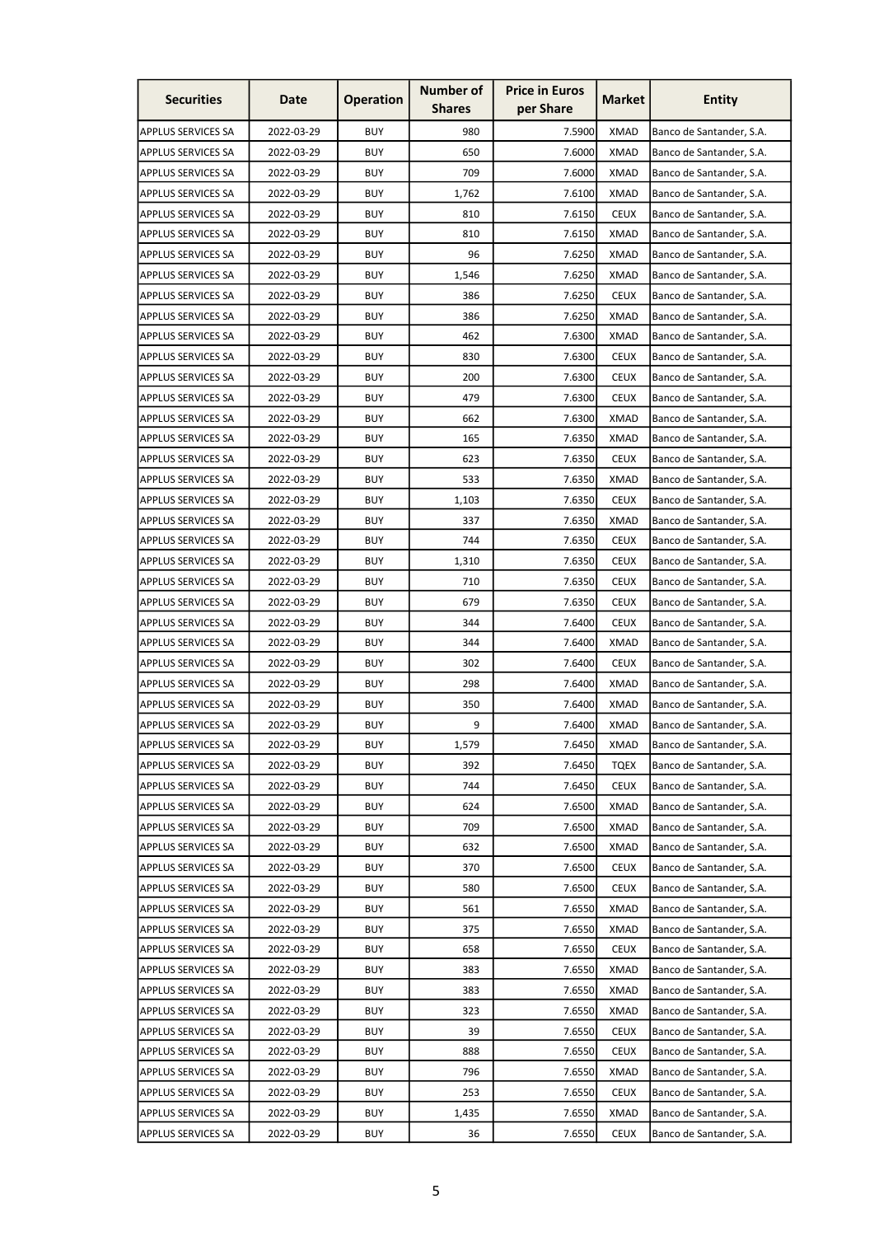| <b>Securities</b>         | Date       | <b>Operation</b> | <b>Number of</b><br><b>Shares</b> | <b>Price in Euros</b><br>per Share | <b>Market</b> | <b>Entity</b>            |
|---------------------------|------------|------------------|-----------------------------------|------------------------------------|---------------|--------------------------|
| <b>APPLUS SERVICES SA</b> | 2022-03-29 | <b>BUY</b>       | 980                               | 7.5900                             | <b>XMAD</b>   | Banco de Santander, S.A. |
| <b>APPLUS SERVICES SA</b> | 2022-03-29 | <b>BUY</b>       | 650                               | 7.6000                             | <b>XMAD</b>   | Banco de Santander, S.A. |
| <b>APPLUS SERVICES SA</b> | 2022-03-29 | <b>BUY</b>       | 709                               | 7.6000                             | <b>XMAD</b>   | Banco de Santander, S.A. |
| <b>APPLUS SERVICES SA</b> | 2022-03-29 | <b>BUY</b>       | 1,762                             | 7.6100                             | <b>XMAD</b>   | Banco de Santander, S.A. |
| <b>APPLUS SERVICES SA</b> | 2022-03-29 | <b>BUY</b>       | 810                               | 7.6150                             | <b>CEUX</b>   | Banco de Santander, S.A. |
| <b>APPLUS SERVICES SA</b> | 2022-03-29 | <b>BUY</b>       | 810                               | 7.6150                             | <b>XMAD</b>   | Banco de Santander, S.A. |
| <b>APPLUS SERVICES SA</b> | 2022-03-29 | BUY              | 96                                | 7.6250                             | XMAD          | Banco de Santander, S.A. |
| <b>APPLUS SERVICES SA</b> | 2022-03-29 | <b>BUY</b>       | 1,546                             | 7.6250                             | <b>XMAD</b>   | Banco de Santander, S.A. |
| <b>APPLUS SERVICES SA</b> | 2022-03-29 | <b>BUY</b>       | 386                               | 7.6250                             | <b>CEUX</b>   | Banco de Santander, S.A. |
| <b>APPLUS SERVICES SA</b> | 2022-03-29 | <b>BUY</b>       | 386                               | 7.6250                             | <b>XMAD</b>   | Banco de Santander, S.A. |
| <b>APPLUS SERVICES SA</b> | 2022-03-29 | <b>BUY</b>       | 462                               | 7.6300                             | <b>XMAD</b>   | Banco de Santander, S.A. |
| <b>APPLUS SERVICES SA</b> | 2022-03-29 | <b>BUY</b>       | 830                               | 7.6300                             | <b>CEUX</b>   | Banco de Santander, S.A. |
| <b>APPLUS SERVICES SA</b> | 2022-03-29 | <b>BUY</b>       | 200                               | 7.6300                             | <b>CEUX</b>   | Banco de Santander, S.A. |
| <b>APPLUS SERVICES SA</b> | 2022-03-29 | <b>BUY</b>       | 479                               | 7.6300                             | <b>CEUX</b>   | Banco de Santander, S.A. |
| <b>APPLUS SERVICES SA</b> | 2022-03-29 | <b>BUY</b>       | 662                               | 7.6300                             | <b>XMAD</b>   | Banco de Santander, S.A. |
| <b>APPLUS SERVICES SA</b> | 2022-03-29 | <b>BUY</b>       | 165                               | 7.6350                             | <b>XMAD</b>   | Banco de Santander, S.A. |
| <b>APPLUS SERVICES SA</b> | 2022-03-29 | <b>BUY</b>       | 623                               | 7.6350                             | <b>CEUX</b>   | Banco de Santander, S.A. |
| <b>APPLUS SERVICES SA</b> | 2022-03-29 | <b>BUY</b>       | 533                               | 7.6350                             | <b>XMAD</b>   | Banco de Santander, S.A. |
| <b>APPLUS SERVICES SA</b> | 2022-03-29 | <b>BUY</b>       | 1,103                             | 7.6350                             | <b>CEUX</b>   | Banco de Santander, S.A. |
| <b>APPLUS SERVICES SA</b> | 2022-03-29 | <b>BUY</b>       | 337                               | 7.6350                             | <b>XMAD</b>   | Banco de Santander, S.A. |
| <b>APPLUS SERVICES SA</b> | 2022-03-29 | <b>BUY</b>       | 744                               | 7.6350                             | <b>CEUX</b>   | Banco de Santander, S.A. |
| <b>APPLUS SERVICES SA</b> | 2022-03-29 | <b>BUY</b>       | 1,310                             | 7.6350                             | <b>CEUX</b>   | Banco de Santander, S.A. |
| <b>APPLUS SERVICES SA</b> | 2022-03-29 | <b>BUY</b>       | 710                               | 7.6350                             | <b>CEUX</b>   | Banco de Santander, S.A. |
| <b>APPLUS SERVICES SA</b> | 2022-03-29 | <b>BUY</b>       | 679                               | 7.6350                             | <b>CEUX</b>   | Banco de Santander, S.A. |
| <b>APPLUS SERVICES SA</b> | 2022-03-29 | <b>BUY</b>       | 344                               | 7.6400                             | <b>CEUX</b>   | Banco de Santander, S.A. |
| <b>APPLUS SERVICES SA</b> | 2022-03-29 | <b>BUY</b>       | 344                               | 7.6400                             | XMAD          | Banco de Santander, S.A. |
| <b>APPLUS SERVICES SA</b> | 2022-03-29 | <b>BUY</b>       | 302                               | 7.6400                             | <b>CEUX</b>   | Banco de Santander, S.A. |
| <b>APPLUS SERVICES SA</b> | 2022-03-29 | <b>BUY</b>       | 298                               | 7.6400                             | <b>XMAD</b>   | Banco de Santander, S.A. |
| <b>APPLUS SERVICES SA</b> | 2022-03-29 | <b>BUY</b>       | 350                               | 7.6400                             | <b>XMAD</b>   | Banco de Santander, S.A. |
| <b>APPLUS SERVICES SA</b> | 2022-03-29 | <b>BUY</b>       | 9                                 | 7.6400                             | <b>XMAD</b>   | Banco de Santander, S.A. |
| <b>APPLUS SERVICES SA</b> | 2022-03-29 | <b>BUY</b>       | 1,579                             | 7.6450                             | <b>XMAD</b>   | Banco de Santander, S.A. |
| <b>APPLUS SERVICES SA</b> | 2022-03-29 | <b>BUY</b>       | 392                               | 7.6450                             | <b>TQEX</b>   | Banco de Santander, S.A. |
| <b>APPLUS SERVICES SA</b> | 2022-03-29 | <b>BUY</b>       | 744                               | 7.6450                             | <b>CEUX</b>   | Banco de Santander, S.A. |
| <b>APPLUS SERVICES SA</b> | 2022-03-29 | <b>BUY</b>       | 624                               | 7.6500                             | <b>XMAD</b>   | Banco de Santander, S.A. |
| <b>APPLUS SERVICES SA</b> | 2022-03-29 | <b>BUY</b>       | 709                               | 7.6500                             | <b>XMAD</b>   | Banco de Santander, S.A. |
| <b>APPLUS SERVICES SA</b> | 2022-03-29 | <b>BUY</b>       | 632                               | 7.6500                             | <b>XMAD</b>   | Banco de Santander, S.A. |
| <b>APPLUS SERVICES SA</b> | 2022-03-29 | <b>BUY</b>       | 370                               | 7.6500                             | <b>CEUX</b>   | Banco de Santander, S.A. |
| <b>APPLUS SERVICES SA</b> | 2022-03-29 | <b>BUY</b>       | 580                               | 7.6500                             | <b>CEUX</b>   | Banco de Santander, S.A. |
| <b>APPLUS SERVICES SA</b> | 2022-03-29 | <b>BUY</b>       | 561                               | 7.6550                             | <b>XMAD</b>   | Banco de Santander, S.A. |
| <b>APPLUS SERVICES SA</b> | 2022-03-29 | <b>BUY</b>       | 375                               | 7.6550                             | <b>XMAD</b>   | Banco de Santander, S.A. |
| <b>APPLUS SERVICES SA</b> | 2022-03-29 | <b>BUY</b>       | 658                               | 7.6550                             | <b>CEUX</b>   | Banco de Santander, S.A. |
| <b>APPLUS SERVICES SA</b> | 2022-03-29 | <b>BUY</b>       | 383                               | 7.6550                             | <b>XMAD</b>   | Banco de Santander, S.A. |
| <b>APPLUS SERVICES SA</b> | 2022-03-29 | <b>BUY</b>       | 383                               | 7.6550                             | <b>XMAD</b>   | Banco de Santander, S.A. |
| <b>APPLUS SERVICES SA</b> | 2022-03-29 | <b>BUY</b>       | 323                               | 7.6550                             | <b>XMAD</b>   | Banco de Santander, S.A. |
| <b>APPLUS SERVICES SA</b> | 2022-03-29 | <b>BUY</b>       | 39                                | 7.6550                             | <b>CEUX</b>   | Banco de Santander, S.A. |
| <b>APPLUS SERVICES SA</b> | 2022-03-29 | <b>BUY</b>       | 888                               | 7.6550                             | <b>CEUX</b>   | Banco de Santander, S.A. |
| <b>APPLUS SERVICES SA</b> | 2022-03-29 | <b>BUY</b>       | 796                               | 7.6550                             | <b>XMAD</b>   | Banco de Santander, S.A. |
| <b>APPLUS SERVICES SA</b> | 2022-03-29 | <b>BUY</b>       | 253                               | 7.6550                             | <b>CEUX</b>   | Banco de Santander, S.A. |
| <b>APPLUS SERVICES SA</b> | 2022-03-29 | <b>BUY</b>       | 1,435                             | 7.6550                             | <b>XMAD</b>   | Banco de Santander, S.A. |
| <b>APPLUS SERVICES SA</b> | 2022-03-29 | <b>BUY</b>       | 36                                | 7.6550                             | <b>CEUX</b>   | Banco de Santander, S.A. |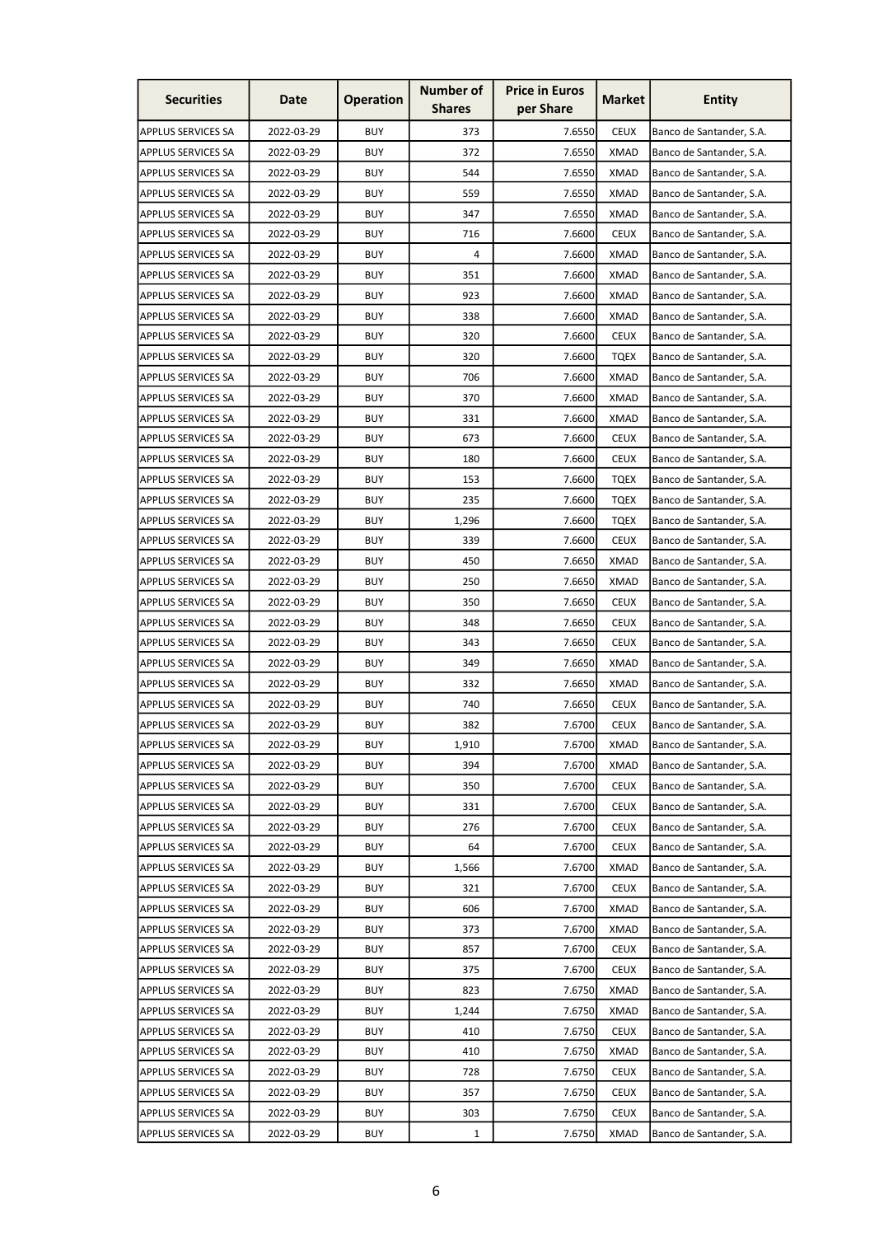| <b>Securities</b>                                      | Date       | <b>Operation</b> | <b>Number of</b><br><b>Shares</b> | <b>Price in Euros</b><br>per Share | <b>Market</b> | <b>Entity</b>                                        |
|--------------------------------------------------------|------------|------------------|-----------------------------------|------------------------------------|---------------|------------------------------------------------------|
| APPLUS SERVICES SA                                     | 2022-03-29 | <b>BUY</b>       | 373                               | 7.6550                             | <b>CEUX</b>   | Banco de Santander, S.A.                             |
| <b>APPLUS SERVICES SA</b>                              | 2022-03-29 | <b>BUY</b>       | 372                               | 7.6550                             | <b>XMAD</b>   | Banco de Santander, S.A.                             |
| <b>APPLUS SERVICES SA</b>                              | 2022-03-29 | <b>BUY</b>       | 544                               | 7.6550                             | <b>XMAD</b>   | Banco de Santander, S.A.                             |
| APPLUS SERVICES SA                                     | 2022-03-29 | <b>BUY</b>       | 559                               | 7.6550                             | <b>XMAD</b>   | Banco de Santander, S.A.                             |
| <b>APPLUS SERVICES SA</b>                              | 2022-03-29 | <b>BUY</b>       | 347                               | 7.6550                             | <b>XMAD</b>   | Banco de Santander, S.A.                             |
| <b>APPLUS SERVICES SA</b>                              | 2022-03-29 | <b>BUY</b>       | 716                               | 7.6600                             | <b>CEUX</b>   | Banco de Santander, S.A.                             |
| APPLUS SERVICES SA                                     | 2022-03-29 | <b>BUY</b>       | 4                                 | 7.6600                             | XMAD          | Banco de Santander, S.A.                             |
| <b>APPLUS SERVICES SA</b>                              | 2022-03-29 | <b>BUY</b>       | 351                               | 7.6600                             | <b>XMAD</b>   | Banco de Santander, S.A.                             |
| <b>APPLUS SERVICES SA</b>                              | 2022-03-29 | <b>BUY</b>       | 923                               | 7.6600                             | <b>XMAD</b>   | Banco de Santander, S.A.                             |
| <b>APPLUS SERVICES SA</b>                              | 2022-03-29 | <b>BUY</b>       | 338                               | 7.6600                             | <b>XMAD</b>   | Banco de Santander, S.A.                             |
| <b>APPLUS SERVICES SA</b>                              | 2022-03-29 | <b>BUY</b>       | 320                               | 7.6600                             | <b>CEUX</b>   | Banco de Santander, S.A.                             |
| <b>APPLUS SERVICES SA</b>                              | 2022-03-29 | <b>BUY</b>       | 320                               | 7.6600                             | <b>TQEX</b>   | Banco de Santander, S.A.                             |
| <b>APPLUS SERVICES SA</b>                              | 2022-03-29 | <b>BUY</b>       | 706                               | 7.6600                             | <b>XMAD</b>   | Banco de Santander, S.A.                             |
| <b>APPLUS SERVICES SA</b>                              | 2022-03-29 | <b>BUY</b>       | 370                               | 7.6600                             | XMAD          | Banco de Santander, S.A.                             |
| <b>APPLUS SERVICES SA</b>                              | 2022-03-29 | <b>BUY</b>       | 331                               | 7.6600                             | <b>XMAD</b>   | Banco de Santander, S.A.                             |
| <b>APPLUS SERVICES SA</b>                              | 2022-03-29 | <b>BUY</b>       | 673                               | 7.6600                             | <b>CEUX</b>   | Banco de Santander, S.A.                             |
|                                                        |            | <b>BUY</b>       |                                   | 7.6600                             | <b>CEUX</b>   |                                                      |
| <b>APPLUS SERVICES SA</b><br><b>APPLUS SERVICES SA</b> | 2022-03-29 | <b>BUY</b>       | 180                               | 7.6600                             |               | Banco de Santander, S.A.<br>Banco de Santander, S.A. |
| <b>APPLUS SERVICES SA</b>                              | 2022-03-29 | <b>BUY</b>       | 153                               | 7.6600                             | TQEX          | Banco de Santander, S.A.                             |
|                                                        | 2022-03-29 | <b>BUY</b>       | 235                               |                                    | TQEX          |                                                      |
| <b>APPLUS SERVICES SA</b>                              | 2022-03-29 |                  | 1,296                             | 7.6600                             | <b>TQEX</b>   | Banco de Santander, S.A.                             |
| <b>APPLUS SERVICES SA</b>                              | 2022-03-29 | <b>BUY</b>       | 339                               | 7.6600                             | <b>CEUX</b>   | Banco de Santander, S.A.                             |
| <b>APPLUS SERVICES SA</b>                              | 2022-03-29 | <b>BUY</b>       | 450                               | 7.6650                             | <b>XMAD</b>   | Banco de Santander, S.A.                             |
| <b>APPLUS SERVICES SA</b>                              | 2022-03-29 | <b>BUY</b>       | 250                               | 7.6650                             | <b>XMAD</b>   | Banco de Santander, S.A.                             |
| <b>APPLUS SERVICES SA</b>                              | 2022-03-29 | <b>BUY</b>       | 350                               | 7.6650                             | <b>CEUX</b>   | Banco de Santander, S.A.                             |
| <b>APPLUS SERVICES SA</b>                              | 2022-03-29 | <b>BUY</b>       | 348                               | 7.6650                             | <b>CEUX</b>   | Banco de Santander, S.A.                             |
| <b>APPLUS SERVICES SA</b>                              | 2022-03-29 | <b>BUY</b>       | 343                               | 7.6650                             | <b>CEUX</b>   | Banco de Santander, S.A.                             |
| <b>APPLUS SERVICES SA</b>                              | 2022-03-29 | <b>BUY</b>       | 349                               | 7.6650                             | <b>XMAD</b>   | Banco de Santander, S.A.                             |
| <b>APPLUS SERVICES SA</b>                              | 2022-03-29 | <b>BUY</b>       | 332                               | 7.6650                             | <b>XMAD</b>   | Banco de Santander, S.A.                             |
| APPLUS SERVICES SA                                     | 2022-03-29 | <b>BUY</b>       | 740                               | 7.6650                             | <b>CEUX</b>   | Banco de Santander, S.A.                             |
| <b>APPLUS SERVICES SA</b>                              | 2022-03-29 | <b>BUY</b>       | 382                               | 7.6700                             | <b>CEUX</b>   | Banco de Santander, S.A.                             |
| <b>APPLUS SERVICES SA</b>                              | 2022-03-29 | <b>BUY</b>       | 1,910                             | 7.6700                             | <b>XMAD</b>   | Banco de Santander, S.A.                             |
| <b>APPLUS SERVICES SA</b>                              | 2022-03-29 | <b>BUY</b>       | 394                               | 7.6700                             | <b>XMAD</b>   | Banco de Santander, S.A.                             |
| <b>APPLUS SERVICES SA</b>                              | 2022-03-29 | <b>BUY</b>       | 350                               | 7.6700                             | <b>CEUX</b>   | Banco de Santander, S.A.                             |
| <b>APPLUS SERVICES SA</b>                              | 2022-03-29 | <b>BUY</b>       | 331                               | 7.6700                             | <b>CEUX</b>   | Banco de Santander, S.A.                             |
| <b>APPLUS SERVICES SA</b>                              | 2022-03-29 | <b>BUY</b>       | 276                               | 7.6700                             | <b>CEUX</b>   | Banco de Santander, S.A.                             |
| <b>APPLUS SERVICES SA</b>                              | 2022-03-29 | <b>BUY</b>       | 64                                | 7.6700                             | <b>CEUX</b>   | Banco de Santander, S.A.                             |
| <b>APPLUS SERVICES SA</b>                              | 2022-03-29 | <b>BUY</b>       | 1,566                             | 7.6700                             | <b>XMAD</b>   | Banco de Santander, S.A.                             |
| <b>APPLUS SERVICES SA</b>                              | 2022-03-29 | <b>BUY</b>       | 321                               | 7.6700                             | <b>CEUX</b>   | Banco de Santander, S.A.                             |
| <b>APPLUS SERVICES SA</b>                              | 2022-03-29 | <b>BUY</b>       | 606                               | 7.6700                             | <b>XMAD</b>   | Banco de Santander, S.A.                             |
| <b>APPLUS SERVICES SA</b>                              | 2022-03-29 | <b>BUY</b>       | 373                               | 7.6700                             | <b>XMAD</b>   | Banco de Santander, S.A.                             |
| <b>APPLUS SERVICES SA</b>                              | 2022-03-29 | <b>BUY</b>       | 857                               | 7.6700                             | <b>CEUX</b>   | Banco de Santander, S.A.                             |
| <b>APPLUS SERVICES SA</b>                              | 2022-03-29 | <b>BUY</b>       | 375                               | 7.6700                             | <b>CEUX</b>   | Banco de Santander, S.A.                             |
| <b>APPLUS SERVICES SA</b>                              | 2022-03-29 | <b>BUY</b>       | 823                               | 7.6750                             | <b>XMAD</b>   | Banco de Santander, S.A.                             |
| <b>APPLUS SERVICES SA</b>                              | 2022-03-29 | <b>BUY</b>       | 1,244                             | 7.6750                             | <b>XMAD</b>   | Banco de Santander, S.A.                             |
| <b>APPLUS SERVICES SA</b>                              | 2022-03-29 | <b>BUY</b>       | 410                               | 7.6750                             | <b>CEUX</b>   | Banco de Santander, S.A.                             |
| <b>APPLUS SERVICES SA</b>                              | 2022-03-29 | <b>BUY</b>       | 410                               | 7.6750                             | <b>XMAD</b>   | Banco de Santander, S.A.                             |
| <b>APPLUS SERVICES SA</b>                              | 2022-03-29 | <b>BUY</b>       | 728                               | 7.6750                             | <b>CEUX</b>   | Banco de Santander, S.A.                             |
| APPLUS SERVICES SA                                     | 2022-03-29 | <b>BUY</b>       | 357                               | 7.6750                             | <b>CEUX</b>   | Banco de Santander, S.A.                             |
| APPLUS SERVICES SA                                     | 2022-03-29 | <b>BUY</b>       | 303                               | 7.6750                             | <b>CEUX</b>   | Banco de Santander, S.A.                             |
| APPLUS SERVICES SA                                     | 2022-03-29 | <b>BUY</b>       | $\mathbf{1}$                      | 7.6750                             | <b>XMAD</b>   | Banco de Santander, S.A.                             |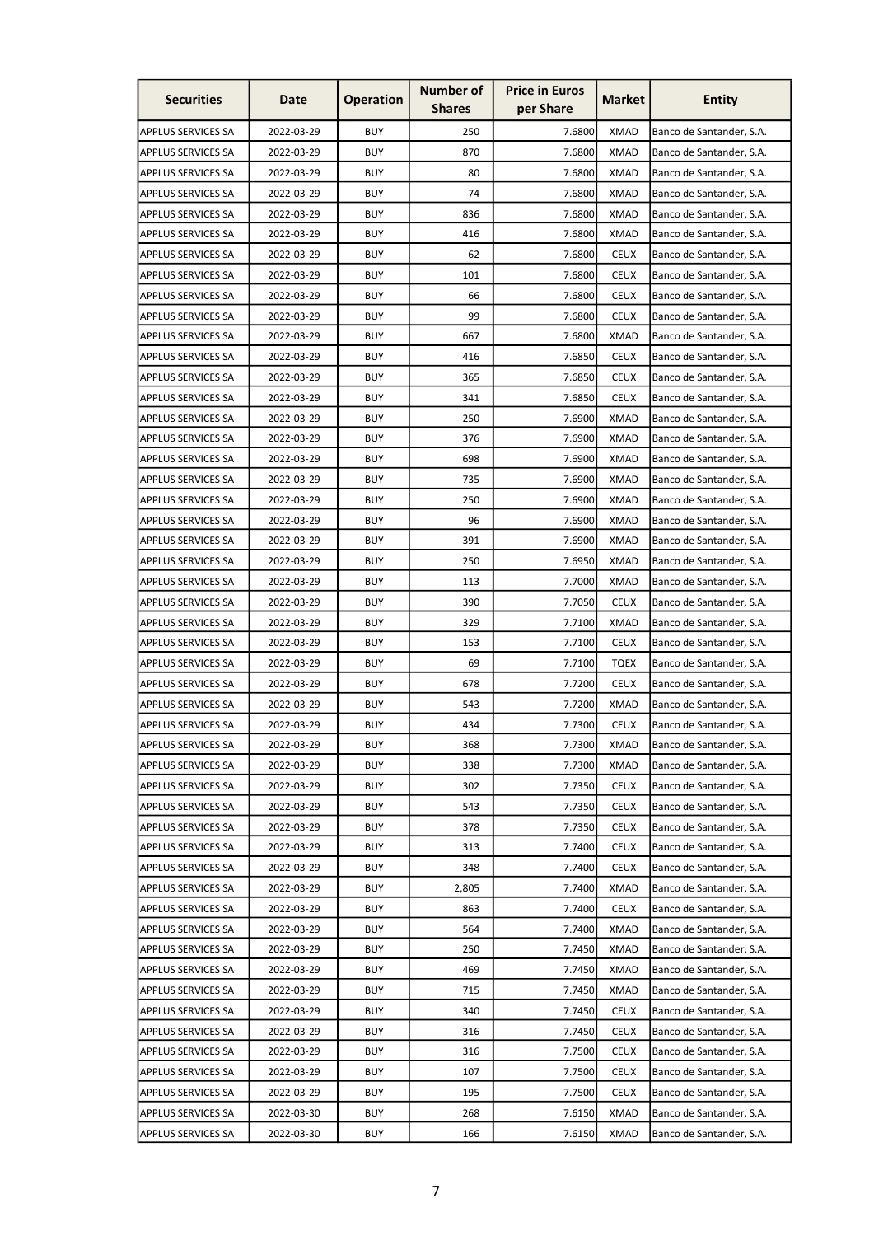| <b>Securities</b>         | Date       | <b>Operation</b> | <b>Number of</b><br><b>Shares</b> | <b>Price in Euros</b><br>per Share | <b>Market</b> | <b>Entity</b>            |
|---------------------------|------------|------------------|-----------------------------------|------------------------------------|---------------|--------------------------|
| <b>APPLUS SERVICES SA</b> | 2022-03-29 | <b>BUY</b>       | 250                               | 7.6800                             | <b>XMAD</b>   | Banco de Santander, S.A. |
| <b>APPLUS SERVICES SA</b> | 2022-03-29 | <b>BUY</b>       | 870                               | 7.6800                             | <b>XMAD</b>   | Banco de Santander, S.A. |
| <b>APPLUS SERVICES SA</b> | 2022-03-29 | <b>BUY</b>       | 80                                | 7.6800                             | <b>XMAD</b>   | Banco de Santander, S.A. |
| <b>APPLUS SERVICES SA</b> | 2022-03-29 | <b>BUY</b>       | 74                                | 7.6800                             | <b>XMAD</b>   | Banco de Santander, S.A. |
| <b>APPLUS SERVICES SA</b> | 2022-03-29 | <b>BUY</b>       | 836                               | 7.6800                             | <b>XMAD</b>   | Banco de Santander, S.A. |
| <b>APPLUS SERVICES SA</b> | 2022-03-29 | <b>BUY</b>       | 416                               | 7.6800                             | <b>XMAD</b>   | Banco de Santander, S.A. |
| <b>APPLUS SERVICES SA</b> | 2022-03-29 | <b>BUY</b>       | 62                                | 7.6800                             | <b>CEUX</b>   | Banco de Santander, S.A. |
| <b>APPLUS SERVICES SA</b> | 2022-03-29 | <b>BUY</b>       | 101                               | 7.6800                             | <b>CEUX</b>   | Banco de Santander, S.A. |
| <b>APPLUS SERVICES SA</b> | 2022-03-29 | <b>BUY</b>       | 66                                | 7.6800                             | <b>CEUX</b>   | Banco de Santander, S.A. |
| <b>APPLUS SERVICES SA</b> | 2022-03-29 | <b>BUY</b>       | 99                                | 7.6800                             | <b>CEUX</b>   | Banco de Santander, S.A. |
| <b>APPLUS SERVICES SA</b> | 2022-03-29 | <b>BUY</b>       | 667                               | 7.6800                             | <b>XMAD</b>   | Banco de Santander, S.A. |
| <b>APPLUS SERVICES SA</b> | 2022-03-29 | <b>BUY</b>       | 416                               | 7.6850                             | <b>CEUX</b>   | Banco de Santander, S.A. |
| <b>APPLUS SERVICES SA</b> | 2022-03-29 | <b>BUY</b>       | 365                               | 7.6850                             | <b>CEUX</b>   | Banco de Santander, S.A. |
| <b>APPLUS SERVICES SA</b> | 2022-03-29 | <b>BUY</b>       | 341                               | 7.6850                             | <b>CEUX</b>   | Banco de Santander, S.A. |
| <b>APPLUS SERVICES SA</b> | 2022-03-29 | <b>BUY</b>       | 250                               | 7.6900                             | <b>XMAD</b>   | Banco de Santander, S.A. |
| <b>APPLUS SERVICES SA</b> | 2022-03-29 | <b>BUY</b>       | 376                               | 7.6900                             | <b>XMAD</b>   | Banco de Santander, S.A. |
| <b>APPLUS SERVICES SA</b> | 2022-03-29 | <b>BUY</b>       | 698                               | 7.6900                             | <b>XMAD</b>   | Banco de Santander, S.A. |
| <b>APPLUS SERVICES SA</b> | 2022-03-29 | <b>BUY</b>       | 735                               | 7.6900                             | <b>XMAD</b>   | Banco de Santander, S.A. |
| <b>APPLUS SERVICES SA</b> | 2022-03-29 | <b>BUY</b>       | 250                               | 7.6900                             | <b>XMAD</b>   | Banco de Santander, S.A. |
| <b>APPLUS SERVICES SA</b> | 2022-03-29 | <b>BUY</b>       | 96                                | 7.6900                             | <b>XMAD</b>   | Banco de Santander, S.A. |
| <b>APPLUS SERVICES SA</b> | 2022-03-29 | <b>BUY</b>       | 391                               | 7.6900                             | <b>XMAD</b>   | Banco de Santander, S.A. |
| <b>APPLUS SERVICES SA</b> | 2022-03-29 | <b>BUY</b>       | 250                               | 7.6950                             | <b>XMAD</b>   | Banco de Santander, S.A. |
| <b>APPLUS SERVICES SA</b> | 2022-03-29 | <b>BUY</b>       | 113                               | 7.7000                             | <b>XMAD</b>   | Banco de Santander, S.A. |
| <b>APPLUS SERVICES SA</b> | 2022-03-29 | <b>BUY</b>       | 390                               | 7.7050                             | <b>CEUX</b>   | Banco de Santander, S.A. |
| <b>APPLUS SERVICES SA</b> | 2022-03-29 | <b>BUY</b>       | 329                               | 7.7100                             | <b>XMAD</b>   | Banco de Santander, S.A. |
| <b>APPLUS SERVICES SA</b> | 2022-03-29 | <b>BUY</b>       | 153                               | 7.7100                             | <b>CEUX</b>   | Banco de Santander, S.A. |
| <b>APPLUS SERVICES SA</b> | 2022-03-29 | <b>BUY</b>       | 69                                | 7.7100                             | <b>TQEX</b>   | Banco de Santander, S.A. |
| <b>APPLUS SERVICES SA</b> | 2022-03-29 | <b>BUY</b>       | 678                               | 7.7200                             | <b>CEUX</b>   | Banco de Santander, S.A. |
| <b>APPLUS SERVICES SA</b> | 2022-03-29 | <b>BUY</b>       | 543                               | 7.7200                             | <b>XMAD</b>   | Banco de Santander, S.A. |
| <b>APPLUS SERVICES SA</b> | 2022-03-29 | <b>BUY</b>       | 434                               | 7.7300                             | <b>CEUX</b>   | Banco de Santander, S.A. |
| <b>APPLUS SERVICES SA</b> | 2022-03-29 | <b>BUY</b>       | 368                               | 7.7300                             | <b>XMAD</b>   | Banco de Santander, S.A. |
| <b>APPLUS SERVICES SA</b> | 2022-03-29 | <b>BUY</b>       | 338                               | 7.7300                             | XMAD          | Banco de Santander, S.A. |
| <b>APPLUS SERVICES SA</b> | 2022-03-29 | <b>BUY</b>       | 302                               | 7.7350                             | <b>CEUX</b>   | Banco de Santander, S.A. |
| <b>APPLUS SERVICES SA</b> | 2022-03-29 | <b>BUY</b>       | 543                               | 7.7350                             | <b>CEUX</b>   | Banco de Santander, S.A. |
| <b>APPLUS SERVICES SA</b> | 2022-03-29 | <b>BUY</b>       | 378                               | 7.7350                             | <b>CEUX</b>   | Banco de Santander, S.A. |
| <b>APPLUS SERVICES SA</b> | 2022-03-29 | <b>BUY</b>       | 313                               | 7.7400                             | <b>CEUX</b>   | Banco de Santander, S.A. |
| <b>APPLUS SERVICES SA</b> | 2022-03-29 | <b>BUY</b>       | 348                               | 7.7400                             | <b>CEUX</b>   | Banco de Santander, S.A. |
| <b>APPLUS SERVICES SA</b> | 2022-03-29 | <b>BUY</b>       | 2,805                             | 7.7400                             | <b>XMAD</b>   | Banco de Santander, S.A. |
| <b>APPLUS SERVICES SA</b> | 2022-03-29 | <b>BUY</b>       | 863                               | 7.7400                             | <b>CEUX</b>   | Banco de Santander, S.A. |
| <b>APPLUS SERVICES SA</b> | 2022-03-29 | <b>BUY</b>       | 564                               | 7.7400                             | <b>XMAD</b>   | Banco de Santander, S.A. |
| <b>APPLUS SERVICES SA</b> | 2022-03-29 | <b>BUY</b>       | 250                               | 7.7450                             | <b>XMAD</b>   | Banco de Santander, S.A. |
| <b>APPLUS SERVICES SA</b> | 2022-03-29 | <b>BUY</b>       | 469                               | 7.7450                             | <b>XMAD</b>   | Banco de Santander, S.A. |
| <b>APPLUS SERVICES SA</b> | 2022-03-29 | <b>BUY</b>       | 715                               | 7.7450                             | <b>XMAD</b>   | Banco de Santander, S.A. |
| <b>APPLUS SERVICES SA</b> | 2022-03-29 | <b>BUY</b>       | 340                               | 7.7450                             | <b>CEUX</b>   | Banco de Santander, S.A. |
| <b>APPLUS SERVICES SA</b> | 2022-03-29 | <b>BUY</b>       | 316                               | 7.7450                             | <b>CEUX</b>   | Banco de Santander, S.A. |
| <b>APPLUS SERVICES SA</b> | 2022-03-29 | <b>BUY</b>       | 316                               | 7.7500                             | <b>CEUX</b>   | Banco de Santander, S.A. |
| <b>APPLUS SERVICES SA</b> | 2022-03-29 | <b>BUY</b>       | 107                               | 7.7500                             | <b>CEUX</b>   | Banco de Santander, S.A. |
| <b>APPLUS SERVICES SA</b> | 2022-03-29 | <b>BUY</b>       | 195                               | 7.7500                             | <b>CEUX</b>   | Banco de Santander, S.A. |
| <b>APPLUS SERVICES SA</b> | 2022-03-30 | <b>BUY</b>       | 268                               | 7.6150                             | <b>XMAD</b>   | Banco de Santander, S.A. |
| <b>APPLUS SERVICES SA</b> | 2022-03-30 | <b>BUY</b>       | 166                               | 7.6150                             | <b>XMAD</b>   | Banco de Santander, S.A. |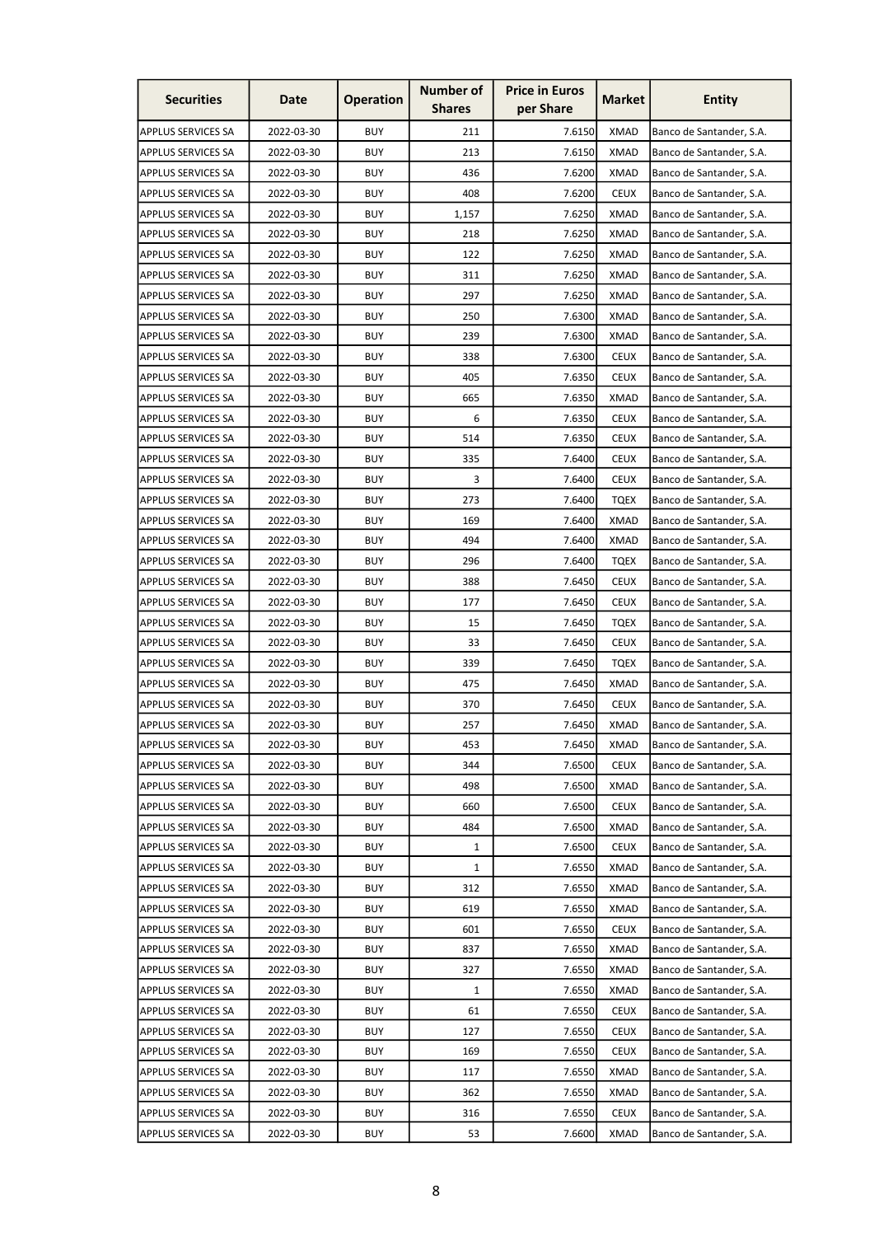| <b>Securities</b>         | Date       | <b>Operation</b> | <b>Number of</b><br><b>Shares</b> | <b>Price in Euros</b><br>per Share | <b>Market</b> | <b>Entity</b>            |
|---------------------------|------------|------------------|-----------------------------------|------------------------------------|---------------|--------------------------|
| <b>APPLUS SERVICES SA</b> | 2022-03-30 | <b>BUY</b>       | 211                               | 7.6150                             | <b>XMAD</b>   | Banco de Santander, S.A. |
| <b>APPLUS SERVICES SA</b> | 2022-03-30 | <b>BUY</b>       | 213                               | 7.6150                             | <b>XMAD</b>   | Banco de Santander, S.A. |
| <b>APPLUS SERVICES SA</b> | 2022-03-30 | <b>BUY</b>       | 436                               | 7.6200                             | <b>XMAD</b>   | Banco de Santander, S.A. |
| <b>APPLUS SERVICES SA</b> | 2022-03-30 | <b>BUY</b>       | 408                               | 7.6200                             | <b>CEUX</b>   | Banco de Santander, S.A. |
| <b>APPLUS SERVICES SA</b> | 2022-03-30 | <b>BUY</b>       | 1,157                             | 7.6250                             | <b>XMAD</b>   | Banco de Santander, S.A. |
| <b>APPLUS SERVICES SA</b> | 2022-03-30 | <b>BUY</b>       | 218                               | 7.6250                             | <b>XMAD</b>   | Banco de Santander, S.A. |
| <b>APPLUS SERVICES SA</b> | 2022-03-30 | <b>BUY</b>       | 122                               | 7.6250                             | XMAD          | Banco de Santander, S.A. |
| <b>APPLUS SERVICES SA</b> | 2022-03-30 | <b>BUY</b>       | 311                               | 7.6250                             | <b>XMAD</b>   | Banco de Santander, S.A. |
| <b>APPLUS SERVICES SA</b> | 2022-03-30 | <b>BUY</b>       | 297                               | 7.6250                             | <b>XMAD</b>   | Banco de Santander, S.A. |
| <b>APPLUS SERVICES SA</b> | 2022-03-30 | <b>BUY</b>       | 250                               | 7.6300                             | <b>XMAD</b>   | Banco de Santander, S.A. |
| <b>APPLUS SERVICES SA</b> | 2022-03-30 | <b>BUY</b>       | 239                               | 7.6300                             | <b>XMAD</b>   | Banco de Santander, S.A. |
| <b>APPLUS SERVICES SA</b> | 2022-03-30 | <b>BUY</b>       | 338                               | 7.6300                             | <b>CEUX</b>   | Banco de Santander, S.A. |
| <b>APPLUS SERVICES SA</b> | 2022-03-30 | <b>BUY</b>       | 405                               | 7.6350                             | <b>CEUX</b>   | Banco de Santander, S.A. |
| <b>APPLUS SERVICES SA</b> | 2022-03-30 | <b>BUY</b>       | 665                               | 7.6350                             | <b>XMAD</b>   | Banco de Santander, S.A. |
| <b>APPLUS SERVICES SA</b> | 2022-03-30 | <b>BUY</b>       | 6                                 | 7.6350                             | <b>CEUX</b>   | Banco de Santander, S.A. |
| <b>APPLUS SERVICES SA</b> | 2022-03-30 | <b>BUY</b>       | 514                               | 7.6350                             | <b>CEUX</b>   | Banco de Santander, S.A. |
| <b>APPLUS SERVICES SA</b> | 2022-03-30 | <b>BUY</b>       | 335                               | 7.6400                             | <b>CEUX</b>   | Banco de Santander, S.A. |
| <b>APPLUS SERVICES SA</b> | 2022-03-30 | <b>BUY</b>       | 3                                 | 7.6400                             | <b>CEUX</b>   | Banco de Santander, S.A. |
| <b>APPLUS SERVICES SA</b> | 2022-03-30 | <b>BUY</b>       | 273                               | 7.6400                             | <b>TQEX</b>   | Banco de Santander, S.A. |
| <b>APPLUS SERVICES SA</b> | 2022-03-30 | <b>BUY</b>       | 169                               | 7.6400                             | <b>XMAD</b>   | Banco de Santander, S.A. |
| <b>APPLUS SERVICES SA</b> | 2022-03-30 | <b>BUY</b>       | 494                               | 7.6400                             | <b>XMAD</b>   | Banco de Santander, S.A. |
| <b>APPLUS SERVICES SA</b> | 2022-03-30 | <b>BUY</b>       | 296                               | 7.6400                             | <b>TQEX</b>   | Banco de Santander, S.A. |
| <b>APPLUS SERVICES SA</b> | 2022-03-30 | <b>BUY</b>       | 388                               | 7.6450                             | <b>CEUX</b>   | Banco de Santander, S.A. |
| <b>APPLUS SERVICES SA</b> | 2022-03-30 | <b>BUY</b>       | 177                               | 7.6450                             | <b>CEUX</b>   | Banco de Santander, S.A. |
| <b>APPLUS SERVICES SA</b> | 2022-03-30 | <b>BUY</b>       | 15                                | 7.6450                             | TQEX          | Banco de Santander, S.A. |
| <b>APPLUS SERVICES SA</b> | 2022-03-30 | <b>BUY</b>       | 33                                | 7.6450                             | <b>CEUX</b>   | Banco de Santander, S.A. |
| <b>APPLUS SERVICES SA</b> | 2022-03-30 | <b>BUY</b>       | 339                               | 7.6450                             | <b>TQEX</b>   | Banco de Santander, S.A. |
| <b>APPLUS SERVICES SA</b> | 2022-03-30 | <b>BUY</b>       | 475                               | 7.6450                             | <b>XMAD</b>   | Banco de Santander, S.A. |
| <b>APPLUS SERVICES SA</b> | 2022-03-30 | <b>BUY</b>       | 370                               | 7.6450                             | <b>CEUX</b>   | Banco de Santander, S.A. |
| <b>APPLUS SERVICES SA</b> | 2022-03-30 | <b>BUY</b>       | 257                               | 7.6450                             | <b>XMAD</b>   | Banco de Santander, S.A. |
| <b>APPLUS SERVICES SA</b> | 2022-03-30 | <b>BUY</b>       | 453                               | 7.6450                             | <b>XMAD</b>   | Banco de Santander, S.A. |
| <b>APPLUS SERVICES SA</b> | 2022-03-30 | <b>BUY</b>       | 344                               | 7.6500                             | <b>CEUX</b>   | Banco de Santander, S.A. |
| <b>APPLUS SERVICES SA</b> | 2022-03-30 | <b>BUY</b>       | 498                               | 7.6500                             | <b>XMAD</b>   | Banco de Santander, S.A. |
| <b>APPLUS SERVICES SA</b> | 2022-03-30 | <b>BUY</b>       | 660                               | 7.6500                             | <b>CEUX</b>   | Banco de Santander, S.A. |
| <b>APPLUS SERVICES SA</b> | 2022-03-30 | <b>BUY</b>       | 484                               | 7.6500                             | <b>XMAD</b>   | Banco de Santander, S.A. |
| <b>APPLUS SERVICES SA</b> | 2022-03-30 | <b>BUY</b>       | 1                                 | 7.6500                             | <b>CEUX</b>   | Banco de Santander, S.A. |
| <b>APPLUS SERVICES SA</b> | 2022-03-30 | <b>BUY</b>       | $\mathbf{1}$                      | 7.6550                             | <b>XMAD</b>   | Banco de Santander, S.A. |
| <b>APPLUS SERVICES SA</b> | 2022-03-30 | <b>BUY</b>       | 312                               | 7.6550                             | <b>XMAD</b>   | Banco de Santander, S.A. |
| <b>APPLUS SERVICES SA</b> | 2022-03-30 | <b>BUY</b>       | 619                               | 7.6550                             | <b>XMAD</b>   | Banco de Santander, S.A. |
| <b>APPLUS SERVICES SA</b> | 2022-03-30 | <b>BUY</b>       | 601                               | 7.6550                             | <b>CEUX</b>   | Banco de Santander, S.A. |
| <b>APPLUS SERVICES SA</b> | 2022-03-30 | <b>BUY</b>       | 837                               | 7.6550                             | <b>XMAD</b>   | Banco de Santander, S.A. |
| <b>APPLUS SERVICES SA</b> | 2022-03-30 | <b>BUY</b>       | 327                               | 7.6550                             | <b>XMAD</b>   | Banco de Santander, S.A. |
| <b>APPLUS SERVICES SA</b> | 2022-03-30 | <b>BUY</b>       | $\mathbf{1}$                      | 7.6550                             | <b>XMAD</b>   | Banco de Santander, S.A. |
| <b>APPLUS SERVICES SA</b> | 2022-03-30 | <b>BUY</b>       | 61                                | 7.6550                             | <b>CEUX</b>   | Banco de Santander, S.A. |
| <b>APPLUS SERVICES SA</b> | 2022-03-30 | <b>BUY</b>       | 127                               | 7.6550                             | <b>CEUX</b>   | Banco de Santander, S.A. |
| <b>APPLUS SERVICES SA</b> | 2022-03-30 | <b>BUY</b>       | 169                               | 7.6550                             | <b>CEUX</b>   | Banco de Santander, S.A. |
| <b>APPLUS SERVICES SA</b> | 2022-03-30 | <b>BUY</b>       | 117                               | 7.6550                             | <b>XMAD</b>   | Banco de Santander, S.A. |
| <b>APPLUS SERVICES SA</b> | 2022-03-30 | <b>BUY</b>       | 362                               | 7.6550                             | <b>XMAD</b>   | Banco de Santander, S.A. |
| <b>APPLUS SERVICES SA</b> | 2022-03-30 | <b>BUY</b>       | 316                               | 7.6550                             | <b>CEUX</b>   | Banco de Santander, S.A. |
| <b>APPLUS SERVICES SA</b> | 2022-03-30 | <b>BUY</b>       | 53                                | 7.6600                             | <b>XMAD</b>   | Banco de Santander, S.A. |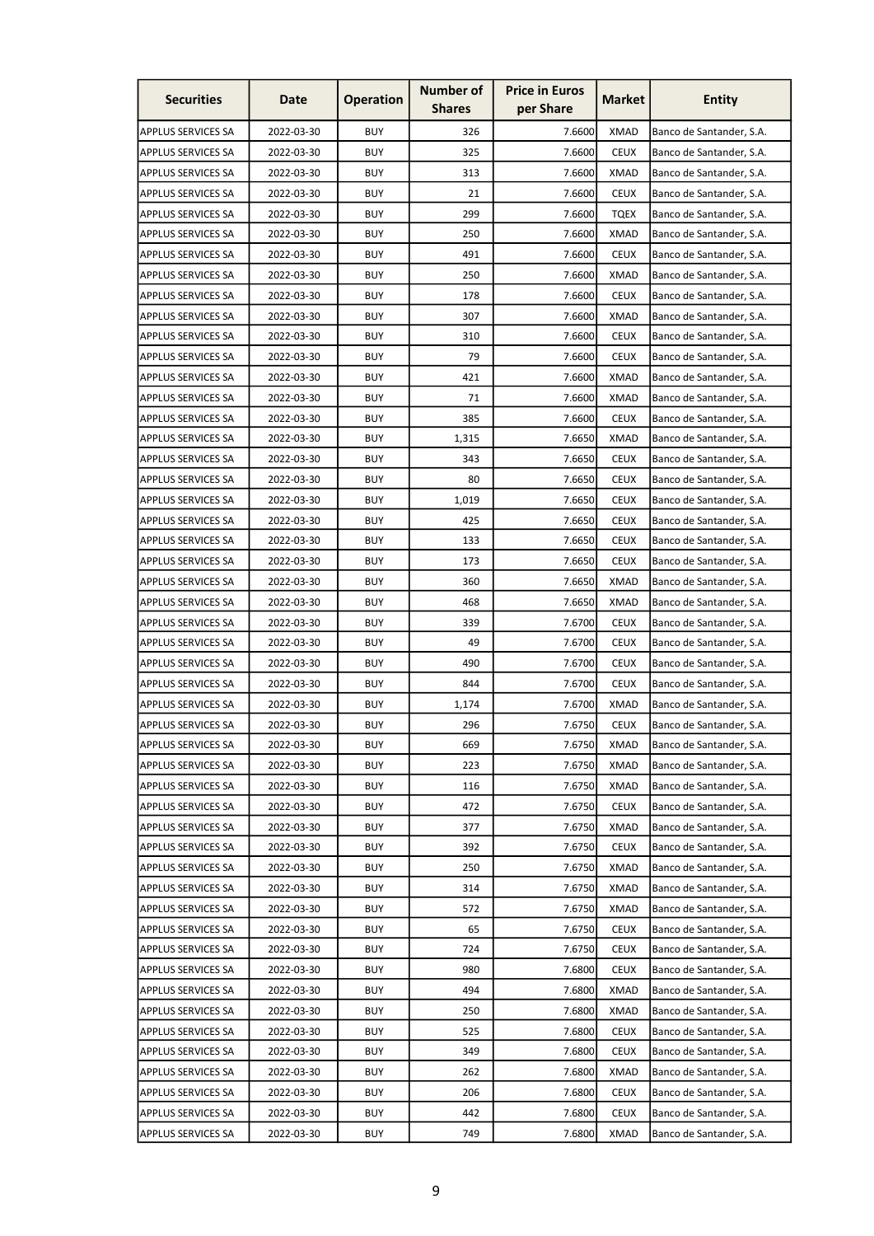| <b>Securities</b>         | Date       | <b>Operation</b> | <b>Number of</b><br><b>Shares</b> | <b>Price in Euros</b><br>per Share | <b>Market</b> | <b>Entity</b>            |
|---------------------------|------------|------------------|-----------------------------------|------------------------------------|---------------|--------------------------|
| APPLUS SERVICES SA        | 2022-03-30 | <b>BUY</b>       | 326                               | 7.6600                             | <b>XMAD</b>   | Banco de Santander, S.A. |
| <b>APPLUS SERVICES SA</b> | 2022-03-30 | <b>BUY</b>       | 325                               | 7.6600                             | <b>CEUX</b>   | Banco de Santander, S.A. |
| <b>APPLUS SERVICES SA</b> | 2022-03-30 | <b>BUY</b>       | 313                               | 7.6600                             | <b>XMAD</b>   | Banco de Santander, S.A. |
| APPLUS SERVICES SA        | 2022-03-30 | <b>BUY</b>       | 21                                | 7.6600                             | <b>CEUX</b>   | Banco de Santander, S.A. |
| <b>APPLUS SERVICES SA</b> | 2022-03-30 | <b>BUY</b>       | 299                               | 7.6600                             | <b>TQEX</b>   | Banco de Santander, S.A. |
| <b>APPLUS SERVICES SA</b> | 2022-03-30 | <b>BUY</b>       | 250                               | 7.6600                             | <b>XMAD</b>   | Banco de Santander, S.A. |
| APPLUS SERVICES SA        | 2022-03-30 | <b>BUY</b>       | 491                               | 7.6600                             | <b>CEUX</b>   | Banco de Santander, S.A. |
| <b>APPLUS SERVICES SA</b> | 2022-03-30 | <b>BUY</b>       | 250                               | 7.6600                             | <b>XMAD</b>   | Banco de Santander, S.A. |
| <b>APPLUS SERVICES SA</b> | 2022-03-30 | <b>BUY</b>       | 178                               | 7.6600                             | <b>CEUX</b>   | Banco de Santander, S.A. |
| <b>APPLUS SERVICES SA</b> | 2022-03-30 | <b>BUY</b>       | 307                               | 7.6600                             | <b>XMAD</b>   | Banco de Santander, S.A. |
| <b>APPLUS SERVICES SA</b> | 2022-03-30 | <b>BUY</b>       | 310                               | 7.6600                             | <b>CEUX</b>   | Banco de Santander, S.A. |
| <b>APPLUS SERVICES SA</b> | 2022-03-30 | <b>BUY</b>       | 79                                | 7.6600                             | <b>CEUX</b>   | Banco de Santander, S.A. |
| <b>APPLUS SERVICES SA</b> | 2022-03-30 | <b>BUY</b>       | 421                               | 7.6600                             | <b>XMAD</b>   | Banco de Santander, S.A. |
| <b>APPLUS SERVICES SA</b> | 2022-03-30 | <b>BUY</b>       | 71                                | 7.6600                             | XMAD          | Banco de Santander, S.A. |
| <b>APPLUS SERVICES SA</b> | 2022-03-30 | <b>BUY</b>       | 385                               | 7.6600                             | <b>CEUX</b>   | Banco de Santander, S.A. |
| <b>APPLUS SERVICES SA</b> | 2022-03-30 | <b>BUY</b>       | 1,315                             | 7.6650                             | <b>XMAD</b>   | Banco de Santander, S.A. |
| <b>APPLUS SERVICES SA</b> | 2022-03-30 | <b>BUY</b>       | 343                               | 7.6650                             | <b>CEUX</b>   | Banco de Santander, S.A. |
| <b>APPLUS SERVICES SA</b> | 2022-03-30 | <b>BUY</b>       | 80                                | 7.6650                             | <b>CEUX</b>   | Banco de Santander, S.A. |
| <b>APPLUS SERVICES SA</b> | 2022-03-30 | <b>BUY</b>       | 1,019                             | 7.6650                             | <b>CEUX</b>   | Banco de Santander, S.A. |
| <b>APPLUS SERVICES SA</b> | 2022-03-30 | <b>BUY</b>       | 425                               | 7.6650                             | <b>CEUX</b>   | Banco de Santander, S.A. |
| <b>APPLUS SERVICES SA</b> | 2022-03-30 | <b>BUY</b>       | 133                               | 7.6650                             | <b>CEUX</b>   | Banco de Santander, S.A. |
| <b>APPLUS SERVICES SA</b> | 2022-03-30 | <b>BUY</b>       | 173                               | 7.6650                             | <b>CEUX</b>   | Banco de Santander, S.A. |
| <b>APPLUS SERVICES SA</b> | 2022-03-30 | <b>BUY</b>       | 360                               | 7.6650                             | <b>XMAD</b>   | Banco de Santander, S.A. |
| <b>APPLUS SERVICES SA</b> | 2022-03-30 | <b>BUY</b>       | 468                               | 7.6650                             | <b>XMAD</b>   | Banco de Santander, S.A. |
| <b>APPLUS SERVICES SA</b> | 2022-03-30 | <b>BUY</b>       | 339                               | 7.6700                             | <b>CEUX</b>   | Banco de Santander, S.A. |
| <b>APPLUS SERVICES SA</b> | 2022-03-30 | <b>BUY</b>       | 49                                | 7.6700                             | <b>CEUX</b>   | Banco de Santander, S.A. |
| <b>APPLUS SERVICES SA</b> | 2022-03-30 | <b>BUY</b>       | 490                               | 7.6700                             | <b>CEUX</b>   | Banco de Santander, S.A. |
| <b>APPLUS SERVICES SA</b> | 2022-03-30 | <b>BUY</b>       | 844                               | 7.6700                             | <b>CEUX</b>   | Banco de Santander, S.A. |
| APPLUS SERVICES SA        | 2022-03-30 | <b>BUY</b>       | 1,174                             | 7.6700                             | <b>XMAD</b>   | Banco de Santander, S.A. |
| <b>APPLUS SERVICES SA</b> | 2022-03-30 | <b>BUY</b>       | 296                               | 7.6750                             | <b>CEUX</b>   | Banco de Santander, S.A. |
| <b>APPLUS SERVICES SA</b> | 2022-03-30 | <b>BUY</b>       | 669                               | 7.6750                             | <b>XMAD</b>   | Banco de Santander, S.A. |
| <b>APPLUS SERVICES SA</b> | 2022-03-30 | <b>BUY</b>       | 223                               | 7.6750                             | <b>XMAD</b>   | Banco de Santander, S.A. |
| <b>APPLUS SERVICES SA</b> | 2022-03-30 | <b>BUY</b>       | 116                               | 7.6750                             | <b>XMAD</b>   | Banco de Santander, S.A. |
| <b>APPLUS SERVICES SA</b> | 2022-03-30 | <b>BUY</b>       | 472                               | 7.6750                             | <b>CEUX</b>   | Banco de Santander, S.A. |
| <b>APPLUS SERVICES SA</b> | 2022-03-30 | <b>BUY</b>       | 377                               | 7.6750                             | <b>XMAD</b>   | Banco de Santander, S.A. |
| <b>APPLUS SERVICES SA</b> | 2022-03-30 | <b>BUY</b>       | 392                               | 7.6750                             | <b>CEUX</b>   | Banco de Santander, S.A. |
| <b>APPLUS SERVICES SA</b> | 2022-03-30 | <b>BUY</b>       | 250                               | 7.6750                             | <b>XMAD</b>   | Banco de Santander, S.A. |
| <b>APPLUS SERVICES SA</b> | 2022-03-30 | <b>BUY</b>       | 314                               | 7.6750                             | <b>XMAD</b>   | Banco de Santander, S.A. |
| <b>APPLUS SERVICES SA</b> | 2022-03-30 | <b>BUY</b>       | 572                               | 7.6750                             | <b>XMAD</b>   | Banco de Santander, S.A. |
| <b>APPLUS SERVICES SA</b> | 2022-03-30 | <b>BUY</b>       | 65                                | 7.6750                             | <b>CEUX</b>   | Banco de Santander, S.A. |
| <b>APPLUS SERVICES SA</b> | 2022-03-30 | <b>BUY</b>       | 724                               | 7.6750                             | <b>CEUX</b>   | Banco de Santander, S.A. |
| <b>APPLUS SERVICES SA</b> | 2022-03-30 | <b>BUY</b>       | 980                               | 7.6800                             | <b>CEUX</b>   | Banco de Santander, S.A. |
| <b>APPLUS SERVICES SA</b> | 2022-03-30 | <b>BUY</b>       | 494                               | 7.6800                             | <b>XMAD</b>   | Banco de Santander, S.A. |
| <b>APPLUS SERVICES SA</b> | 2022-03-30 | <b>BUY</b>       | 250                               | 7.6800                             | <b>XMAD</b>   | Banco de Santander, S.A. |
| <b>APPLUS SERVICES SA</b> | 2022-03-30 | <b>BUY</b>       | 525                               | 7.6800                             | <b>CEUX</b>   | Banco de Santander, S.A. |
| <b>APPLUS SERVICES SA</b> | 2022-03-30 | <b>BUY</b>       | 349                               | 7.6800                             | <b>CEUX</b>   | Banco de Santander, S.A. |
| <b>APPLUS SERVICES SA</b> | 2022-03-30 | <b>BUY</b>       | 262                               | 7.6800                             | <b>XMAD</b>   | Banco de Santander, S.A. |
| APPLUS SERVICES SA        | 2022-03-30 | <b>BUY</b>       | 206                               | 7.6800                             | <b>CEUX</b>   | Banco de Santander, S.A. |
| <b>APPLUS SERVICES SA</b> | 2022-03-30 | <b>BUY</b>       | 442                               | 7.6800                             | <b>CEUX</b>   | Banco de Santander, S.A. |
| APPLUS SERVICES SA        | 2022-03-30 | <b>BUY</b>       | 749                               | 7.6800                             | <b>XMAD</b>   | Banco de Santander, S.A. |
|                           |            |                  |                                   |                                    |               |                          |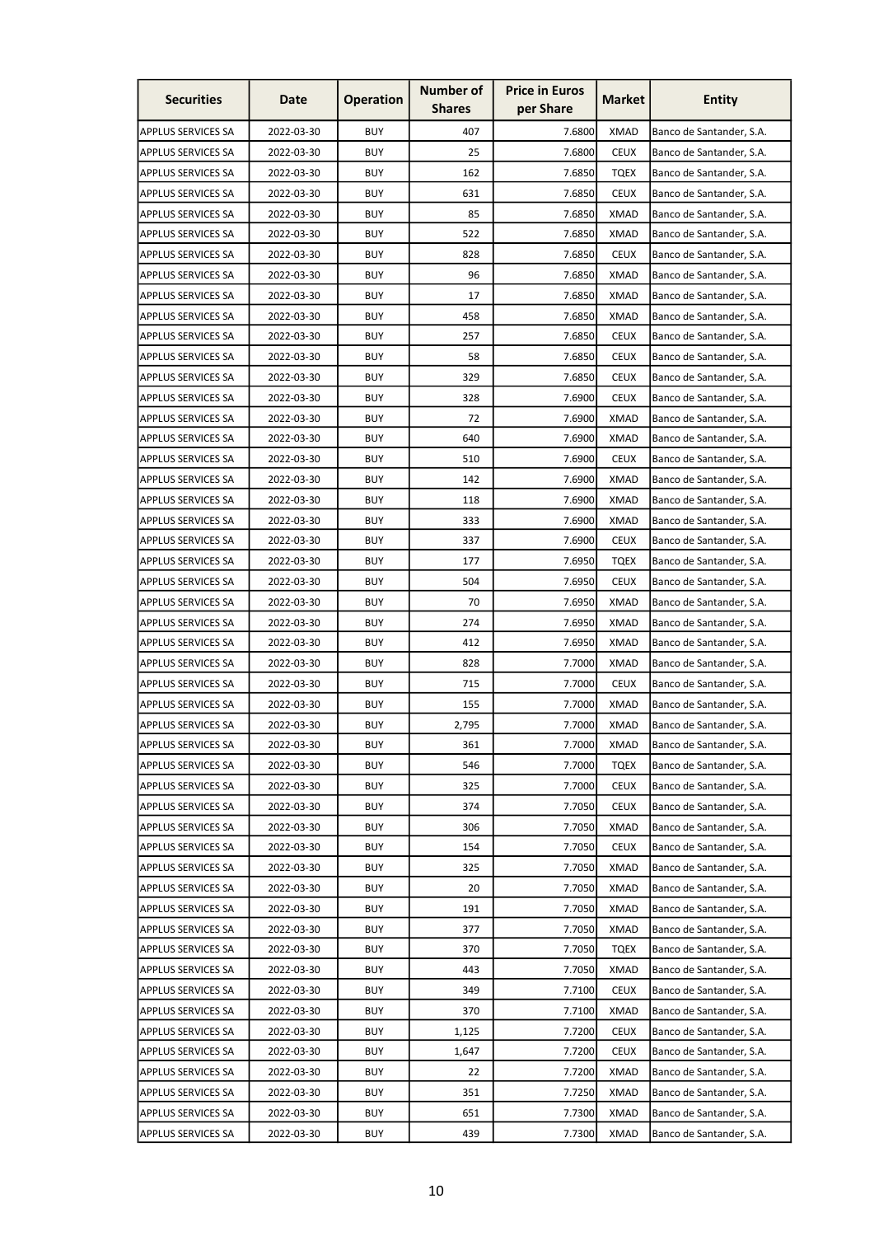| <b>Securities</b>         | Date       | <b>Operation</b> | <b>Number of</b><br><b>Shares</b> | <b>Price in Euros</b><br>per Share | <b>Market</b> | <b>Entity</b>            |
|---------------------------|------------|------------------|-----------------------------------|------------------------------------|---------------|--------------------------|
| <b>APPLUS SERVICES SA</b> | 2022-03-30 | <b>BUY</b>       | 407                               | 7.6800                             | <b>XMAD</b>   | Banco de Santander, S.A. |
| <b>APPLUS SERVICES SA</b> | 2022-03-30 | <b>BUY</b>       | 25                                | 7.6800                             | <b>CEUX</b>   | Banco de Santander, S.A. |
| <b>APPLUS SERVICES SA</b> | 2022-03-30 | <b>BUY</b>       | 162                               | 7.6850                             | <b>TQEX</b>   | Banco de Santander, S.A. |
| <b>APPLUS SERVICES SA</b> | 2022-03-30 | <b>BUY</b>       | 631                               | 7.6850                             | <b>CEUX</b>   | Banco de Santander, S.A. |
| <b>APPLUS SERVICES SA</b> | 2022-03-30 | <b>BUY</b>       | 85                                | 7.6850                             | <b>XMAD</b>   | Banco de Santander, S.A. |
| <b>APPLUS SERVICES SA</b> | 2022-03-30 | <b>BUY</b>       | 522                               | 7.6850                             | <b>XMAD</b>   | Banco de Santander, S.A. |
| APPLUS SERVICES SA        | 2022-03-30 | <b>BUY</b>       | 828                               | 7.6850                             | <b>CEUX</b>   | Banco de Santander, S.A. |
| <b>APPLUS SERVICES SA</b> | 2022-03-30 | <b>BUY</b>       | 96                                | 7.6850                             | <b>XMAD</b>   | Banco de Santander, S.A. |
| <b>APPLUS SERVICES SA</b> | 2022-03-30 | <b>BUY</b>       | 17                                | 7.6850                             | <b>XMAD</b>   | Banco de Santander, S.A. |
| <b>APPLUS SERVICES SA</b> | 2022-03-30 | <b>BUY</b>       | 458                               | 7.6850                             | <b>XMAD</b>   | Banco de Santander, S.A. |
| <b>APPLUS SERVICES SA</b> | 2022-03-30 | <b>BUY</b>       | 257                               | 7.6850                             | <b>CEUX</b>   | Banco de Santander, S.A. |
| <b>APPLUS SERVICES SA</b> | 2022-03-30 | <b>BUY</b>       | 58                                | 7.6850                             | <b>CEUX</b>   | Banco de Santander, S.A. |
| <b>APPLUS SERVICES SA</b> | 2022-03-30 | <b>BUY</b>       | 329                               | 7.6850                             | <b>CEUX</b>   | Banco de Santander, S.A. |
| <b>APPLUS SERVICES SA</b> | 2022-03-30 | <b>BUY</b>       | 328                               | 7.6900                             | <b>CEUX</b>   | Banco de Santander, S.A. |
| <b>APPLUS SERVICES SA</b> | 2022-03-30 | <b>BUY</b>       | 72                                | 7.6900                             | <b>XMAD</b>   | Banco de Santander, S.A. |
| <b>APPLUS SERVICES SA</b> | 2022-03-30 | <b>BUY</b>       | 640                               | 7.6900                             | <b>XMAD</b>   | Banco de Santander, S.A. |
| <b>APPLUS SERVICES SA</b> | 2022-03-30 | <b>BUY</b>       | 510                               | 7.6900                             | <b>CEUX</b>   | Banco de Santander, S.A. |
| <b>APPLUS SERVICES SA</b> | 2022-03-30 | <b>BUY</b>       | 142                               | 7.6900                             | <b>XMAD</b>   | Banco de Santander, S.A. |
| <b>APPLUS SERVICES SA</b> | 2022-03-30 | <b>BUY</b>       | 118                               | 7.6900                             | <b>XMAD</b>   | Banco de Santander, S.A. |
| <b>APPLUS SERVICES SA</b> | 2022-03-30 | <b>BUY</b>       | 333                               | 7.6900                             | XMAD          | Banco de Santander, S.A. |
| <b>APPLUS SERVICES SA</b> | 2022-03-30 | <b>BUY</b>       | 337                               | 7.6900                             | <b>CEUX</b>   | Banco de Santander, S.A. |
| <b>APPLUS SERVICES SA</b> | 2022-03-30 | <b>BUY</b>       | 177                               | 7.6950                             | <b>TQEX</b>   | Banco de Santander, S.A. |
| <b>APPLUS SERVICES SA</b> | 2022-03-30 | <b>BUY</b>       | 504                               | 7.6950                             | <b>CEUX</b>   | Banco de Santander, S.A. |
| <b>APPLUS SERVICES SA</b> | 2022-03-30 | <b>BUY</b>       | 70                                | 7.6950                             | <b>XMAD</b>   | Banco de Santander, S.A. |
| <b>APPLUS SERVICES SA</b> | 2022-03-30 | <b>BUY</b>       | 274                               | 7.6950                             | <b>XMAD</b>   | Banco de Santander, S.A. |
| <b>APPLUS SERVICES SA</b> | 2022-03-30 | <b>BUY</b>       | 412                               | 7.6950                             | XMAD          | Banco de Santander, S.A. |
| <b>APPLUS SERVICES SA</b> | 2022-03-30 | <b>BUY</b>       | 828                               | 7.7000                             | <b>XMAD</b>   | Banco de Santander, S.A. |
| <b>APPLUS SERVICES SA</b> | 2022-03-30 | <b>BUY</b>       | 715                               | 7.7000                             | <b>CEUX</b>   | Banco de Santander, S.A. |
| APPLUS SERVICES SA        | 2022-03-30 | <b>BUY</b>       | 155                               | 7.7000                             | <b>XMAD</b>   | Banco de Santander, S.A. |
| <b>APPLUS SERVICES SA</b> | 2022-03-30 | <b>BUY</b>       | 2,795                             | 7.7000                             | <b>XMAD</b>   | Banco de Santander, S.A. |
| <b>APPLUS SERVICES SA</b> | 2022-03-30 | <b>BUY</b>       | 361                               | 7.7000                             | <b>XMAD</b>   | Banco de Santander, S.A. |
| <b>APPLUS SERVICES SA</b> | 2022-03-30 | <b>BUY</b>       | 546                               | 7.7000                             | <b>TQEX</b>   | Banco de Santander, S.A. |
| <b>APPLUS SERVICES SA</b> | 2022-03-30 | <b>BUY</b>       | 325                               | 7.7000                             | <b>CEUX</b>   | Banco de Santander, S.A. |
| <b>APPLUS SERVICES SA</b> | 2022-03-30 | <b>BUY</b>       | 374                               | 7.7050                             | <b>CEUX</b>   | Banco de Santander, S.A. |
| <b>APPLUS SERVICES SA</b> | 2022-03-30 | <b>BUY</b>       | 306                               | 7.7050                             | <b>XMAD</b>   | Banco de Santander, S.A. |
| <b>APPLUS SERVICES SA</b> | 2022-03-30 | <b>BUY</b>       | 154                               | 7.7050                             | <b>CEUX</b>   | Banco de Santander, S.A. |
| <b>APPLUS SERVICES SA</b> | 2022-03-30 | <b>BUY</b>       | 325                               | 7.7050                             | <b>XMAD</b>   | Banco de Santander, S.A. |
| <b>APPLUS SERVICES SA</b> | 2022-03-30 | <b>BUY</b>       | 20                                | 7.7050                             | <b>XMAD</b>   | Banco de Santander, S.A. |
| <b>APPLUS SERVICES SA</b> | 2022-03-30 | <b>BUY</b>       | 191                               | 7.7050                             | <b>XMAD</b>   | Banco de Santander, S.A. |
| <b>APPLUS SERVICES SA</b> | 2022-03-30 | <b>BUY</b>       | 377                               | 7.7050                             | <b>XMAD</b>   | Banco de Santander, S.A. |
| <b>APPLUS SERVICES SA</b> | 2022-03-30 | <b>BUY</b>       | 370                               | 7.7050                             | <b>TQEX</b>   | Banco de Santander, S.A. |
| <b>APPLUS SERVICES SA</b> | 2022-03-30 | <b>BUY</b>       | 443                               | 7.7050                             | <b>XMAD</b>   | Banco de Santander, S.A. |
| <b>APPLUS SERVICES SA</b> | 2022-03-30 | <b>BUY</b>       | 349                               | 7.7100                             | <b>CEUX</b>   | Banco de Santander, S.A. |
| <b>APPLUS SERVICES SA</b> | 2022-03-30 | <b>BUY</b>       | 370                               | 7.7100                             | <b>XMAD</b>   | Banco de Santander, S.A. |
| <b>APPLUS SERVICES SA</b> | 2022-03-30 | <b>BUY</b>       | 1,125                             | 7.7200                             | <b>CEUX</b>   | Banco de Santander, S.A. |
| <b>APPLUS SERVICES SA</b> | 2022-03-30 | <b>BUY</b>       | 1,647                             | 7.7200                             | <b>CEUX</b>   | Banco de Santander, S.A. |
| <b>APPLUS SERVICES SA</b> | 2022-03-30 | <b>BUY</b>       | 22                                | 7.7200                             | <b>XMAD</b>   | Banco de Santander, S.A. |
| APPLUS SERVICES SA        | 2022-03-30 | <b>BUY</b>       | 351                               | 7.7250                             | <b>XMAD</b>   | Banco de Santander, S.A. |
| <b>APPLUS SERVICES SA</b> | 2022-03-30 | <b>BUY</b>       | 651                               | 7.7300                             | <b>XMAD</b>   | Banco de Santander, S.A. |
| <b>APPLUS SERVICES SA</b> | 2022-03-30 | <b>BUY</b>       | 439                               | 7.7300                             | <b>XMAD</b>   | Banco de Santander, S.A. |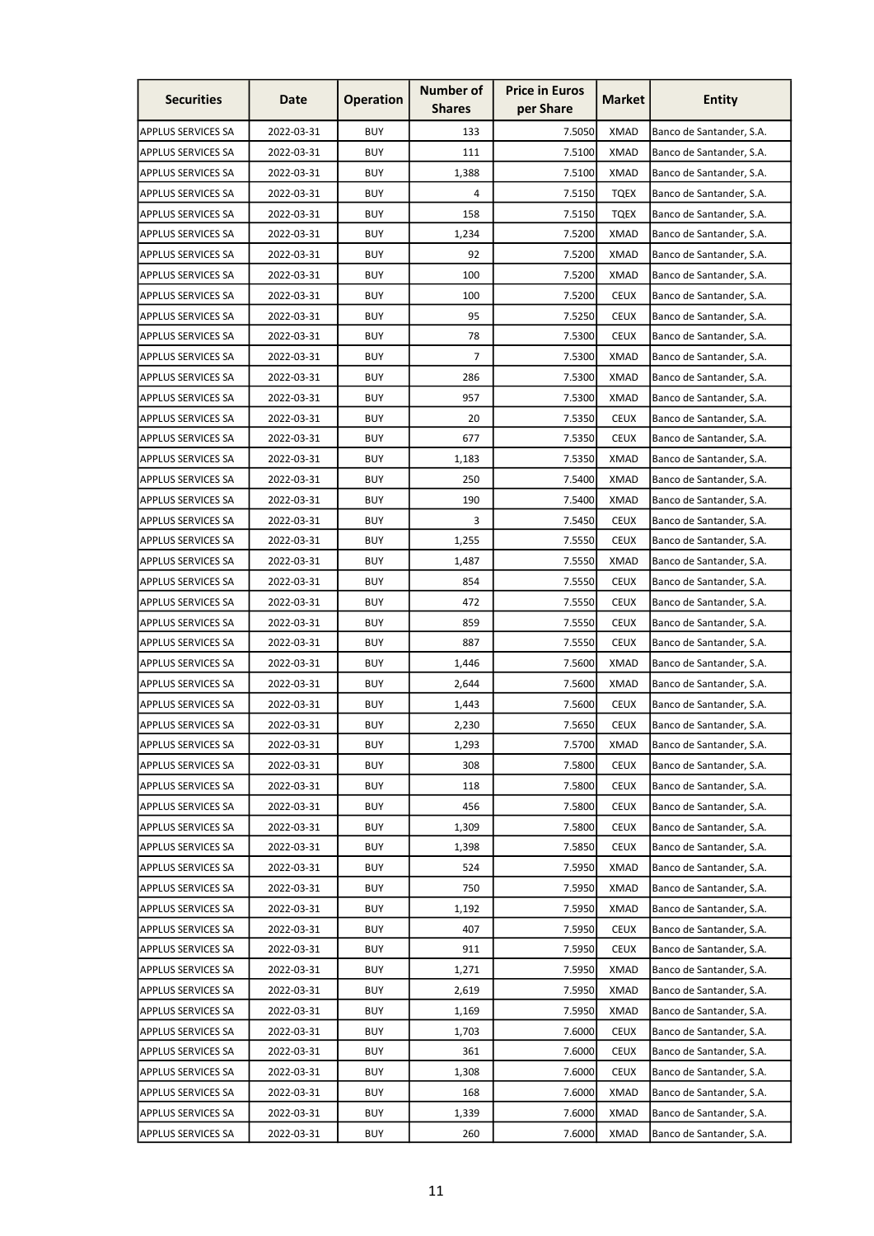| <b>Securities</b>         | Date       | <b>Operation</b> | <b>Number of</b><br><b>Shares</b> | <b>Price in Euros</b><br>per Share | Market      | <b>Entity</b>            |
|---------------------------|------------|------------------|-----------------------------------|------------------------------------|-------------|--------------------------|
| <b>APPLUS SERVICES SA</b> | 2022-03-31 | <b>BUY</b>       | 133                               | 7.5050                             | <b>XMAD</b> | Banco de Santander, S.A. |
| <b>APPLUS SERVICES SA</b> | 2022-03-31 | <b>BUY</b>       | 111                               | 7.5100                             | <b>XMAD</b> | Banco de Santander, S.A. |
| <b>APPLUS SERVICES SA</b> | 2022-03-31 | <b>BUY</b>       | 1,388                             | 7.5100                             | <b>XMAD</b> | Banco de Santander, S.A. |
| <b>APPLUS SERVICES SA</b> | 2022-03-31 | <b>BUY</b>       | 4                                 | 7.5150                             | <b>TQEX</b> | Banco de Santander, S.A. |
| <b>APPLUS SERVICES SA</b> | 2022-03-31 | <b>BUY</b>       | 158                               | 7.5150                             | <b>TQEX</b> | Banco de Santander, S.A. |
| <b>APPLUS SERVICES SA</b> | 2022-03-31 | <b>BUY</b>       | 1,234                             | 7.5200                             | <b>XMAD</b> | Banco de Santander, S.A. |
| <b>APPLUS SERVICES SA</b> | 2022-03-31 | <b>BUY</b>       | 92                                | 7.5200                             | <b>XMAD</b> | Banco de Santander, S.A. |
| <b>APPLUS SERVICES SA</b> | 2022-03-31 | <b>BUY</b>       | 100                               | 7.5200                             | <b>XMAD</b> | Banco de Santander, S.A. |
| <b>APPLUS SERVICES SA</b> | 2022-03-31 | <b>BUY</b>       | 100                               | 7.5200                             | <b>CEUX</b> | Banco de Santander, S.A. |
| <b>APPLUS SERVICES SA</b> | 2022-03-31 | <b>BUY</b>       | 95                                | 7.5250                             | <b>CEUX</b> | Banco de Santander, S.A. |
| <b>APPLUS SERVICES SA</b> | 2022-03-31 | <b>BUY</b>       | 78                                | 7.5300                             | <b>CEUX</b> | Banco de Santander, S.A. |
| <b>APPLUS SERVICES SA</b> | 2022-03-31 | <b>BUY</b>       | $\overline{7}$                    | 7.5300                             | <b>XMAD</b> | Banco de Santander, S.A. |
| <b>APPLUS SERVICES SA</b> | 2022-03-31 | <b>BUY</b>       | 286                               | 7.5300                             | <b>XMAD</b> | Banco de Santander, S.A. |
| <b>APPLUS SERVICES SA</b> | 2022-03-31 | <b>BUY</b>       | 957                               | 7.5300                             | <b>XMAD</b> | Banco de Santander, S.A. |
| <b>APPLUS SERVICES SA</b> | 2022-03-31 | <b>BUY</b>       | 20                                | 7.5350                             | <b>CEUX</b> | Banco de Santander, S.A. |
| APPLUS SERVICES SA        | 2022-03-31 | <b>BUY</b>       | 677                               | 7.5350                             | <b>CEUX</b> | Banco de Santander, S.A. |
| <b>APPLUS SERVICES SA</b> | 2022-03-31 | <b>BUY</b>       | 1,183                             | 7.5350                             | <b>XMAD</b> | Banco de Santander, S.A. |
| <b>APPLUS SERVICES SA</b> | 2022-03-31 | <b>BUY</b>       | 250                               | 7.5400                             | <b>XMAD</b> | Banco de Santander, S.A. |
| <b>APPLUS SERVICES SA</b> | 2022-03-31 | <b>BUY</b>       | 190                               | 7.5400                             | <b>XMAD</b> | Banco de Santander, S.A. |
| <b>APPLUS SERVICES SA</b> | 2022-03-31 | <b>BUY</b>       | 3                                 | 7.5450                             | <b>CEUX</b> | Banco de Santander, S.A. |
| <b>APPLUS SERVICES SA</b> | 2022-03-31 | <b>BUY</b>       | 1,255                             | 7.5550                             | <b>CEUX</b> | Banco de Santander, S.A. |
| <b>APPLUS SERVICES SA</b> | 2022-03-31 | <b>BUY</b>       | 1,487                             | 7.5550                             | <b>XMAD</b> | Banco de Santander, S.A. |
| <b>APPLUS SERVICES SA</b> | 2022-03-31 | <b>BUY</b>       | 854                               | 7.5550                             | <b>CEUX</b> | Banco de Santander, S.A. |
| <b>APPLUS SERVICES SA</b> | 2022-03-31 | <b>BUY</b>       | 472                               | 7.5550                             | <b>CEUX</b> | Banco de Santander, S.A. |
| <b>APPLUS SERVICES SA</b> | 2022-03-31 | <b>BUY</b>       | 859                               | 7.5550                             | <b>CEUX</b> | Banco de Santander, S.A. |
| <b>APPLUS SERVICES SA</b> | 2022-03-31 | <b>BUY</b>       | 887                               | 7.5550                             | <b>CEUX</b> | Banco de Santander, S.A. |
| <b>APPLUS SERVICES SA</b> | 2022-03-31 | <b>BUY</b>       | 1,446                             | 7.5600                             | <b>XMAD</b> | Banco de Santander, S.A. |
| <b>APPLUS SERVICES SA</b> | 2022-03-31 | <b>BUY</b>       | 2.644                             | 7.5600                             | <b>XMAD</b> | Banco de Santander, S.A. |
| <b>APPLUS SERVICES SA</b> | 2022-03-31 | <b>BUY</b>       | 1,443                             | 7.5600                             | <b>CEUX</b> | Banco de Santander, S.A. |
| <b>APPLUS SERVICES SA</b> | 2022-03-31 | <b>BUY</b>       | 2,230                             | 7.5650                             | <b>CEUX</b> | Banco de Santander, S.A. |
| <b>APPLUS SERVICES SA</b> | 2022-03-31 | <b>BUY</b>       | 1,293                             | 7.5700                             | <b>XMAD</b> | Banco de Santander, S.A. |
| <b>APPLUS SERVICES SA</b> | 2022-03-31 | <b>BUY</b>       | 308                               | 7.5800                             | <b>CEUX</b> | Banco de Santander, S.A. |
| <b>APPLUS SERVICES SA</b> | 2022-03-31 | <b>BUY</b>       | 118                               | 7.5800                             | <b>CEUX</b> | Banco de Santander, S.A. |
| <b>APPLUS SERVICES SA</b> | 2022-03-31 | <b>BUY</b>       | 456                               | 7.5800                             | <b>CEUX</b> | Banco de Santander, S.A. |
| <b>APPLUS SERVICES SA</b> | 2022-03-31 | <b>BUY</b>       | 1,309                             | 7.5800                             | <b>CEUX</b> | Banco de Santander, S.A. |
| <b>APPLUS SERVICES SA</b> | 2022-03-31 | <b>BUY</b>       | 1,398                             | 7.5850                             | <b>CEUX</b> | Banco de Santander, S.A. |
| <b>APPLUS SERVICES SA</b> | 2022-03-31 | <b>BUY</b>       | 524                               | 7.5950                             | <b>XMAD</b> | Banco de Santander, S.A. |
| <b>APPLUS SERVICES SA</b> | 2022-03-31 | <b>BUY</b>       | 750                               | 7.5950                             | <b>XMAD</b> | Banco de Santander, S.A. |
| <b>APPLUS SERVICES SA</b> | 2022-03-31 | <b>BUY</b>       | 1,192                             | 7.5950                             | <b>XMAD</b> | Banco de Santander, S.A. |
| <b>APPLUS SERVICES SA</b> | 2022-03-31 | <b>BUY</b>       | 407                               | 7.5950                             | <b>CEUX</b> | Banco de Santander, S.A. |
| <b>APPLUS SERVICES SA</b> | 2022-03-31 | <b>BUY</b>       | 911                               | 7.5950                             | <b>CEUX</b> | Banco de Santander, S.A. |
| <b>APPLUS SERVICES SA</b> | 2022-03-31 | <b>BUY</b>       | 1,271                             | 7.5950                             | XMAD        | Banco de Santander, S.A. |
| <b>APPLUS SERVICES SA</b> | 2022-03-31 | <b>BUY</b>       | 2,619                             | 7.5950                             | <b>XMAD</b> | Banco de Santander, S.A. |
| <b>APPLUS SERVICES SA</b> | 2022-03-31 | <b>BUY</b>       | 1,169                             | 7.5950                             | XMAD        | Banco de Santander, S.A. |
| <b>APPLUS SERVICES SA</b> | 2022-03-31 | <b>BUY</b>       | 1,703                             | 7.6000                             | <b>CEUX</b> | Banco de Santander, S.A. |
| <b>APPLUS SERVICES SA</b> | 2022-03-31 | <b>BUY</b>       | 361                               | 7.6000                             | <b>CEUX</b> | Banco de Santander, S.A. |
| <b>APPLUS SERVICES SA</b> | 2022-03-31 | <b>BUY</b>       | 1,308                             | 7.6000                             | <b>CEUX</b> | Banco de Santander, S.A. |
| APPLUS SERVICES SA        | 2022-03-31 | <b>BUY</b>       | 168                               | 7.6000                             | <b>XMAD</b> | Banco de Santander, S.A. |
| <b>APPLUS SERVICES SA</b> | 2022-03-31 | <b>BUY</b>       | 1,339                             | 7.6000                             | <b>XMAD</b> | Banco de Santander, S.A. |
| <b>APPLUS SERVICES SA</b> | 2022-03-31 | <b>BUY</b>       | 260                               | 7.6000                             | <b>XMAD</b> | Banco de Santander, S.A. |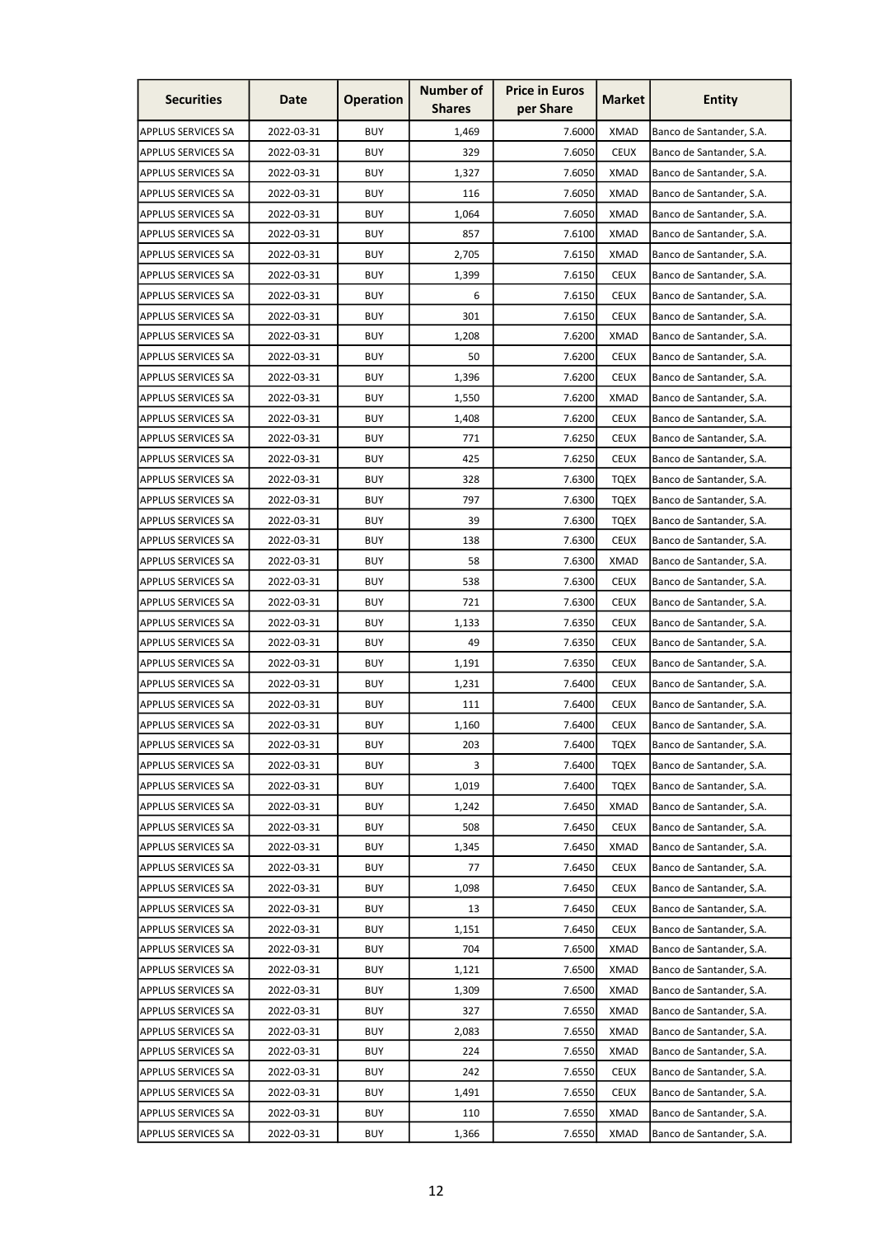| <b>Securities</b>         | Date       | <b>Operation</b> | <b>Number of</b><br><b>Shares</b> | <b>Price in Euros</b><br>per Share | <b>Market</b> | <b>Entity</b>            |
|---------------------------|------------|------------------|-----------------------------------|------------------------------------|---------------|--------------------------|
| <b>APPLUS SERVICES SA</b> | 2022-03-31 | <b>BUY</b>       | 1,469                             | 7.6000                             | <b>XMAD</b>   | Banco de Santander, S.A. |
| <b>APPLUS SERVICES SA</b> | 2022-03-31 | <b>BUY</b>       | 329                               | 7.6050                             | <b>CEUX</b>   | Banco de Santander, S.A. |
| <b>APPLUS SERVICES SA</b> | 2022-03-31 | <b>BUY</b>       | 1,327                             | 7.6050                             | <b>XMAD</b>   | Banco de Santander, S.A. |
| <b>APPLUS SERVICES SA</b> | 2022-03-31 | <b>BUY</b>       | 116                               | 7.6050                             | <b>XMAD</b>   | Banco de Santander, S.A. |
| <b>APPLUS SERVICES SA</b> | 2022-03-31 | <b>BUY</b>       | 1,064                             | 7.6050                             | <b>XMAD</b>   | Banco de Santander, S.A. |
| <b>APPLUS SERVICES SA</b> | 2022-03-31 | <b>BUY</b>       | 857                               | 7.6100                             | <b>XMAD</b>   | Banco de Santander, S.A. |
| <b>APPLUS SERVICES SA</b> | 2022-03-31 | <b>BUY</b>       | 2,705                             | 7.6150                             | XMAD          | Banco de Santander, S.A. |
| <b>APPLUS SERVICES SA</b> | 2022-03-31 | <b>BUY</b>       | 1,399                             | 7.6150                             | <b>CEUX</b>   | Banco de Santander, S.A. |
| <b>APPLUS SERVICES SA</b> | 2022-03-31 | <b>BUY</b>       | 6                                 | 7.6150                             | <b>CEUX</b>   | Banco de Santander, S.A. |
| <b>APPLUS SERVICES SA</b> | 2022-03-31 | <b>BUY</b>       | 301                               | 7.6150                             | <b>CEUX</b>   | Banco de Santander, S.A. |
| <b>APPLUS SERVICES SA</b> | 2022-03-31 | <b>BUY</b>       | 1,208                             | 7.6200                             | <b>XMAD</b>   | Banco de Santander, S.A. |
| <b>APPLUS SERVICES SA</b> | 2022-03-31 | <b>BUY</b>       | 50                                | 7.6200                             | <b>CEUX</b>   | Banco de Santander, S.A. |
| <b>APPLUS SERVICES SA</b> | 2022-03-31 | <b>BUY</b>       | 1,396                             | 7.6200                             | <b>CEUX</b>   | Banco de Santander, S.A. |
| <b>APPLUS SERVICES SA</b> | 2022-03-31 | <b>BUY</b>       | 1,550                             | 7.6200                             | <b>XMAD</b>   | Banco de Santander, S.A. |
| <b>APPLUS SERVICES SA</b> | 2022-03-31 | <b>BUY</b>       | 1,408                             | 7.6200                             | <b>CEUX</b>   | Banco de Santander, S.A. |
| <b>APPLUS SERVICES SA</b> | 2022-03-31 | <b>BUY</b>       | 771                               | 7.6250                             | <b>CEUX</b>   | Banco de Santander, S.A. |
| <b>APPLUS SERVICES SA</b> | 2022-03-31 | <b>BUY</b>       | 425                               | 7.6250                             | <b>CEUX</b>   | Banco de Santander, S.A. |
| <b>APPLUS SERVICES SA</b> | 2022-03-31 | <b>BUY</b>       | 328                               | 7.6300                             | <b>TQEX</b>   | Banco de Santander, S.A. |
| <b>APPLUS SERVICES SA</b> | 2022-03-31 | <b>BUY</b>       | 797                               | 7.6300                             | <b>TQEX</b>   | Banco de Santander, S.A. |
| <b>APPLUS SERVICES SA</b> | 2022-03-31 | <b>BUY</b>       | 39                                | 7.6300                             | TQEX          | Banco de Santander, S.A. |
| <b>APPLUS SERVICES SA</b> | 2022-03-31 | <b>BUY</b>       | 138                               | 7.6300                             | <b>CEUX</b>   | Banco de Santander, S.A. |
| <b>APPLUS SERVICES SA</b> | 2022-03-31 | <b>BUY</b>       | 58                                | 7.6300                             | <b>XMAD</b>   | Banco de Santander, S.A. |
| <b>APPLUS SERVICES SA</b> | 2022-03-31 | <b>BUY</b>       | 538                               | 7.6300                             | <b>CEUX</b>   | Banco de Santander, S.A. |
| <b>APPLUS SERVICES SA</b> | 2022-03-31 | <b>BUY</b>       | 721                               | 7.6300                             | <b>CEUX</b>   | Banco de Santander, S.A. |
| <b>APPLUS SERVICES SA</b> | 2022-03-31 | <b>BUY</b>       | 1,133                             | 7.6350                             | <b>CEUX</b>   | Banco de Santander, S.A. |
| <b>APPLUS SERVICES SA</b> | 2022-03-31 | <b>BUY</b>       | 49                                | 7.6350                             | <b>CEUX</b>   | Banco de Santander, S.A. |
| <b>APPLUS SERVICES SA</b> | 2022-03-31 | <b>BUY</b>       | 1,191                             | 7.6350                             | <b>CEUX</b>   | Banco de Santander, S.A. |
| <b>APPLUS SERVICES SA</b> | 2022-03-31 | <b>BUY</b>       | 1,231                             | 7.6400                             | <b>CEUX</b>   | Banco de Santander, S.A. |
| <b>APPLUS SERVICES SA</b> | 2022-03-31 | <b>BUY</b>       | 111                               | 7.6400                             | <b>CEUX</b>   | Banco de Santander, S.A. |
| <b>APPLUS SERVICES SA</b> | 2022-03-31 | <b>BUY</b>       | 1,160                             | 7.6400                             | <b>CEUX</b>   | Banco de Santander, S.A. |
| APPLUS SERVICES SA        | 2022-03-31 | <b>BUY</b>       | 203                               | 7.6400                             | <b>TQEX</b>   | Banco de Santander, S.A. |
| <b>APPLUS SERVICES SA</b> | 2022-03-31 | <b>BUY</b>       | 3                                 | 7.6400                             | <b>TQEX</b>   | Banco de Santander, S.A. |
| <b>APPLUS SERVICES SA</b> | 2022-03-31 | <b>BUY</b>       | 1,019                             | 7.6400                             | <b>TQEX</b>   | Banco de Santander, S.A. |
| <b>APPLUS SERVICES SA</b> | 2022-03-31 | <b>BUY</b>       | 1,242                             | 7.6450                             | <b>XMAD</b>   | Banco de Santander, S.A. |
| <b>APPLUS SERVICES SA</b> | 2022-03-31 | <b>BUY</b>       | 508                               | 7.6450                             | <b>CEUX</b>   | Banco de Santander, S.A. |
| <b>APPLUS SERVICES SA</b> | 2022-03-31 | <b>BUY</b>       | 1,345                             | 7.6450                             | <b>XMAD</b>   | Banco de Santander, S.A. |
| <b>APPLUS SERVICES SA</b> | 2022-03-31 | <b>BUY</b>       | 77                                | 7.6450                             | <b>CEUX</b>   | Banco de Santander, S.A. |
| <b>APPLUS SERVICES SA</b> | 2022-03-31 | <b>BUY</b>       | 1,098                             | 7.6450                             | <b>CEUX</b>   | Banco de Santander, S.A. |
| <b>APPLUS SERVICES SA</b> | 2022-03-31 | <b>BUY</b>       | 13                                | 7.6450                             | <b>CEUX</b>   | Banco de Santander, S.A. |
| <b>APPLUS SERVICES SA</b> | 2022-03-31 | <b>BUY</b>       | 1,151                             | 7.6450                             | <b>CEUX</b>   | Banco de Santander, S.A. |
| <b>APPLUS SERVICES SA</b> | 2022-03-31 | <b>BUY</b>       | 704                               | 7.6500                             | <b>XMAD</b>   | Banco de Santander, S.A. |
| APPLUS SERVICES SA        | 2022-03-31 | <b>BUY</b>       | 1,121                             | 7.6500                             | <b>XMAD</b>   | Banco de Santander, S.A. |
| <b>APPLUS SERVICES SA</b> | 2022-03-31 | <b>BUY</b>       | 1,309                             | 7.6500                             | <b>XMAD</b>   | Banco de Santander, S.A. |
| <b>APPLUS SERVICES SA</b> | 2022-03-31 | <b>BUY</b>       | 327                               | 7.6550                             | <b>XMAD</b>   | Banco de Santander, S.A. |
| <b>APPLUS SERVICES SA</b> | 2022-03-31 | <b>BUY</b>       | 2,083                             | 7.6550                             | <b>XMAD</b>   | Banco de Santander, S.A. |
| <b>APPLUS SERVICES SA</b> | 2022-03-31 | <b>BUY</b>       | 224                               | 7.6550                             | <b>XMAD</b>   | Banco de Santander, S.A. |
| <b>APPLUS SERVICES SA</b> | 2022-03-31 | <b>BUY</b>       | 242                               | 7.6550                             | <b>CEUX</b>   | Banco de Santander, S.A. |
| <b>APPLUS SERVICES SA</b> | 2022-03-31 | <b>BUY</b>       | 1,491                             | 7.6550                             | <b>CEUX</b>   | Banco de Santander, S.A. |
| <b>APPLUS SERVICES SA</b> | 2022-03-31 | <b>BUY</b>       | 110                               | 7.6550                             | <b>XMAD</b>   | Banco de Santander, S.A. |
| <b>APPLUS SERVICES SA</b> | 2022-03-31 | <b>BUY</b>       | 1,366                             | 7.6550                             | <b>XMAD</b>   | Banco de Santander, S.A. |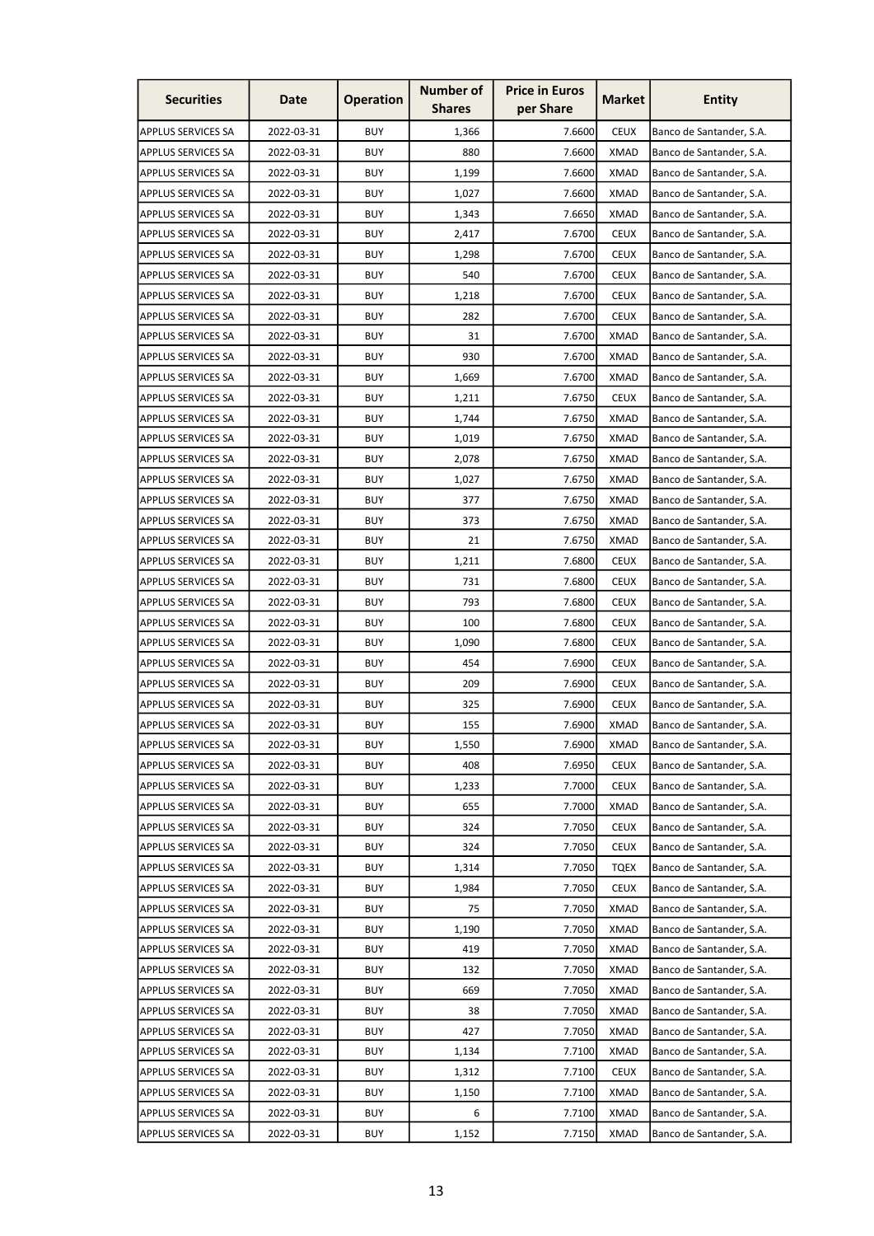| <b>Securities</b>         | Date       | <b>Operation</b> | <b>Number of</b><br><b>Shares</b> | <b>Price in Euros</b><br>per Share | Market      | <b>Entity</b>            |
|---------------------------|------------|------------------|-----------------------------------|------------------------------------|-------------|--------------------------|
| <b>APPLUS SERVICES SA</b> | 2022-03-31 | <b>BUY</b>       | 1,366                             | 7.6600                             | <b>CEUX</b> | Banco de Santander, S.A. |
| <b>APPLUS SERVICES SA</b> | 2022-03-31 | <b>BUY</b>       | 880                               | 7.6600                             | <b>XMAD</b> | Banco de Santander, S.A. |
| <b>APPLUS SERVICES SA</b> | 2022-03-31 | <b>BUY</b>       | 1,199                             | 7.6600                             | <b>XMAD</b> | Banco de Santander, S.A. |
| <b>APPLUS SERVICES SA</b> | 2022-03-31 | <b>BUY</b>       | 1,027                             | 7.6600                             | <b>XMAD</b> | Banco de Santander, S.A. |
| <b>APPLUS SERVICES SA</b> | 2022-03-31 | <b>BUY</b>       | 1,343                             | 7.6650                             | <b>XMAD</b> | Banco de Santander, S.A. |
| <b>APPLUS SERVICES SA</b> | 2022-03-31 | <b>BUY</b>       | 2,417                             | 7.6700                             | <b>CEUX</b> | Banco de Santander, S.A. |
| <b>APPLUS SERVICES SA</b> | 2022-03-31 | <b>BUY</b>       | 1,298                             | 7.6700                             | <b>CEUX</b> | Banco de Santander, S.A. |
| <b>APPLUS SERVICES SA</b> | 2022-03-31 | <b>BUY</b>       | 540                               | 7.6700                             | <b>CEUX</b> | Banco de Santander, S.A. |
| <b>APPLUS SERVICES SA</b> | 2022-03-31 | <b>BUY</b>       | 1,218                             | 7.6700                             | <b>CEUX</b> | Banco de Santander, S.A. |
| <b>APPLUS SERVICES SA</b> | 2022-03-31 | <b>BUY</b>       | 282                               | 7.6700                             | <b>CEUX</b> | Banco de Santander, S.A. |
| <b>APPLUS SERVICES SA</b> | 2022-03-31 | <b>BUY</b>       | 31                                | 7.6700                             | <b>XMAD</b> | Banco de Santander, S.A. |
| <b>APPLUS SERVICES SA</b> | 2022-03-31 | <b>BUY</b>       | 930                               | 7.6700                             | <b>XMAD</b> | Banco de Santander, S.A. |
| <b>APPLUS SERVICES SA</b> | 2022-03-31 | <b>BUY</b>       | 1,669                             | 7.6700                             | <b>XMAD</b> | Banco de Santander, S.A. |
| <b>APPLUS SERVICES SA</b> | 2022-03-31 | <b>BUY</b>       | 1,211                             | 7.6750                             | <b>CEUX</b> | Banco de Santander, S.A. |
| <b>APPLUS SERVICES SA</b> | 2022-03-31 | <b>BUY</b>       | 1,744                             | 7.6750                             | <b>XMAD</b> | Banco de Santander, S.A. |
| APPLUS SERVICES SA        | 2022-03-31 | <b>BUY</b>       | 1,019                             | 7.6750                             | <b>XMAD</b> | Banco de Santander, S.A. |
| <b>APPLUS SERVICES SA</b> | 2022-03-31 | <b>BUY</b>       | 2,078                             | 7.6750                             | <b>XMAD</b> | Banco de Santander, S.A. |
| <b>APPLUS SERVICES SA</b> | 2022-03-31 | <b>BUY</b>       | 1,027                             | 7.6750                             | <b>XMAD</b> | Banco de Santander, S.A. |
| <b>APPLUS SERVICES SA</b> | 2022-03-31 | <b>BUY</b>       | 377                               | 7.6750                             | <b>XMAD</b> | Banco de Santander, S.A. |
| <b>APPLUS SERVICES SA</b> | 2022-03-31 | <b>BUY</b>       | 373                               | 7.6750                             | <b>XMAD</b> | Banco de Santander, S.A. |
| <b>APPLUS SERVICES SA</b> | 2022-03-31 | <b>BUY</b>       | 21                                | 7.6750                             | <b>XMAD</b> | Banco de Santander, S.A. |
| <b>APPLUS SERVICES SA</b> | 2022-03-31 | <b>BUY</b>       | 1,211                             | 7.6800                             | <b>CEUX</b> | Banco de Santander, S.A. |
| <b>APPLUS SERVICES SA</b> | 2022-03-31 | <b>BUY</b>       | 731                               | 7.6800                             | <b>CEUX</b> | Banco de Santander, S.A. |
| <b>APPLUS SERVICES SA</b> | 2022-03-31 | <b>BUY</b>       | 793                               | 7.6800                             | <b>CEUX</b> | Banco de Santander, S.A. |
| <b>APPLUS SERVICES SA</b> | 2022-03-31 | <b>BUY</b>       | 100                               | 7.6800                             | <b>CEUX</b> | Banco de Santander, S.A. |
| <b>APPLUS SERVICES SA</b> | 2022-03-31 | <b>BUY</b>       | 1,090                             | 7.6800                             | <b>CEUX</b> | Banco de Santander, S.A. |
| <b>APPLUS SERVICES SA</b> | 2022-03-31 | <b>BUY</b>       | 454                               | 7.6900                             | <b>CEUX</b> | Banco de Santander, S.A. |
| APPLUS SERVICES SA        | 2022-03-31 | <b>BUY</b>       | 209                               | 7.6900                             | <b>CEUX</b> | Banco de Santander, S.A. |
| <b>APPLUS SERVICES SA</b> | 2022-03-31 | <b>BUY</b>       | 325                               | 7.6900                             | <b>CEUX</b> | Banco de Santander, S.A. |
| <b>APPLUS SERVICES SA</b> | 2022-03-31 | <b>BUY</b>       | 155                               | 7.6900                             | <b>XMAD</b> | Banco de Santander, S.A. |
| <b>APPLUS SERVICES SA</b> | 2022-03-31 | <b>BUY</b>       | 1,550                             | 7.6900                             | <b>XMAD</b> | Banco de Santander, S.A. |
| <b>APPLUS SERVICES SA</b> | 2022-03-31 | <b>BUY</b>       | 408                               | 7.6950                             | <b>CEUX</b> | Banco de Santander, S.A. |
| <b>APPLUS SERVICES SA</b> | 2022-03-31 | <b>BUY</b>       | 1,233                             | 7.7000                             | <b>CEUX</b> | Banco de Santander, S.A. |
| <b>APPLUS SERVICES SA</b> | 2022-03-31 | <b>BUY</b>       | 655                               | 7.7000                             | <b>XMAD</b> | Banco de Santander, S.A. |
| <b>APPLUS SERVICES SA</b> | 2022-03-31 | <b>BUY</b>       | 324                               | 7.7050                             | <b>CEUX</b> | Banco de Santander, S.A. |
| <b>APPLUS SERVICES SA</b> | 2022-03-31 | <b>BUY</b>       | 324                               | 7.7050                             | <b>CEUX</b> | Banco de Santander, S.A. |
| <b>APPLUS SERVICES SA</b> | 2022-03-31 | <b>BUY</b>       | 1,314                             | 7.7050                             | <b>TQEX</b> | Banco de Santander, S.A. |
| <b>APPLUS SERVICES SA</b> | 2022-03-31 | <b>BUY</b>       | 1,984                             | 7.7050                             | <b>CEUX</b> | Banco de Santander, S.A. |
| <b>APPLUS SERVICES SA</b> | 2022-03-31 | <b>BUY</b>       | 75                                | 7.7050                             | <b>XMAD</b> | Banco de Santander, S.A. |
| <b>APPLUS SERVICES SA</b> | 2022-03-31 | <b>BUY</b>       | 1,190                             | 7.7050                             | <b>XMAD</b> | Banco de Santander, S.A. |
| <b>APPLUS SERVICES SA</b> | 2022-03-31 | <b>BUY</b>       | 419                               | 7.7050                             | <b>XMAD</b> | Banco de Santander, S.A. |
| <b>APPLUS SERVICES SA</b> | 2022-03-31 | <b>BUY</b>       | 132                               | 7.7050                             | <b>XMAD</b> | Banco de Santander, S.A. |
| <b>APPLUS SERVICES SA</b> | 2022-03-31 | <b>BUY</b>       | 669                               | 7.7050                             | <b>XMAD</b> | Banco de Santander, S.A. |
| <b>APPLUS SERVICES SA</b> | 2022-03-31 | <b>BUY</b>       | 38                                | 7.7050                             | <b>XMAD</b> | Banco de Santander, S.A. |
| <b>APPLUS SERVICES SA</b> | 2022-03-31 | <b>BUY</b>       | 427                               | 7.7050                             | <b>XMAD</b> | Banco de Santander, S.A. |
| <b>APPLUS SERVICES SA</b> | 2022-03-31 | <b>BUY</b>       | 1,134                             | 7.7100                             | <b>XMAD</b> | Banco de Santander, S.A. |
| <b>APPLUS SERVICES SA</b> | 2022-03-31 | <b>BUY</b>       | 1,312                             | 7.7100                             | <b>CEUX</b> | Banco de Santander, S.A. |
| APPLUS SERVICES SA        | 2022-03-31 | <b>BUY</b>       | 1,150                             | 7.7100                             | <b>XMAD</b> | Banco de Santander, S.A. |
| <b>APPLUS SERVICES SA</b> | 2022-03-31 | <b>BUY</b>       | 6                                 | 7.7100                             | <b>XMAD</b> | Banco de Santander, S.A. |
| <b>APPLUS SERVICES SA</b> | 2022-03-31 | <b>BUY</b>       | 1,152                             | 7.7150                             | <b>XMAD</b> | Banco de Santander, S.A. |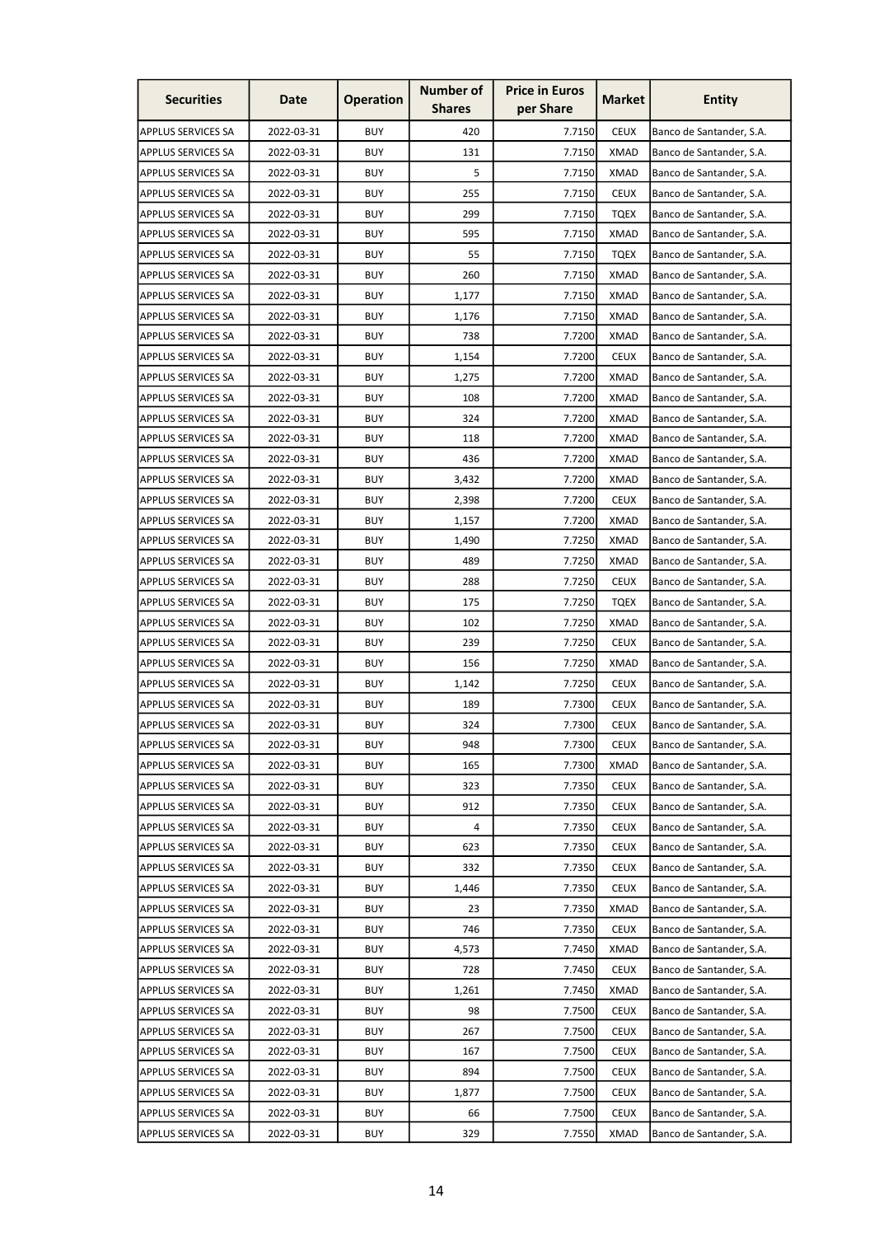| <b>Securities</b>         | Date       | <b>Operation</b> | <b>Number of</b><br><b>Shares</b> | <b>Price in Euros</b><br>per Share | <b>Market</b> | <b>Entity</b>            |
|---------------------------|------------|------------------|-----------------------------------|------------------------------------|---------------|--------------------------|
| <b>APPLUS SERVICES SA</b> | 2022-03-31 | <b>BUY</b>       | 420                               | 7.7150                             | <b>CEUX</b>   | Banco de Santander, S.A. |
| <b>APPLUS SERVICES SA</b> | 2022-03-31 | <b>BUY</b>       | 131                               | 7.7150                             | <b>XMAD</b>   | Banco de Santander, S.A. |
| <b>APPLUS SERVICES SA</b> | 2022-03-31 | <b>BUY</b>       | 5                                 | 7.7150                             | <b>XMAD</b>   | Banco de Santander, S.A. |
| <b>APPLUS SERVICES SA</b> | 2022-03-31 | <b>BUY</b>       | 255                               | 7.7150                             | <b>CEUX</b>   | Banco de Santander, S.A. |
| <b>APPLUS SERVICES SA</b> | 2022-03-31 | <b>BUY</b>       | 299                               | 7.7150                             | <b>TQEX</b>   | Banco de Santander, S.A. |
| <b>APPLUS SERVICES SA</b> | 2022-03-31 | <b>BUY</b>       | 595                               | 7.7150                             | <b>XMAD</b>   | Banco de Santander, S.A. |
| <b>APPLUS SERVICES SA</b> | 2022-03-31 | <b>BUY</b>       | 55                                | 7.7150                             | TQEX          | Banco de Santander, S.A. |
| <b>APPLUS SERVICES SA</b> | 2022-03-31 | <b>BUY</b>       | 260                               | 7.7150                             | <b>XMAD</b>   | Banco de Santander, S.A. |
| <b>APPLUS SERVICES SA</b> | 2022-03-31 | <b>BUY</b>       | 1,177                             | 7.7150                             | <b>XMAD</b>   | Banco de Santander, S.A. |
| <b>APPLUS SERVICES SA</b> | 2022-03-31 | <b>BUY</b>       | 1,176                             | 7.7150                             | <b>XMAD</b>   | Banco de Santander, S.A. |
| <b>APPLUS SERVICES SA</b> | 2022-03-31 | <b>BUY</b>       | 738                               | 7.7200                             | <b>XMAD</b>   | Banco de Santander, S.A. |
| <b>APPLUS SERVICES SA</b> | 2022-03-31 | <b>BUY</b>       | 1,154                             | 7.7200                             | <b>CEUX</b>   | Banco de Santander, S.A. |
| <b>APPLUS SERVICES SA</b> | 2022-03-31 | <b>BUY</b>       | 1,275                             | 7.7200                             | <b>XMAD</b>   | Banco de Santander, S.A. |
| <b>APPLUS SERVICES SA</b> | 2022-03-31 | <b>BUY</b>       | 108                               | 7.7200                             | XMAD          | Banco de Santander, S.A. |
| <b>APPLUS SERVICES SA</b> | 2022-03-31 | <b>BUY</b>       | 324                               | 7.7200                             | <b>XMAD</b>   | Banco de Santander, S.A. |
| <b>APPLUS SERVICES SA</b> | 2022-03-31 | <b>BUY</b>       | 118                               | 7.7200                             | <b>XMAD</b>   | Banco de Santander, S.A. |
| <b>APPLUS SERVICES SA</b> | 2022-03-31 | <b>BUY</b>       | 436                               | 7.7200                             | <b>XMAD</b>   | Banco de Santander, S.A. |
| <b>APPLUS SERVICES SA</b> | 2022-03-31 | <b>BUY</b>       | 3,432                             | 7.7200                             | <b>XMAD</b>   | Banco de Santander, S.A. |
| <b>APPLUS SERVICES SA</b> | 2022-03-31 | <b>BUY</b>       | 2,398                             | 7.7200                             | <b>CEUX</b>   | Banco de Santander, S.A. |
| <b>APPLUS SERVICES SA</b> | 2022-03-31 | <b>BUY</b>       | 1,157                             | 7.7200                             | XMAD          | Banco de Santander, S.A. |
| <b>APPLUS SERVICES SA</b> | 2022-03-31 | <b>BUY</b>       | 1,490                             | 7.7250                             | <b>XMAD</b>   | Banco de Santander, S.A. |
| <b>APPLUS SERVICES SA</b> | 2022-03-31 | <b>BUY</b>       | 489                               | 7.7250                             | <b>XMAD</b>   | Banco de Santander, S.A. |
| <b>APPLUS SERVICES SA</b> | 2022-03-31 | <b>BUY</b>       | 288                               | 7.7250                             | <b>CEUX</b>   | Banco de Santander, S.A. |
| <b>APPLUS SERVICES SA</b> | 2022-03-31 | <b>BUY</b>       | 175                               | 7.7250                             | <b>TQEX</b>   | Banco de Santander, S.A. |
| <b>APPLUS SERVICES SA</b> | 2022-03-31 | <b>BUY</b>       | 102                               | 7.7250                             | <b>XMAD</b>   | Banco de Santander, S.A. |
| <b>APPLUS SERVICES SA</b> | 2022-03-31 | <b>BUY</b>       | 239                               | 7.7250                             | <b>CEUX</b>   | Banco de Santander, S.A. |
| <b>APPLUS SERVICES SA</b> | 2022-03-31 | <b>BUY</b>       | 156                               | 7.7250                             | <b>XMAD</b>   | Banco de Santander, S.A. |
| <b>APPLUS SERVICES SA</b> | 2022-03-31 | <b>BUY</b>       | 1,142                             | 7.7250                             | <b>CEUX</b>   | Banco de Santander, S.A. |
| APPLUS SERVICES SA        | 2022-03-31 | <b>BUY</b>       | 189                               | 7.7300                             | <b>CEUX</b>   | Banco de Santander, S.A. |
| <b>APPLUS SERVICES SA</b> | 2022-03-31 | <b>BUY</b>       | 324                               | 7.7300                             | <b>CEUX</b>   | Banco de Santander, S.A. |
| <b>APPLUS SERVICES SA</b> | 2022-03-31 | <b>BUY</b>       | 948                               | 7.7300                             | <b>CEUX</b>   | Banco de Santander, S.A. |
| <b>APPLUS SERVICES SA</b> | 2022-03-31 | <b>BUY</b>       | 165                               | 7.7300                             | XMAD          | Banco de Santander, S.A. |
| <b>APPLUS SERVICES SA</b> | 2022-03-31 | <b>BUY</b>       | 323                               | 7.7350                             | <b>CEUX</b>   | Banco de Santander, S.A. |
| <b>APPLUS SERVICES SA</b> | 2022-03-31 | <b>BUY</b>       | 912                               | 7.7350                             | <b>CEUX</b>   | Banco de Santander, S.A. |
| <b>APPLUS SERVICES SA</b> | 2022-03-31 | <b>BUY</b>       | 4                                 | 7.7350                             | <b>CEUX</b>   | Banco de Santander, S.A. |
| <b>APPLUS SERVICES SA</b> | 2022-03-31 | <b>BUY</b>       | 623                               | 7.7350                             | <b>CEUX</b>   | Banco de Santander, S.A. |
| <b>APPLUS SERVICES SA</b> | 2022-03-31 | <b>BUY</b>       | 332                               | 7.7350                             | <b>CEUX</b>   | Banco de Santander, S.A. |
| <b>APPLUS SERVICES SA</b> | 2022-03-31 | <b>BUY</b>       | 1,446                             | 7.7350                             | <b>CEUX</b>   | Banco de Santander, S.A. |
| <b>APPLUS SERVICES SA</b> | 2022-03-31 | <b>BUY</b>       | 23                                | 7.7350                             | XMAD          | Banco de Santander, S.A. |
| <b>APPLUS SERVICES SA</b> | 2022-03-31 | <b>BUY</b>       | 746                               | 7.7350                             | <b>CEUX</b>   | Banco de Santander, S.A. |
| <b>APPLUS SERVICES SA</b> | 2022-03-31 | <b>BUY</b>       | 4,573                             | 7.7450                             | <b>XMAD</b>   | Banco de Santander, S.A. |
| <b>APPLUS SERVICES SA</b> | 2022-03-31 | <b>BUY</b>       | 728                               | 7.7450                             | <b>CEUX</b>   | Banco de Santander, S.A. |
| <b>APPLUS SERVICES SA</b> | 2022-03-31 | <b>BUY</b>       | 1,261                             | 7.7450                             | <b>XMAD</b>   | Banco de Santander, S.A. |
| <b>APPLUS SERVICES SA</b> | 2022-03-31 | <b>BUY</b>       | 98                                | 7.7500                             | <b>CEUX</b>   | Banco de Santander, S.A. |
| <b>APPLUS SERVICES SA</b> | 2022-03-31 | <b>BUY</b>       | 267                               | 7.7500                             | <b>CEUX</b>   | Banco de Santander, S.A. |
| <b>APPLUS SERVICES SA</b> | 2022-03-31 | <b>BUY</b>       | 167                               | 7.7500                             | <b>CEUX</b>   | Banco de Santander, S.A. |
| <b>APPLUS SERVICES SA</b> | 2022-03-31 | <b>BUY</b>       | 894                               | 7.7500                             | <b>CEUX</b>   | Banco de Santander, S.A. |
| APPLUS SERVICES SA        | 2022-03-31 | <b>BUY</b>       | 1,877                             | 7.7500                             | <b>CEUX</b>   | Banco de Santander, S.A. |
| APPLUS SERVICES SA        | 2022-03-31 | <b>BUY</b>       | 66                                | 7.7500                             | <b>CEUX</b>   | Banco de Santander, S.A. |
| <b>APPLUS SERVICES SA</b> | 2022-03-31 | <b>BUY</b>       | 329                               | 7.7550                             | <b>XMAD</b>   | Banco de Santander, S.A. |
|                           |            |                  |                                   |                                    |               |                          |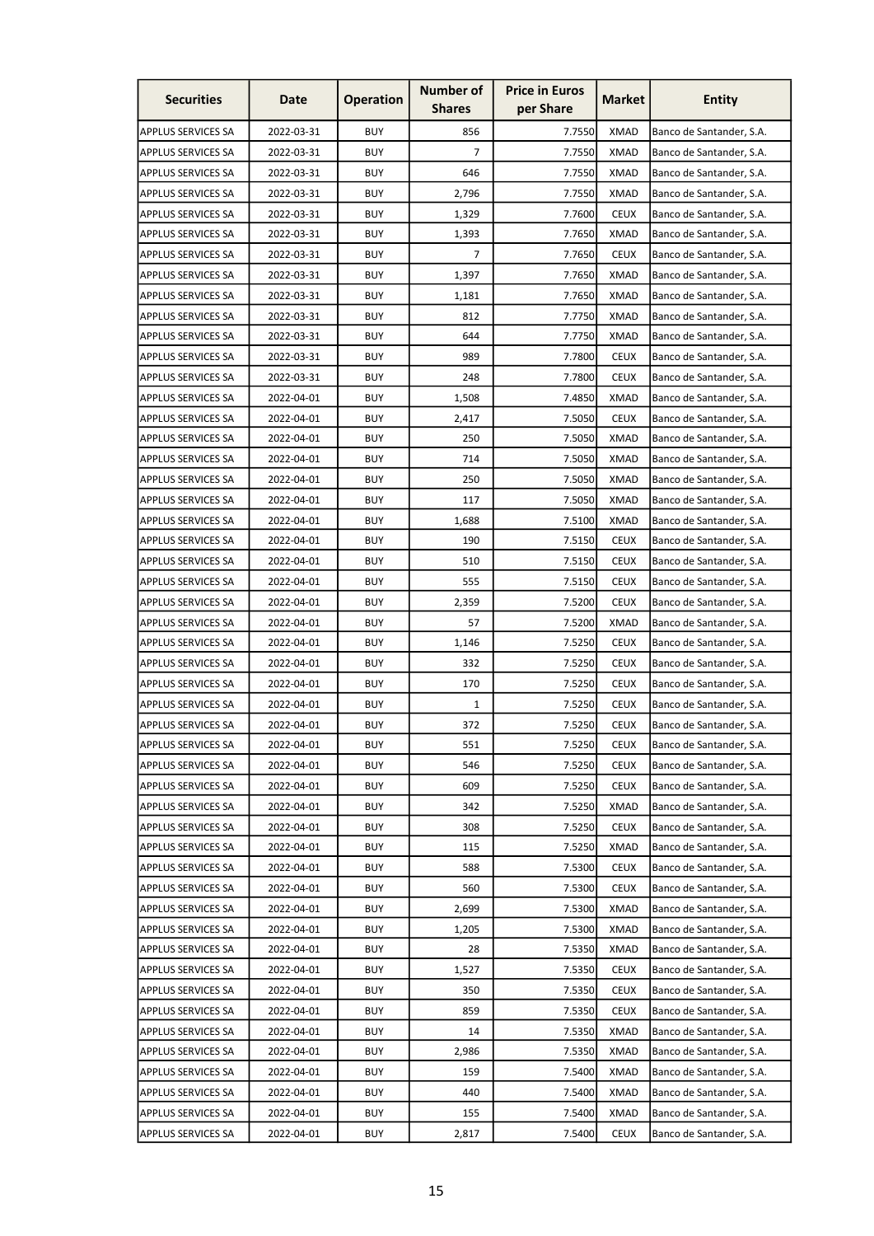| <b>Securities</b>         | Date       | <b>Operation</b> | <b>Number of</b><br><b>Shares</b> | <b>Price in Euros</b><br>per Share | <b>Market</b> | <b>Entity</b>            |
|---------------------------|------------|------------------|-----------------------------------|------------------------------------|---------------|--------------------------|
| <b>APPLUS SERVICES SA</b> | 2022-03-31 | <b>BUY</b>       | 856                               | 7.7550                             | <b>XMAD</b>   | Banco de Santander, S.A. |
| <b>APPLUS SERVICES SA</b> | 2022-03-31 | <b>BUY</b>       | 7                                 | 7.7550                             | <b>XMAD</b>   | Banco de Santander, S.A. |
| <b>APPLUS SERVICES SA</b> | 2022-03-31 | <b>BUY</b>       | 646                               | 7.7550                             | <b>XMAD</b>   | Banco de Santander, S.A. |
| <b>APPLUS SERVICES SA</b> | 2022-03-31 | <b>BUY</b>       | 2,796                             | 7.7550                             | <b>XMAD</b>   | Banco de Santander, S.A. |
| <b>APPLUS SERVICES SA</b> | 2022-03-31 | <b>BUY</b>       | 1,329                             | 7.7600                             | <b>CEUX</b>   | Banco de Santander, S.A. |
| <b>APPLUS SERVICES SA</b> | 2022-03-31 | <b>BUY</b>       | 1,393                             | 7.7650                             | <b>XMAD</b>   | Banco de Santander, S.A. |
| <b>APPLUS SERVICES SA</b> | 2022-03-31 | <b>BUY</b>       | 7                                 | 7.7650                             | <b>CEUX</b>   | Banco de Santander, S.A. |
| <b>APPLUS SERVICES SA</b> | 2022-03-31 | <b>BUY</b>       | 1,397                             | 7.7650                             | <b>XMAD</b>   | Banco de Santander, S.A. |
| <b>APPLUS SERVICES SA</b> | 2022-03-31 | <b>BUY</b>       | 1,181                             | 7.7650                             | <b>XMAD</b>   | Banco de Santander, S.A. |
| <b>APPLUS SERVICES SA</b> | 2022-03-31 | <b>BUY</b>       | 812                               | 7.7750                             | <b>XMAD</b>   | Banco de Santander, S.A. |
| <b>APPLUS SERVICES SA</b> | 2022-03-31 | <b>BUY</b>       | 644                               | 7.7750                             | <b>XMAD</b>   | Banco de Santander, S.A. |
| <b>APPLUS SERVICES SA</b> | 2022-03-31 | <b>BUY</b>       | 989                               | 7.7800                             | <b>CEUX</b>   | Banco de Santander, S.A. |
| <b>APPLUS SERVICES SA</b> | 2022-03-31 | <b>BUY</b>       | 248                               | 7.7800                             | <b>CEUX</b>   | Banco de Santander, S.A. |
| <b>APPLUS SERVICES SA</b> | 2022-04-01 | <b>BUY</b>       | 1,508                             | 7.4850                             | XMAD          | Banco de Santander, S.A. |
| <b>APPLUS SERVICES SA</b> | 2022-04-01 | <b>BUY</b>       | 2,417                             | 7.5050                             | <b>CEUX</b>   | Banco de Santander, S.A. |
| <b>APPLUS SERVICES SA</b> | 2022-04-01 | <b>BUY</b>       | 250                               | 7.5050                             | <b>XMAD</b>   | Banco de Santander, S.A. |
| <b>APPLUS SERVICES SA</b> | 2022-04-01 | <b>BUY</b>       | 714                               | 7.5050                             | <b>XMAD</b>   | Banco de Santander, S.A. |
| <b>APPLUS SERVICES SA</b> | 2022-04-01 | <b>BUY</b>       | 250                               | 7.5050                             | <b>XMAD</b>   | Banco de Santander, S.A. |
| <b>APPLUS SERVICES SA</b> | 2022-04-01 | <b>BUY</b>       | 117                               | 7.5050                             | XMAD          | Banco de Santander, S.A. |
| <b>APPLUS SERVICES SA</b> | 2022-04-01 | <b>BUY</b>       | 1,688                             | 7.5100                             | XMAD          | Banco de Santander, S.A. |
| <b>APPLUS SERVICES SA</b> | 2022-04-01 | <b>BUY</b>       | 190                               | 7.5150                             | <b>CEUX</b>   | Banco de Santander, S.A. |
| <b>APPLUS SERVICES SA</b> | 2022-04-01 | <b>BUY</b>       | 510                               | 7.5150                             | <b>CEUX</b>   | Banco de Santander, S.A. |
| <b>APPLUS SERVICES SA</b> | 2022-04-01 | <b>BUY</b>       | 555                               | 7.5150                             | <b>CEUX</b>   | Banco de Santander, S.A. |
| <b>APPLUS SERVICES SA</b> | 2022-04-01 | <b>BUY</b>       | 2,359                             | 7.5200                             | <b>CEUX</b>   | Banco de Santander, S.A. |
| <b>APPLUS SERVICES SA</b> | 2022-04-01 | <b>BUY</b>       | 57                                | 7.5200                             | <b>XMAD</b>   | Banco de Santander, S.A. |
| <b>APPLUS SERVICES SA</b> | 2022-04-01 | <b>BUY</b>       | 1,146                             | 7.5250                             | <b>CEUX</b>   | Banco de Santander, S.A. |
| <b>APPLUS SERVICES SA</b> | 2022-04-01 | <b>BUY</b>       | 332                               | 7.5250                             | <b>CEUX</b>   | Banco de Santander, S.A. |
| <b>APPLUS SERVICES SA</b> | 2022-04-01 | <b>BUY</b>       | 170                               | 7.5250                             | <b>CEUX</b>   | Banco de Santander, S.A. |
| APPLUS SERVICES SA        | 2022-04-01 | <b>BUY</b>       | 1                                 | 7.5250                             | <b>CEUX</b>   | Banco de Santander, S.A. |
| <b>APPLUS SERVICES SA</b> | 2022-04-01 | <b>BUY</b>       | 372                               | 7.5250                             | <b>CEUX</b>   | Banco de Santander, S.A. |
| <b>APPLUS SERVICES SA</b> | 2022-04-01 | <b>BUY</b>       | 551                               | 7.5250                             | <b>CEUX</b>   | Banco de Santander, S.A. |
| <b>APPLUS SERVICES SA</b> | 2022-04-01 | <b>BUY</b>       | 546                               | 7.5250                             | <b>CEUX</b>   | Banco de Santander, S.A. |
| <b>APPLUS SERVICES SA</b> | 2022-04-01 | <b>BUY</b>       | 609                               | 7.5250                             | <b>CEUX</b>   | Banco de Santander, S.A. |
| <b>APPLUS SERVICES SA</b> | 2022-04-01 | <b>BUY</b>       | 342                               | 7.5250                             | <b>XMAD</b>   | Banco de Santander, S.A. |
| <b>APPLUS SERVICES SA</b> | 2022-04-01 | <b>BUY</b>       | 308                               | 7.5250                             | <b>CEUX</b>   | Banco de Santander, S.A. |
| <b>APPLUS SERVICES SA</b> | 2022-04-01 | <b>BUY</b>       | 115                               | 7.5250                             | <b>XMAD</b>   | Banco de Santander, S.A. |
| <b>APPLUS SERVICES SA</b> | 2022-04-01 | <b>BUY</b>       | 588                               | 7.5300                             | <b>CEUX</b>   | Banco de Santander, S.A. |
| <b>APPLUS SERVICES SA</b> | 2022-04-01 | <b>BUY</b>       | 560                               | 7.5300                             | <b>CEUX</b>   | Banco de Santander, S.A. |
| <b>APPLUS SERVICES SA</b> | 2022-04-01 | <b>BUY</b>       | 2,699                             | 7.5300                             | <b>XMAD</b>   | Banco de Santander, S.A. |
| <b>APPLUS SERVICES SA</b> | 2022-04-01 | <b>BUY</b>       | 1,205                             | 7.5300                             | <b>XMAD</b>   | Banco de Santander, S.A. |
| <b>APPLUS SERVICES SA</b> | 2022-04-01 | <b>BUY</b>       | 28                                | 7.5350                             | <b>XMAD</b>   | Banco de Santander, S.A. |
| <b>APPLUS SERVICES SA</b> | 2022-04-01 | <b>BUY</b>       | 1,527                             | 7.5350                             | <b>CEUX</b>   | Banco de Santander, S.A. |
| <b>APPLUS SERVICES SA</b> | 2022-04-01 | <b>BUY</b>       | 350                               | 7.5350                             | <b>CEUX</b>   | Banco de Santander, S.A. |
| <b>APPLUS SERVICES SA</b> | 2022-04-01 | <b>BUY</b>       | 859                               | 7.5350                             | <b>CEUX</b>   | Banco de Santander, S.A. |
| <b>APPLUS SERVICES SA</b> | 2022-04-01 | <b>BUY</b>       | 14                                | 7.5350                             | <b>XMAD</b>   | Banco de Santander, S.A. |
| <b>APPLUS SERVICES SA</b> | 2022-04-01 | <b>BUY</b>       | 2,986                             | 7.5350                             | <b>XMAD</b>   | Banco de Santander, S.A. |
| <b>APPLUS SERVICES SA</b> | 2022-04-01 | <b>BUY</b>       | 159                               | 7.5400                             | <b>XMAD</b>   | Banco de Santander, S.A. |
| APPLUS SERVICES SA        | 2022-04-01 | <b>BUY</b>       | 440                               | 7.5400                             | <b>XMAD</b>   | Banco de Santander, S.A. |
| APPLUS SERVICES SA        | 2022-04-01 | <b>BUY</b>       | 155                               | 7.5400                             | <b>XMAD</b>   | Banco de Santander, S.A. |
| <b>APPLUS SERVICES SA</b> | 2022-04-01 | <b>BUY</b>       | 2,817                             | 7.5400                             | <b>CEUX</b>   | Banco de Santander, S.A. |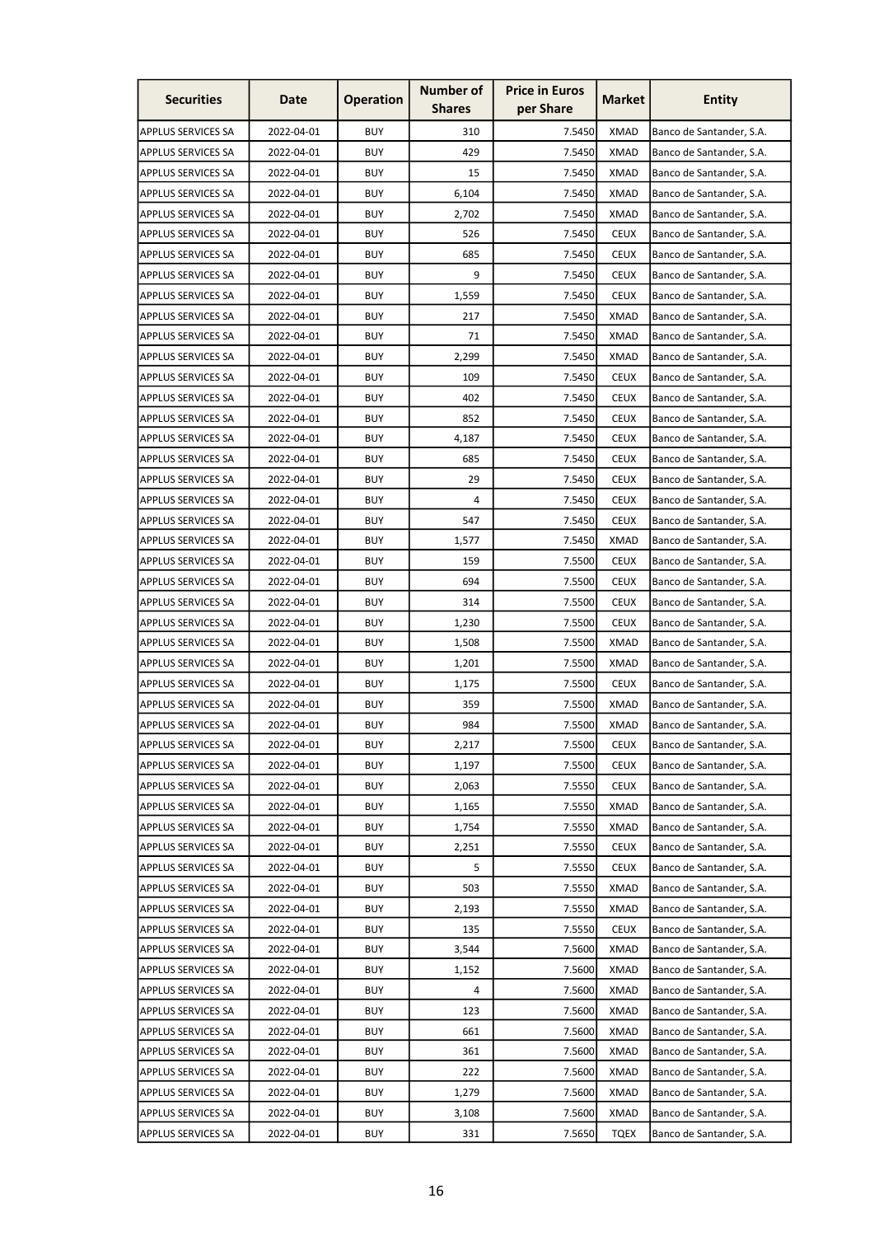| <b>Securities</b>         | Date       | <b>Operation</b> | <b>Number of</b><br><b>Shares</b> | <b>Price in Euros</b><br>per Share | Market      | <b>Entity</b>            |
|---------------------------|------------|------------------|-----------------------------------|------------------------------------|-------------|--------------------------|
| <b>APPLUS SERVICES SA</b> | 2022-04-01 | <b>BUY</b>       | 310                               | 7.5450                             | <b>XMAD</b> | Banco de Santander, S.A. |
| <b>APPLUS SERVICES SA</b> | 2022-04-01 | <b>BUY</b>       | 429                               | 7.5450                             | <b>XMAD</b> | Banco de Santander, S.A. |
| <b>APPLUS SERVICES SA</b> | 2022-04-01 | <b>BUY</b>       | 15                                | 7.5450                             | <b>XMAD</b> | Banco de Santander, S.A. |
| <b>APPLUS SERVICES SA</b> | 2022-04-01 | <b>BUY</b>       | 6,104                             | 7.5450                             | <b>XMAD</b> | Banco de Santander, S.A. |
| <b>APPLUS SERVICES SA</b> | 2022-04-01 | <b>BUY</b>       | 2,702                             | 7.5450                             | <b>XMAD</b> | Banco de Santander, S.A. |
| <b>APPLUS SERVICES SA</b> | 2022-04-01 | <b>BUY</b>       | 526                               | 7.5450                             | <b>CEUX</b> | Banco de Santander, S.A. |
| <b>APPLUS SERVICES SA</b> | 2022-04-01 | <b>BUY</b>       | 685                               | 7.5450                             | <b>CEUX</b> | Banco de Santander, S.A. |
| <b>APPLUS SERVICES SA</b> | 2022-04-01 | <b>BUY</b>       | 9                                 | 7.5450                             | <b>CEUX</b> | Banco de Santander, S.A. |
| <b>APPLUS SERVICES SA</b> | 2022-04-01 | <b>BUY</b>       | 1,559                             | 7.5450                             | <b>CEUX</b> | Banco de Santander, S.A. |
| <b>APPLUS SERVICES SA</b> | 2022-04-01 | <b>BUY</b>       | 217                               | 7.5450                             | <b>XMAD</b> | Banco de Santander, S.A. |
| <b>APPLUS SERVICES SA</b> | 2022-04-01 | <b>BUY</b>       | 71                                | 7.5450                             | <b>XMAD</b> | Banco de Santander, S.A. |
| <b>APPLUS SERVICES SA</b> | 2022-04-01 | <b>BUY</b>       | 2,299                             | 7.5450                             | <b>XMAD</b> | Banco de Santander, S.A. |
| <b>APPLUS SERVICES SA</b> | 2022-04-01 | <b>BUY</b>       | 109                               | 7.5450                             | <b>CEUX</b> | Banco de Santander, S.A. |
| <b>APPLUS SERVICES SA</b> | 2022-04-01 | <b>BUY</b>       | 402                               | 7.5450                             | <b>CEUX</b> | Banco de Santander, S.A. |
| <b>APPLUS SERVICES SA</b> | 2022-04-01 | <b>BUY</b>       | 852                               | 7.5450                             | <b>CEUX</b> | Banco de Santander, S.A. |
| APPLUS SERVICES SA        | 2022-04-01 | <b>BUY</b>       | 4,187                             | 7.5450                             | <b>CEUX</b> | Banco de Santander, S.A. |
| <b>APPLUS SERVICES SA</b> | 2022-04-01 | <b>BUY</b>       | 685                               | 7.5450                             | <b>CEUX</b> | Banco de Santander, S.A. |
| <b>APPLUS SERVICES SA</b> | 2022-04-01 | <b>BUY</b>       | 29                                | 7.5450                             | <b>CEUX</b> | Banco de Santander, S.A. |
| <b>APPLUS SERVICES SA</b> | 2022-04-01 | <b>BUY</b>       | 4                                 | 7.5450                             | <b>CEUX</b> | Banco de Santander, S.A. |
| <b>APPLUS SERVICES SA</b> | 2022-04-01 | <b>BUY</b>       | 547                               | 7.5450                             | <b>CEUX</b> | Banco de Santander, S.A. |
| <b>APPLUS SERVICES SA</b> | 2022-04-01 | <b>BUY</b>       | 1,577                             | 7.5450                             | <b>XMAD</b> | Banco de Santander, S.A. |
| <b>APPLUS SERVICES SA</b> | 2022-04-01 | <b>BUY</b>       | 159                               | 7.5500                             | <b>CEUX</b> | Banco de Santander, S.A. |
| <b>APPLUS SERVICES SA</b> | 2022-04-01 | <b>BUY</b>       | 694                               | 7.5500                             | <b>CEUX</b> | Banco de Santander, S.A. |
| <b>APPLUS SERVICES SA</b> | 2022-04-01 | <b>BUY</b>       | 314                               | 7.5500                             | <b>CEUX</b> | Banco de Santander, S.A. |
| <b>APPLUS SERVICES SA</b> | 2022-04-01 | <b>BUY</b>       | 1,230                             | 7.5500                             | <b>CEUX</b> | Banco de Santander, S.A. |
| <b>APPLUS SERVICES SA</b> | 2022-04-01 | <b>BUY</b>       | 1,508                             | 7.5500                             | XMAD        | Banco de Santander, S.A. |
| <b>APPLUS SERVICES SA</b> | 2022-04-01 | <b>BUY</b>       | 1,201                             | 7.5500                             | <b>XMAD</b> | Banco de Santander, S.A. |
| APPLUS SERVICES SA        | 2022-04-01 | <b>BUY</b>       | 1,175                             | 7.5500                             | <b>CEUX</b> | Banco de Santander, S.A. |
| <b>APPLUS SERVICES SA</b> | 2022-04-01 | <b>BUY</b>       | 359                               | 7.5500                             | <b>XMAD</b> | Banco de Santander, S.A. |
| <b>APPLUS SERVICES SA</b> | 2022-04-01 | <b>BUY</b>       | 984                               | 7.5500                             | <b>XMAD</b> | Banco de Santander, S.A. |
| <b>APPLUS SERVICES SA</b> | 2022-04-01 | <b>BUY</b>       | 2,217                             | 7.5500                             | <b>CEUX</b> | Banco de Santander, S.A. |
| <b>APPLUS SERVICES SA</b> | 2022-04-01 | <b>BUY</b>       | 1,197                             | 7.5500                             | <b>CEUX</b> | Banco de Santander, S.A. |
| <b>APPLUS SERVICES SA</b> | 2022-04-01 | <b>BUY</b>       | 2,063                             | 7.5550                             | <b>CEUX</b> | Banco de Santander, S.A. |
| <b>APPLUS SERVICES SA</b> | 2022-04-01 | <b>BUY</b>       | 1,165                             | 7.5550                             | <b>XMAD</b> | Banco de Santander, S.A. |
| <b>APPLUS SERVICES SA</b> | 2022-04-01 | <b>BUY</b>       | 1,754                             | 7.5550                             | <b>XMAD</b> | Banco de Santander, S.A. |
| <b>APPLUS SERVICES SA</b> | 2022-04-01 | <b>BUY</b>       | 2,251                             | 7.5550                             | <b>CEUX</b> | Banco de Santander, S.A. |
| <b>APPLUS SERVICES SA</b> | 2022-04-01 | <b>BUY</b>       | 5                                 | 7.5550                             | <b>CEUX</b> | Banco de Santander, S.A. |
| <b>APPLUS SERVICES SA</b> | 2022-04-01 | <b>BUY</b>       | 503                               | 7.5550                             | <b>XMAD</b> | Banco de Santander, S.A. |
| <b>APPLUS SERVICES SA</b> | 2022-04-01 | <b>BUY</b>       | 2,193                             | 7.5550                             | <b>XMAD</b> | Banco de Santander, S.A. |
| <b>APPLUS SERVICES SA</b> | 2022-04-01 | <b>BUY</b>       | 135                               | 7.5550                             | <b>CEUX</b> | Banco de Santander, S.A. |
| <b>APPLUS SERVICES SA</b> | 2022-04-01 | <b>BUY</b>       | 3,544                             | 7.5600                             | <b>XMAD</b> | Banco de Santander, S.A. |
| <b>APPLUS SERVICES SA</b> | 2022-04-01 | <b>BUY</b>       | 1,152                             | 7.5600                             | <b>XMAD</b> | Banco de Santander, S.A. |
| <b>APPLUS SERVICES SA</b> | 2022-04-01 | <b>BUY</b>       | 4                                 | 7.5600                             | <b>XMAD</b> | Banco de Santander, S.A. |
| <b>APPLUS SERVICES SA</b> | 2022-04-01 | <b>BUY</b>       | 123                               | 7.5600                             | <b>XMAD</b> | Banco de Santander, S.A. |
| <b>APPLUS SERVICES SA</b> | 2022-04-01 | <b>BUY</b>       | 661                               | 7.5600                             | <b>XMAD</b> | Banco de Santander, S.A. |
| <b>APPLUS SERVICES SA</b> | 2022-04-01 | <b>BUY</b>       | 361                               | 7.5600                             | <b>XMAD</b> | Banco de Santander, S.A. |
| <b>APPLUS SERVICES SA</b> | 2022-04-01 | <b>BUY</b>       | 222                               | 7.5600                             | <b>XMAD</b> | Banco de Santander, S.A. |
| <b>APPLUS SERVICES SA</b> | 2022-04-01 | <b>BUY</b>       | 1,279                             | 7.5600                             | <b>XMAD</b> | Banco de Santander, S.A. |
| <b>APPLUS SERVICES SA</b> | 2022-04-01 | <b>BUY</b>       | 3,108                             | 7.5600                             | <b>XMAD</b> | Banco de Santander, S.A. |
| <b>APPLUS SERVICES SA</b> | 2022-04-01 | <b>BUY</b>       | 331                               | 7.5650                             | <b>TQEX</b> | Banco de Santander, S.A. |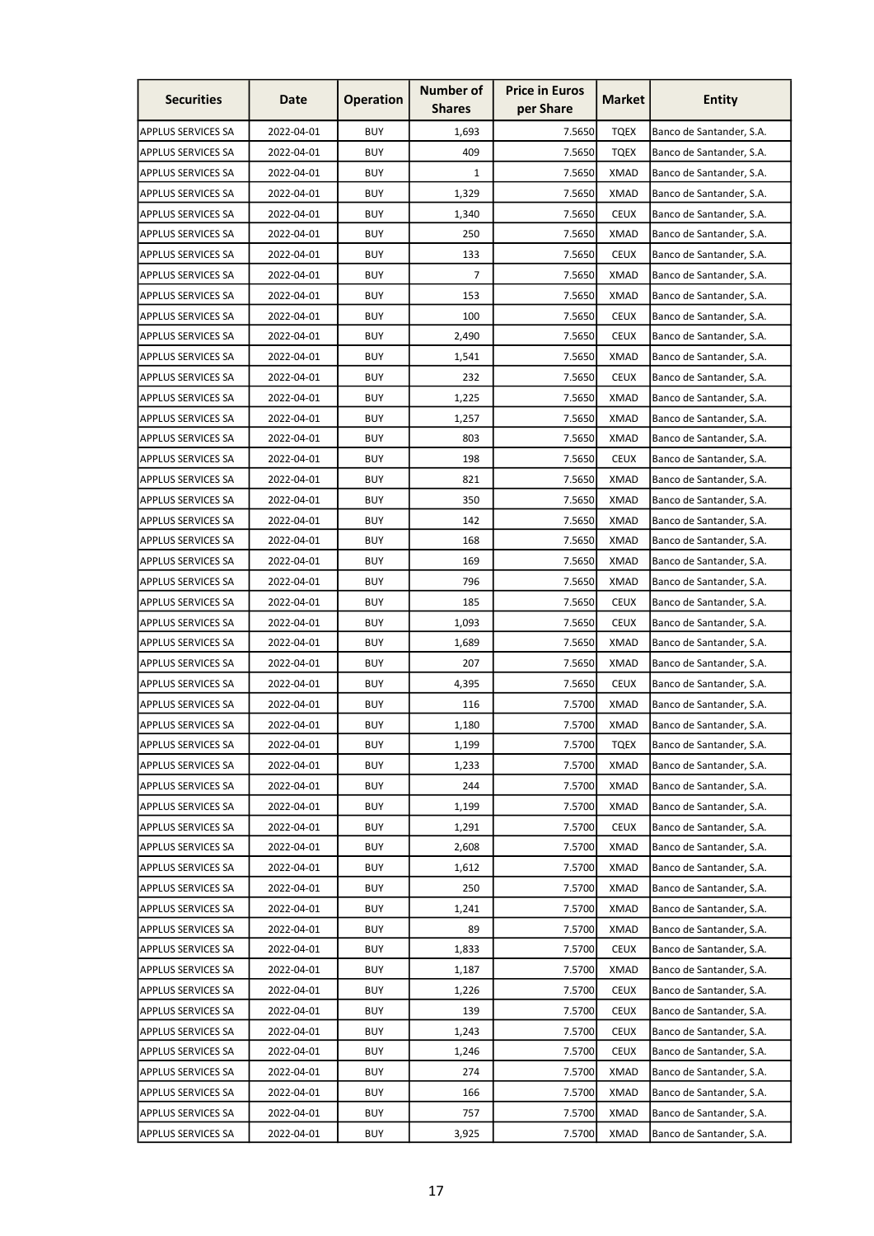| <b>Securities</b>         | Date       | <b>Operation</b> | <b>Number of</b><br><b>Shares</b> | <b>Price in Euros</b><br>per Share | Market      | <b>Entity</b>            |
|---------------------------|------------|------------------|-----------------------------------|------------------------------------|-------------|--------------------------|
| APPLUS SERVICES SA        | 2022-04-01 | <b>BUY</b>       | 1,693                             | 7.5650                             | <b>TQEX</b> | Banco de Santander, S.A. |
| <b>APPLUS SERVICES SA</b> | 2022-04-01 | <b>BUY</b>       | 409                               | 7.5650                             | <b>TQEX</b> | Banco de Santander, S.A. |
| <b>APPLUS SERVICES SA</b> | 2022-04-01 | <b>BUY</b>       | $\mathbf{1}$                      | 7.5650                             | <b>XMAD</b> | Banco de Santander, S.A. |
| <b>APPLUS SERVICES SA</b> | 2022-04-01 | <b>BUY</b>       | 1,329                             | 7.5650                             | <b>XMAD</b> | Banco de Santander, S.A. |
| <b>APPLUS SERVICES SA</b> | 2022-04-01 | <b>BUY</b>       | 1,340                             | 7.5650                             | <b>CEUX</b> | Banco de Santander, S.A. |
| <b>APPLUS SERVICES SA</b> | 2022-04-01 | <b>BUY</b>       | 250                               | 7.5650                             | <b>XMAD</b> | Banco de Santander, S.A. |
| <b>APPLUS SERVICES SA</b> | 2022-04-01 | <b>BUY</b>       | 133                               | 7.5650                             | <b>CEUX</b> | Banco de Santander, S.A. |
| <b>APPLUS SERVICES SA</b> | 2022-04-01 | <b>BUY</b>       | 7                                 | 7.5650                             | <b>XMAD</b> | Banco de Santander, S.A. |
| <b>APPLUS SERVICES SA</b> | 2022-04-01 | <b>BUY</b>       | 153                               | 7.5650                             | <b>XMAD</b> | Banco de Santander, S.A. |
| APPLUS SERVICES SA        | 2022-04-01 | <b>BUY</b>       | 100                               | 7.5650                             | <b>CEUX</b> | Banco de Santander, S.A. |
| <b>APPLUS SERVICES SA</b> | 2022-04-01 | <b>BUY</b>       | 2,490                             | 7.5650                             | <b>CEUX</b> | Banco de Santander, S.A. |
| <b>APPLUS SERVICES SA</b> | 2022-04-01 | <b>BUY</b>       | 1,541                             | 7.5650                             | <b>XMAD</b> | Banco de Santander, S.A. |
| <b>APPLUS SERVICES SA</b> | 2022-04-01 | <b>BUY</b>       | 232                               | 7.5650                             | <b>CEUX</b> | Banco de Santander, S.A. |
| <b>APPLUS SERVICES SA</b> | 2022-04-01 | <b>BUY</b>       | 1,225                             | 7.5650                             | XMAD        | Banco de Santander, S.A. |
| <b>APPLUS SERVICES SA</b> | 2022-04-01 | <b>BUY</b>       | 1,257                             | 7.5650                             | <b>XMAD</b> | Banco de Santander, S.A. |
| <b>APPLUS SERVICES SA</b> | 2022-04-01 | <b>BUY</b>       | 803                               | 7.5650                             | <b>XMAD</b> | Banco de Santander, S.A. |
| <b>APPLUS SERVICES SA</b> | 2022-04-01 | <b>BUY</b>       | 198                               | 7.5650                             | <b>CEUX</b> | Banco de Santander, S.A. |
| <b>APPLUS SERVICES SA</b> | 2022-04-01 | <b>BUY</b>       | 821                               | 7.5650                             | XMAD        | Banco de Santander, S.A. |
| <b>APPLUS SERVICES SA</b> | 2022-04-01 | <b>BUY</b>       | 350                               | 7.5650                             | XMAD        | Banco de Santander, S.A. |
| <b>APPLUS SERVICES SA</b> | 2022-04-01 | <b>BUY</b>       | 142                               | 7.5650                             | XMAD        | Banco de Santander, S.A. |
| <b>APPLUS SERVICES SA</b> | 2022-04-01 | <b>BUY</b>       | 168                               | 7.5650                             | <b>XMAD</b> | Banco de Santander, S.A. |
| APPLUS SERVICES SA        | 2022-04-01 | <b>BUY</b>       | 169                               | 7.5650                             | <b>XMAD</b> | Banco de Santander, S.A. |
| <b>APPLUS SERVICES SA</b> | 2022-04-01 | <b>BUY</b>       | 796                               | 7.5650                             | <b>XMAD</b> | Banco de Santander, S.A. |
| <b>APPLUS SERVICES SA</b> | 2022-04-01 | <b>BUY</b>       | 185                               | 7.5650                             | <b>CEUX</b> | Banco de Santander, S.A. |
| <b>APPLUS SERVICES SA</b> | 2022-04-01 | <b>BUY</b>       | 1,093                             | 7.5650                             | <b>CEUX</b> | Banco de Santander, S.A. |
| <b>APPLUS SERVICES SA</b> | 2022-04-01 | <b>BUY</b>       | 1,689                             | 7.5650                             | XMAD        | Banco de Santander, S.A. |
| <b>APPLUS SERVICES SA</b> | 2022-04-01 | <b>BUY</b>       | 207                               | 7.5650                             | <b>XMAD</b> | Banco de Santander, S.A. |
| <b>APPLUS SERVICES SA</b> | 2022-04-01 | <b>BUY</b>       | 4,395                             | 7.5650                             | <b>CEUX</b> | Banco de Santander, S.A. |
| <b>APPLUS SERVICES SA</b> | 2022-04-01 | <b>BUY</b>       | 116                               | 7.5700                             | <b>XMAD</b> | Banco de Santander, S.A. |
| <b>APPLUS SERVICES SA</b> | 2022-04-01 | <b>BUY</b>       | 1,180                             | 7.5700                             | <b>XMAD</b> | Banco de Santander, S.A. |
| <b>APPLUS SERVICES SA</b> | 2022-04-01 | <b>BUY</b>       | 1,199                             | 7.5700                             | <b>TQEX</b> | Banco de Santander, S.A. |
| <b>APPLUS SERVICES SA</b> | 2022-04-01 | <b>BUY</b>       | 1,233                             | 7.5700                             | <b>XMAD</b> | Banco de Santander, S.A. |
| <b>APPLUS SERVICES SA</b> | 2022-04-01 | <b>BUY</b>       | 244                               | 7.5700                             | <b>XMAD</b> | Banco de Santander, S.A. |
| <b>APPLUS SERVICES SA</b> | 2022-04-01 | <b>BUY</b>       | 1,199                             | 7.5700                             | <b>XMAD</b> | Banco de Santander, S.A. |
| <b>APPLUS SERVICES SA</b> | 2022-04-01 | <b>BUY</b>       | 1,291                             | 7.5700                             | <b>CEUX</b> | Banco de Santander, S.A. |
| <b>APPLUS SERVICES SA</b> | 2022-04-01 | <b>BUY</b>       | 2,608                             | 7.5700                             | <b>XMAD</b> | Banco de Santander, S.A. |
| <b>APPLUS SERVICES SA</b> | 2022-04-01 | <b>BUY</b>       | 1,612                             | 7.5700                             | <b>XMAD</b> | Banco de Santander, S.A. |
| APPLUS SERVICES SA        | 2022-04-01 | <b>BUY</b>       | 250                               | 7.5700                             | XMAD        | Banco de Santander, S.A. |
| <b>APPLUS SERVICES SA</b> | 2022-04-01 | <b>BUY</b>       | 1,241                             | 7.5700                             | <b>XMAD</b> | Banco de Santander, S.A. |
| <b>APPLUS SERVICES SA</b> | 2022-04-01 | <b>BUY</b>       | 89                                | 7.5700                             | <b>XMAD</b> | Banco de Santander, S.A. |
| <b>APPLUS SERVICES SA</b> | 2022-04-01 | <b>BUY</b>       | 1,833                             | 7.5700                             | <b>CEUX</b> | Banco de Santander, S.A. |
| <b>APPLUS SERVICES SA</b> | 2022-04-01 | <b>BUY</b>       | 1,187                             | 7.5700                             | <b>XMAD</b> | Banco de Santander, S.A. |
| <b>APPLUS SERVICES SA</b> | 2022-04-01 | <b>BUY</b>       | 1,226                             | 7.5700                             | <b>CEUX</b> | Banco de Santander, S.A. |
| <b>APPLUS SERVICES SA</b> | 2022-04-01 | <b>BUY</b>       | 139                               | 7.5700                             | <b>CEUX</b> | Banco de Santander, S.A. |
| <b>APPLUS SERVICES SA</b> | 2022-04-01 | <b>BUY</b>       | 1,243                             | 7.5700                             | <b>CEUX</b> | Banco de Santander, S.A. |
| <b>APPLUS SERVICES SA</b> | 2022-04-01 | <b>BUY</b>       | 1,246                             | 7.5700                             | <b>CEUX</b> | Banco de Santander, S.A. |
| <b>APPLUS SERVICES SA</b> | 2022-04-01 | <b>BUY</b>       | 274                               | 7.5700                             | <b>XMAD</b> | Banco de Santander, S.A. |
| <b>APPLUS SERVICES SA</b> | 2022-04-01 | <b>BUY</b>       | 166                               | 7.5700                             | <b>XMAD</b> | Banco de Santander, S.A. |
| APPLUS SERVICES SA        | 2022-04-01 | <b>BUY</b>       | 757                               | 7.5700                             | <b>XMAD</b> | Banco de Santander, S.A. |
| APPLUS SERVICES SA        | 2022-04-01 | <b>BUY</b>       | 3,925                             | 7.5700                             | <b>XMAD</b> | Banco de Santander, S.A. |
|                           |            |                  |                                   |                                    |             |                          |